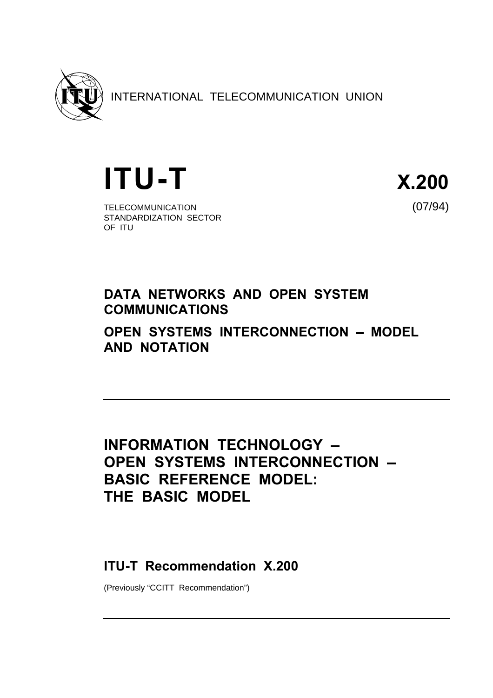

INTERNATIONAL TELECOMMUNICATION UNION

**ITU-T** X.200

TELECOMMUNICATION (07/94) STANDARDIZATION SECTOR OF ITU

# DATA NETWORKS AND OPEN SYSTEM COMMUNICATIONS OPEN SYSTEMS INTERCONNECTION - MODEL

AND NOTATION

# INFORMATION TECHNOLOGY -OPEN SYSTEMS INTERCONNECTION -BASIC REFERENCE MODEL: THE BASIC MODEL

# ITU-T Recommendation X.200

(Previously "CCITT Recommendation")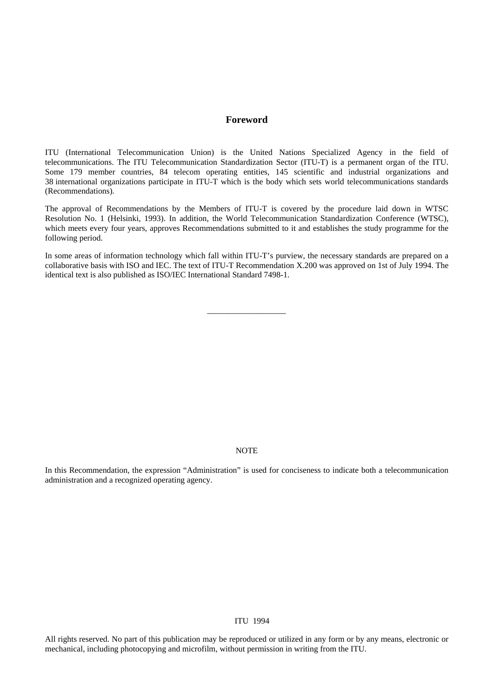#### **Foreword**

ITU (International Telecommunication Union) is the United Nations Specialized Agency in the field of telecommunications. The ITU Telecommunication Standardization Sector (ITU-T) is a permanent organ of the ITU. Some 179 member countries, 84 telecom operating entities, 145 scientific and industrial organizations and 38 international organizations participate in ITU-T which is the body which sets world telecommunications standards (Recommendations).

The approval of Recommendations by the Members of ITU-T is covered by the procedure laid down in WTSC Resolution No. 1 (Helsinki, 1993). In addition, the World Telecommunication Standardization Conference (WTSC), which meets every four years, approves Recommendations submitted to it and establishes the study programme for the following period.

In some areas of information technology which fall within ITU-T's purview, the necessary standards are prepared on a collaborative basis with ISO and IEC. The text of ITU-T Recommendation X.200 was approved on 1st of July 1994. The identical text is also published as ISO/IEC International Standard 7498-1.

\_\_\_\_\_\_\_\_\_\_\_\_\_\_\_\_\_\_\_

# **NOTE**

In this Recommendation, the expression "Administration" is used for conciseness to indicate both a telecommunication administration and a recognized operating agency.

# © ITU 1994

All rights reserved. No part of this publication may be reproduced or utilized in any form or by any means, electronic or mechanical, including photocopying and microfilm, without permission in writing from the ITU.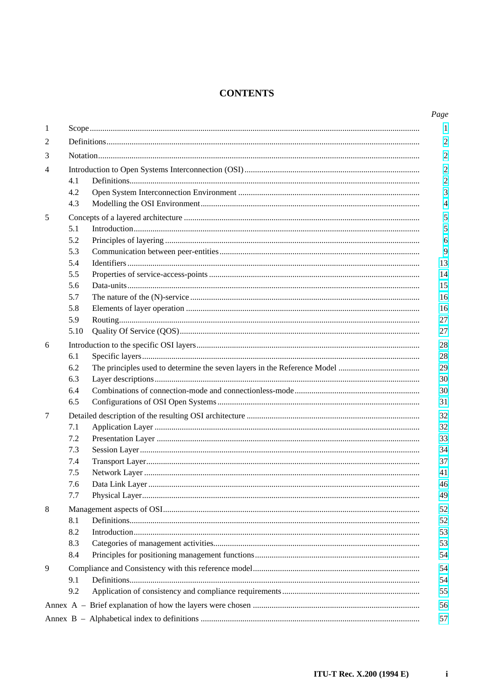# **CONTENTS**

| $\mathbf{1}$<br>2 |    |
|-------------------|----|
|                   |    |
|                   |    |
| 3                 |    |
| 4                 |    |
| 4.1               |    |
| 4.2               |    |
| 4.3               |    |
| 5                 |    |
| 5.1               |    |
| 5.2               |    |
| 5.3               |    |
| 5.4               | 13 |
| 5.5               | 14 |
| 5.6               | 15 |
| 5.7               | 16 |
| 5.8               | 16 |
| 5.9               | 27 |
| 5.10              | 27 |
| 6                 | 28 |
| 6.1               | 28 |
| 6.2               | 29 |
| 6.3               | 30 |
| 6.4               | 30 |
| 6.5               | 31 |
| 7                 | 32 |
| 7.1               | 32 |
| 7.2               | 33 |
| 7.3               | 34 |
| 7.4               | 37 |
| 7.5               | 41 |
| 7.6               | 46 |
| 7.7               | 49 |
| 8                 | 52 |
| 8.1               | 52 |
| 8.2               | 53 |
| 8.3               | 53 |
| 8.4               | 54 |
| 9                 | 54 |
| 9.1               | 54 |
| 9.2               | 55 |
|                   | 56 |
|                   | 57 |

 $\mathbf{i}$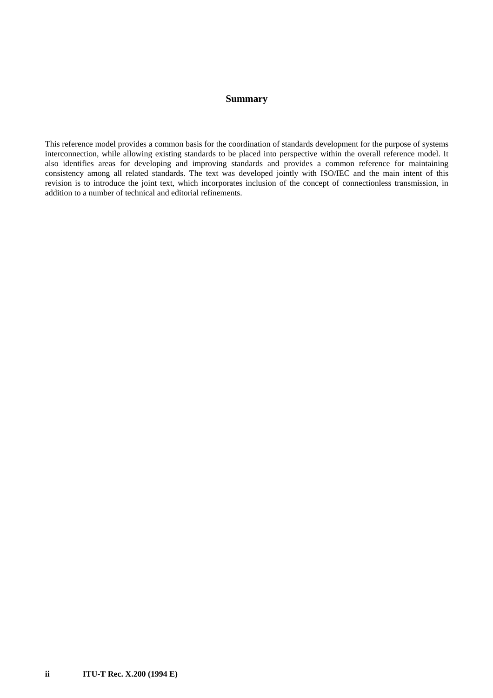# **Summary**

This reference model provides a common basis for the coordination of standards development for the purpose of systems interconnection, while allowing existing standards to be placed into perspective within the overall reference model. It also identifies areas for developing and improving standards and provides a common reference for maintaining consistency among all related standards. The text was developed jointly with ISO/IEC and the main intent of this revision is to introduce the joint text, which incorporates inclusion of the concept of connectionless transmission, in addition to a number of technical and editorial refinements.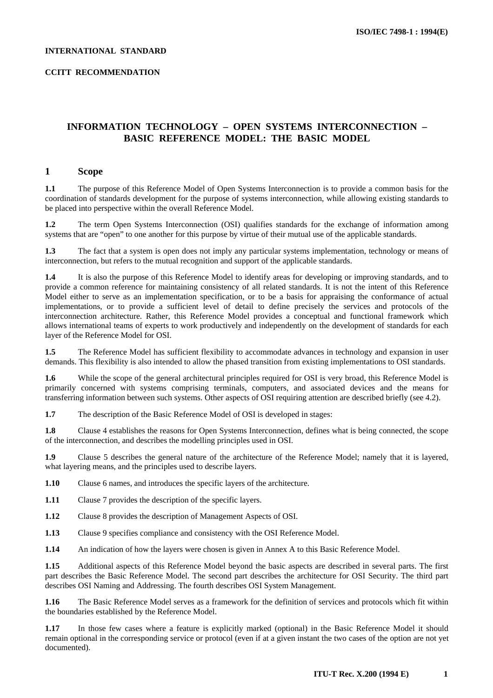#### <span id="page-4-0"></span>**INTERNATIONAL STANDARD**

## **CCITT RECOMMENDATION**

# **INFORMATION TECHNOLOGY – OPEN SYSTEMS INTERCONNECTION – BASIC REFERENCE MODEL: THE BASIC MODEL**

# **1 Scope**

**1.1** The purpose of this Reference Model of Open Systems Interconnection is to provide a common basis for the coordination of standards development for the purpose of systems interconnection, while allowing existing standards to be placed into perspective within the overall Reference Model.

**1.2** The term Open Systems Interconnection (OSI) qualifies standards for the exchange of information among systems that are "open" to one another for this purpose by virtue of their mutual use of the applicable standards.

**1.3** The fact that a system is open does not imply any particular systems implementation, technology or means of interconnection, but refers to the mutual recognition and support of the applicable standards.

**1.4** It is also the purpose of this Reference Model to identify areas for developing or improving standards, and to provide a common reference for maintaining consistency of all related standards. It is not the intent of this Reference Model either to serve as an implementation specification, or to be a basis for appraising the conformance of actual implementations, or to provide a sufficient level of detail to define precisely the services and protocols of the interconnection architecture. Rather, this Reference Model provides a conceptual and functional framework which allows international teams of experts to work productively and independently on the development of standards for each layer of the Reference Model for OSI.

**1.5** The Reference Model has sufficient flexibility to accommodate advances in technology and expansion in user demands. This flexibility is also intended to allow the phased transition from existing implementations to OSI standards.

**1.6** While the scope of the general architectural principles required for OSI is very broad, this Reference Model is primarily concerned with systems comprising terminals, computers, and associated devices and the means for transferring information between such systems. Other aspects of OSI requiring attention are described briefly (see 4.2).

**1.7** The description of the Basic Reference Model of OSI is developed in stages:

**1.8** Clause 4 establishes the reasons for Open Systems Interconnection, defines what is being connected, the scope of the interconnection, and describes the modelling principles used in OSI.

**1.9** Clause 5 describes the general nature of the architecture of the Reference Model; namely that it is layered, what layering means, and the principles used to describe layers.

**1.10** Clause 6 names, and introduces the specific layers of the architecture.

**1.11** Clause 7 provides the description of the specific layers.

**1.12** Clause 8 provides the description of Management Aspects of OSI.

**1.13** Clause 9 specifies compliance and consistency with the OSI Reference Model.

**1.14** An indication of how the layers were chosen is given in Annex A to this Basic Reference Model.

**1.15** Additional aspects of this Reference Model beyond the basic aspects are described in several parts. The first part describes the Basic Reference Model. The second part describes the architecture for OSI Security. The third part describes OSI Naming and Addressing. The fourth describes OSI System Management.

**1.16** The Basic Reference Model serves as a framework for the definition of services and protocols which fit within the boundaries established by the Reference Model.

**1.17** In those few cases where a feature is explicitly marked (optional) in the Basic Reference Model it should remain optional in the corresponding service or protocol (even if at a given instant the two cases of the option are not yet documented).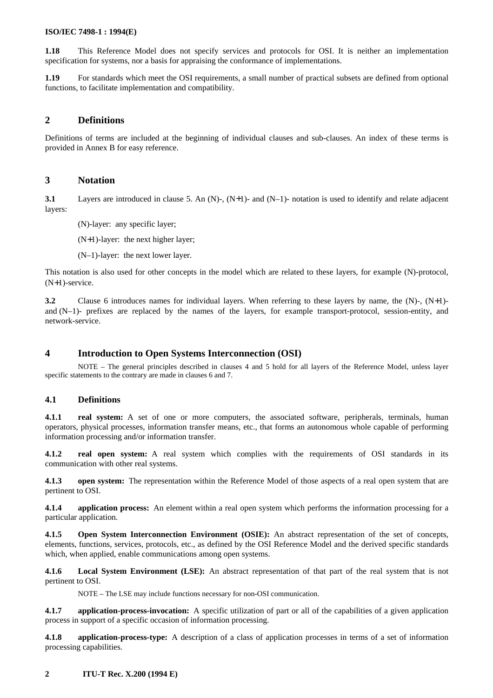<span id="page-5-0"></span>**1.18** This Reference Model does not specify services and protocols for OSI. It is neither an implementation specification for systems, nor a basis for appraising the conformance of implementations.

**1.19** For standards which meet the OSI requirements, a small number of practical subsets are defined from optional functions, to facilitate implementation and compatibility.

# **2 Definitions**

Definitions of terms are included at the beginning of individual clauses and sub-clauses. An index of these terms is provided in Annex B for easy reference.

## **3 Notation**

**3.1** Layers are introduced in clause 5. An (N)-, (N+1)- and (N-1)- notation is used to identify and relate adjacent layers:

(N)-layer: any specific layer;

(N+1)-layer: the next higher layer;

(N–1)-layer: the next lower layer.

This notation is also used for other concepts in the model which are related to these layers, for example (N)-protocol, (N+1)-service.

**3.2** Clause 6 introduces names for individual layers. When referring to these layers by name, the (N)-, (N+1) and (N–1)- prefixes are replaced by the names of the layers, for example transport-protocol, session-entity, and network-service.

# **4 Introduction to Open Systems Interconnection (OSI)**

NOTE – The general principles described in clauses 4 and 5 hold for all layers of the Reference Model, unless layer specific statements to the contrary are made in clauses 6 and 7.

## **4.1 Definitions**

**4.1.1 real system:** A set of one or more computers, the associated software, peripherals, terminals, human operators, physical processes, information transfer means, etc., that forms an autonomous whole capable of performing information processing and/or information transfer.

**4.1.2 real open system:** A real system which complies with the requirements of OSI standards in its communication with other real systems.

**4.1.3 open system:** The representation within the Reference Model of those aspects of a real open system that are pertinent to OSI.

**4.1.4 application process:** An element within a real open system which performs the information processing for a particular application.

**4.1.5 Open System Interconnection Environment (OSIE):** An abstract representation of the set of concepts, elements, functions, services, protocols, etc., as defined by the OSI Reference Model and the derived specific standards which, when applied, enable communications among open systems.

**4.1.6 Local System Environment (LSE):** An abstract representation of that part of the real system that is not pertinent to OSI.

NOTE – The LSE may include functions necessary for non-OSI communication.

**4.1.7 application-process-invocation:** A specific utilization of part or all of the capabilities of a given application process in support of a specific occasion of information processing.

**4.1.8 application-process-type:** A description of a class of application processes in terms of a set of information processing capabilities.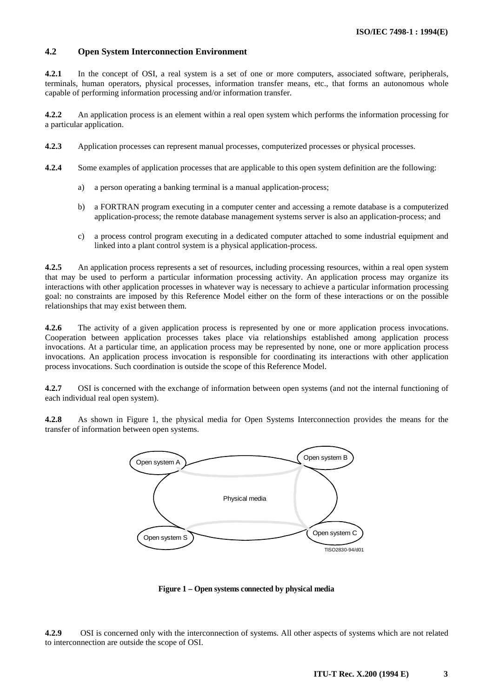# <span id="page-6-0"></span>**4.2 Open System Interconnection Environment**

**4.2.1** In the concept of OSI, a real system is a set of one or more computers, associated software, peripherals, terminals, human operators, physical processes, information transfer means, etc., that forms an autonomous whole capable of performing information processing and/or information transfer.

**4.2.2** An application process is an element within a real open system which performs the information processing for a particular application.

- **4.2.3** Application processes can represent manual processes, computerized processes or physical processes.
- **4.2.4** Some examples of application processes that are applicable to this open system definition are the following:
	- a) a person operating a banking terminal is a manual application-process;
	- b) a FORTRAN program executing in a computer center and accessing a remote database is a computerized application-process; the remote database management systems server is also an application-process; and
	- c) a process control program executing in a dedicated computer attached to some industrial equipment and linked into a plant control system is a physical application-process.

**4.2.5** An application process represents a set of resources, including processing resources, within a real open system that may be used to perform a particular information processing activity. An application process may organize its interactions with other application processes in whatever way is necessary to achieve a particular information processing goal: no constraints are imposed by this Reference Model either on the form of these interactions or on the possible relationships that may exist between them.

**4.2.6** The activity of a given application process is represented by one or more application process invocations. Cooperation between application processes takes place via relationships established among application process invocations. At a particular time, an application process may be represented by none, one or more application process invocations. An application process invocation is responsible for coordinating its interactions with other application process invocations. Such coordination is outside the scope of this Reference Model.

**4.2.7** OSI is concerned with the exchange of information between open systems (and not the internal functioning of each individual real open system).

**4.2.8** As shown in Figure 1, the physical media for Open Systems Interconnection provides the means for the transfer of information between open systems.



**Figure 1 – Open systems connected by physical media**

**4.2.9** OSI is concerned only with the interconnection of systems. All other aspects of systems which are not related to interconnection are outside the scope of OSI.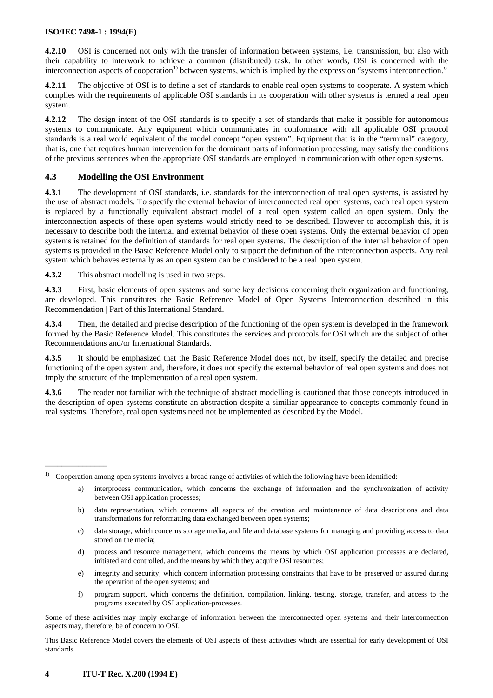<span id="page-7-0"></span>**4.2.10** OSI is concerned not only with the transfer of information between systems, i.e. transmission, but also with their capability to interwork to achieve a common (distributed) task. In other words, OSI is concerned with the interconnection aspects of cooperation<sup>1)</sup> between systems, which is implied by the expression "systems interconnection."

**4.2.11** The objective of OSI is to define a set of standards to enable real open systems to cooperate. A system which complies with the requirements of applicable OSI standards in its cooperation with other systems is termed a real open system.

**4.2.12** The design intent of the OSI standards is to specify a set of standards that make it possible for autonomous systems to communicate. Any equipment which communicates in conformance with all applicable OSI protocol standards is a real world equivalent of the model concept "open system". Equipment that is in the "terminal" category, that is, one that requires human intervention for the dominant parts of information processing, may satisfy the conditions of the previous sentences when the appropriate OSI standards are employed in communication with other open systems.

# **4.3 Modelling the OSI Environment**

**4.3.1** The development of OSI standards, i.e. standards for the interconnection of real open systems, is assisted by the use of abstract models. To specify the external behavior of interconnected real open systems, each real open system is replaced by a functionally equivalent abstract model of a real open system called an open system. Only the interconnection aspects of these open systems would strictly need to be described. However to accomplish this, it is necessary to describe both the internal and external behavior of these open systems. Only the external behavior of open systems is retained for the definition of standards for real open systems. The description of the internal behavior of open systems is provided in the Basic Reference Model only to support the definition of the interconnection aspects. Any real system which behaves externally as an open system can be considered to be a real open system.

**4.3.2** This abstract modelling is used in two steps.

**4.3.3** First, basic elements of open systems and some key decisions concerning their organization and functioning, are developed. This constitutes the Basic Reference Model of Open Systems Interconnection described in this Recommendation | Part of this International Standard.

**4.3.4** Then, the detailed and precise description of the functioning of the open system is developed in the framework formed by the Basic Reference Model. This constitutes the services and protocols for OSI which are the subject of other Recommendations and/or International Standards.

**4.3.5** It should be emphasized that the Basic Reference Model does not, by itself, specify the detailed and precise functioning of the open system and, therefore, it does not specify the external behavior of real open systems and does not imply the structure of the implementation of a real open system.

**4.3.6** The reader not familiar with the technique of abstract modelling is cautioned that those concepts introduced in the description of open systems constitute an abstraction despite a similiar appearance to concepts commonly found in real systems. Therefore, real open systems need not be implemented as described by the Model.

- c) data storage, which concerns storage media, and file and database systems for managing and providing access to data stored on the media;
- d) process and resource management, which concerns the means by which OSI application processes are declared, initiated and controlled, and the means by which they acquire OSI resources;
- e) integrity and security, which concern information processing constraints that have to be preserved or assured during the operation of the open systems; and
- f) program support, which concerns the definition, compilation, linking, testing, storage, transfer, and access to the programs executed by OSI application-processes.

Some of these activities may imply exchange of information between the interconnected open systems and their interconnection aspects may, therefore, be of concern to OSI.

This Basic Reference Model covers the elements of OSI aspects of these activities which are essential for early development of OSI standards.

 $\mathcal{L}_\text{max}$ 

<sup>1)</sup> Cooperation among open systems involves a broad range of activities of which the following have been identified:

interprocess communication, which concerns the exchange of information and the synchronization of activity between OSI application processes;

b) data representation, which concerns all aspects of the creation and maintenance of data descriptions and data transformations for reformatting data exchanged between open systems;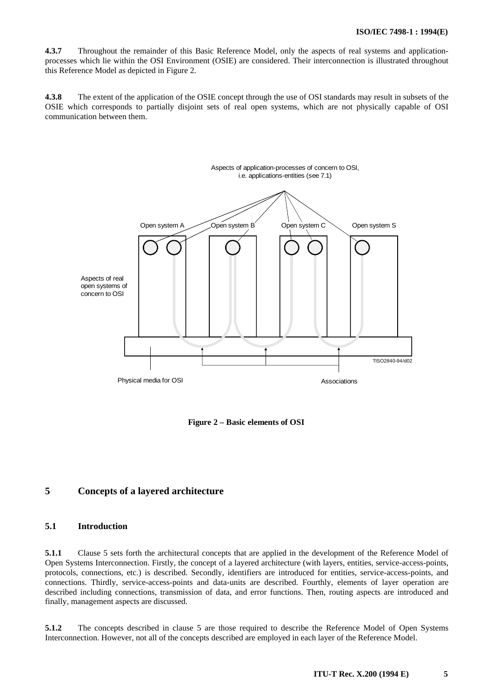<span id="page-8-0"></span>**4.3.7** Throughout the remainder of this Basic Reference Model, only the aspects of real systems and applicationprocesses which lie within the OSI Environment (OSIE) are considered. Their interconnection is illustrated throughout this Reference Model as depicted in Figure 2.

**4.3.8** The extent of the application of the OSIE concept through the use of OSI standards may result in subsets of the OSIE which corresponds to partially disjoint sets of real open systems, which are not physically capable of OSI communication between them.



**Figure 2 – Basic elements of OSI**

# **5 Concepts of a layered architecture**

# **5.1 Introduction**

**5.1.1** Clause 5 sets forth the architectural concepts that are applied in the development of the Reference Model of Open Systems Interconnection. Firstly, the concept of a layered architecture (with layers, entities, service-access-points, protocols, connections, etc.) is described. Secondly, identifiers are introduced for entities, service-access-points, and connections. Thirdly, service-access-points and data-units are described. Fourthly, elements of layer operation are described including connections, transmission of data, and error functions. Then, routing aspects are introduced and finally, management aspects are discussed.

**5.1.2** The concepts described in clause 5 are those required to describe the Reference Model of Open Systems Interconnection. However, not all of the concepts described are employed in each layer of the Reference Model.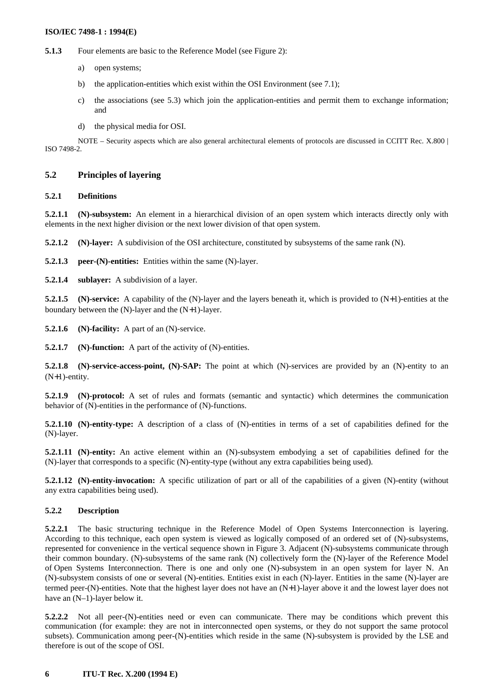<span id="page-9-0"></span>**5.1.3** Four elements are basic to the Reference Model (see Figure 2):

- a) open systems;
- b) the application-entities which exist within the OSI Environment (see 7.1);
- c) the associations (see 5.3) which join the application-entities and permit them to exchange information; and
- d) the physical media for OSI.

NOTE – Security aspects which are also general architectural elements of protocols are discussed in CCITT Rec. X.800 | ISO 7498-2.

## **5.2 Principles of layering**

# **5.2.1 Definitions**

**5.2.1.1 (N)-subsystem:** An element in a hierarchical division of an open system which interacts directly only with elements in the next higher division or the next lower division of that open system.

**5.2.1.2 (N)-layer:** A subdivision of the OSI architecture, constituted by subsystems of the same rank (N).

**5.2.1.3 peer-(N)-entities:** Entities within the same (N)-layer.

**5.2.1.4 sublayer:** A subdivision of a layer.

**5.2.1.5** (N)-service: A capability of the (N)-layer and the layers beneath it, which is provided to (N+1)-entities at the boundary between the (N)-layer and the (N+1)-layer.

**5.2.1.6** (N)-facility: A part of an (N)-service.

**5.2.1.7** (N)-function: A part of the activity of (N)-entities.

**5.2.1.8 (N)-service-access-point, (N)-SAP:** The point at which (N)-services are provided by an (N)-entity to an (N+1)-entity.

**5.2.1.9 (N)-protocol:** A set of rules and formats (semantic and syntactic) which determines the communication behavior of (N)-entities in the performance of (N)-functions.

**5.2.1.10 (N)-entity-type:** A description of a class of (N)-entities in terms of a set of capabilities defined for the (N)-layer.

**5.2.1.11 (N)-entity:** An active element within an (N)-subsystem embodying a set of capabilities defined for the (N)-layer that corresponds to a specific (N)-entity-type (without any extra capabilities being used).

**5.2.1.12** (N)-entity-invocation: A specific utilization of part or all of the capabilities of a given (N)-entity (without any extra capabilities being used).

## **5.2.2 Description**

**5.2.2.1** The basic structuring technique in the Reference Model of Open Systems Interconnection is layering. According to this technique, each open system is viewed as logically composed of an ordered set of (N)-subsystems, represented for convenience in the vertical sequence shown in Figure 3. Adjacent (N)-subsystems communicate through their common boundary. (N)-subsystems of the same rank (N) collectively form the (N)-layer of the Reference Model of Open Systems Interconnection. There is one and only one (N)-subsystem in an open system for layer N. An (N)-subsystem consists of one or several (N)-entities. Entities exist in each (N)-layer. Entities in the same (N)-layer are termed peer-(N)-entities. Note that the highest layer does not have an (N+1)-layer above it and the lowest layer does not have an  $(N-1)$ -layer below it.

**5.2.2.2** Not all peer-(N)-entities need or even can communicate. There may be conditions which prevent this communication (for example: they are not in interconnected open systems, or they do not support the same protocol subsets). Communication among peer-(N)-entities which reside in the same (N)-subsystem is provided by the LSE and therefore is out of the scope of OSI.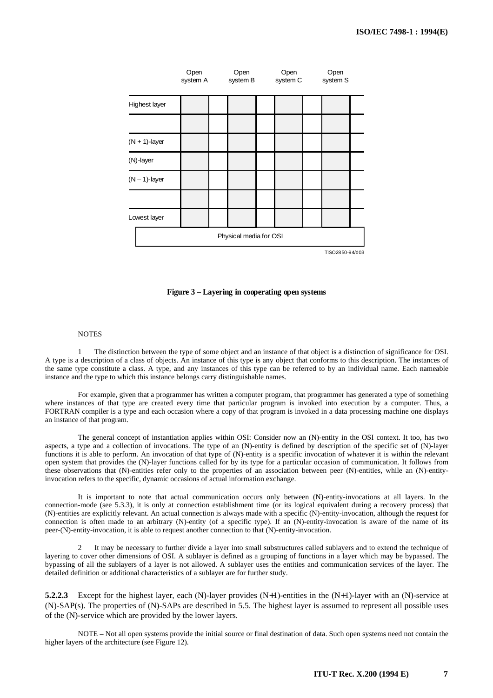|                  | Open<br>system A | Open<br>system B       | Open<br>system C | Open<br>system S |
|------------------|------------------|------------------------|------------------|------------------|
| Highest layer    |                  |                        |                  |                  |
|                  |                  |                        |                  |                  |
| $(N + 1)$ -layer |                  |                        |                  |                  |
| (N)-layer        |                  |                        |                  |                  |
| $(N - 1)$ -layer |                  |                        |                  |                  |
|                  |                  |                        |                  |                  |
| Lowest layer     |                  |                        |                  |                  |
|                  |                  | Physical media for OSI |                  |                  |
|                  |                  |                        |                  | TISO 2850-94/d03 |

#### **Figure 3 – Layering in cooperating open systems**

#### **NOTES**

1 The distinction between the type of some object and an instance of that object is a distinction of significance for OSI. A type is a description of a class of objects. An instance of this type is any object that conforms to this description. The instances of the same type constitute a class. A type, and any instances of this type can be referred to by an individual name. Each nameable instance and the type to which this instance belongs carry distinguishable names.

For example, given that a programmer has written a computer program, that programmer has generated a type of something where instances of that type are created every time that particular program is invoked into execution by a computer. Thus, a FORTRAN compiler is a type and each occasion where a copy of that program is invoked in a data processing machine one displays an instance of that program.

The general concept of instantiation applies within OSI: Consider now an (N)-entity in the OSI context. It too, has two aspects, a type and a collection of invocations. The type of an (N)-entity is defined by description of the specific set of (N)-layer functions it is able to perform. An invocation of that type of (N)-entity is a specific invocation of whatever it is within the relevant open system that provides the (N)-layer functions called for by its type for a particular occasion of communication. It follows from these observations that (N)-entities refer only to the properties of an association between peer (N)-entities, while an (N)-entityinvocation refers to the specific, dynamic occasions of actual information exchange.

It is important to note that actual communication occurs only between (N)-entity-invocations at all layers. In the connection-mode (see 5.3.3), it is only at connection establishment time (or its logical equivalent during a recovery process) that (N)-entities are explicitly relevant. An actual connection is always made with a specific (N)-entity-invocation, although the request for connection is often made to an arbitrary (N)-entity (of a specific type). If an (N)-entity-invocation is aware of the name of its peer-(N)-entity-invocation, it is able to request another connection to that (N)-entity-invocation.

2 It may be necessary to further divide a layer into small substructures called sublayers and to extend the technique of layering to cover other dimensions of OSI. A sublayer is defined as a grouping of functions in a layer which may be bypassed. The bypassing of all the sublayers of a layer is not allowed. A sublayer uses the entities and communication services of the layer. The detailed definition or additional characteristics of a sublayer are for further study.

**5.2.2.3** Except for the highest layer, each (N)-layer provides (N+1)-entities in the (N+1)-layer with an (N)-service at (N)-SAP(s). The properties of (N)-SAPs are described in 5.5. The highest layer is assumed to represent all possible uses of the (N)-service which are provided by the lower layers.

NOTE – Not all open systems provide the initial source or final destination of data. Such open systems need not contain the higher layers of the architecture (see Figure 12).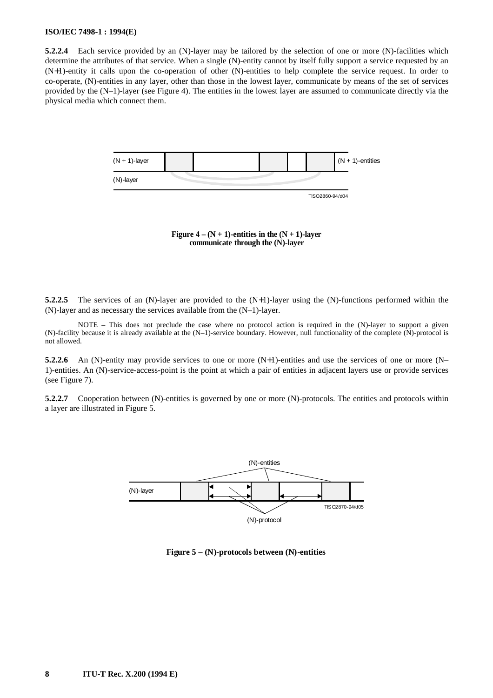**5.2.2.4** Each service provided by an (N)-layer may be tailored by the selection of one or more (N)-facilities which determine the attributes of that service. When a single (N)-entity cannot by itself fully support a service requested by an (N+1)-entity it calls upon the co-operation of other (N)-entities to help complete the service request. In order to co-operate, (N)-entities in any layer, other than those in the lowest layer, communicate by means of the set of services provided by the (N–1)-layer (see Figure 4). The entities in the lowest layer are assumed to communicate directly via the physical media which connect them.



Figure  $4 - (N + 1)$ -entities in the  $(N + 1)$ -layer **communicate through the (N)-layer**

**5.2.2.5** The services of an (N)-layer are provided to the (N+1)-layer using the (N)-functions performed within the (N)-layer and as necessary the services available from the (N–1)-layer.

NOTE – This does not preclude the case where no protocol action is required in the (N)-layer to support a given (N)-facility because it is already available at the (N–1)-service boundary. However, null functionality of the complete (N)-protocol is not allowed.

**5.2.2.6** An (N)-entity may provide services to one or more (N+1)-entities and use the services of one or more (N– 1)-entities. An (N)-service-access-point is the point at which a pair of entities in adjacent layers use or provide services (see Figure 7).

**5.2.2.7** Cooperation between (N)-entities is governed by one or more (N)-protocols. The entities and protocols within a layer are illustrated in Figure 5.



**Figure 5 – (N)-protocols between (N)-entities**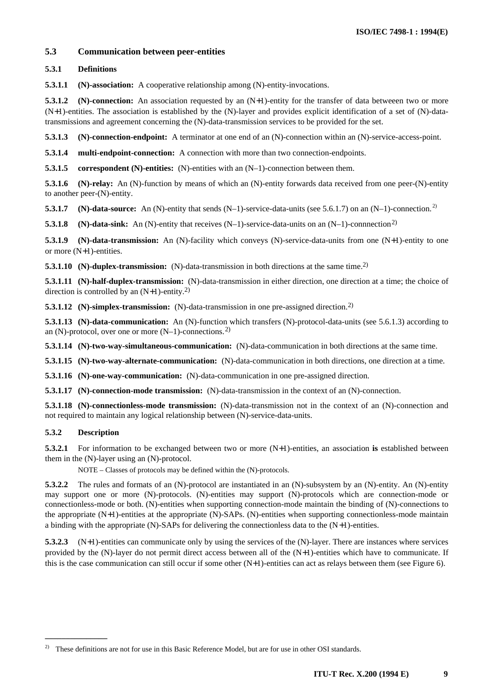# <span id="page-12-0"></span>**5.3 Communication between peer-entities**

# **5.3.1 Definitions**

**5.3.1.1 (N)-association:** A cooperative relationship among (N)-entity-invocations.

**5.3.1.2** (N)-connection: An association requested by an (N+1)-entity for the transfer of data betweeen two or more (N+1)-entities. The association is established by the (N)-layer and provides explicit identification of a set of (N)-datatransmissions and agreement concerning the (N)-data-transmission services to be provided for the set.

**5.3.1.3 (N)-connection-endpoint:** A terminator at one end of an (N)-connection within an (N)-service-access-point.

**5.3.1.4 multi-endpoint-connection:** A connection with more than two connection-endpoints.

**5.3.1.5 correspondent (N)-entities:** (N)-entities with an (N–1)-connection between them.

**5.3.1.6** (N)-relay: An (N)-function by means of which an (N)-entity forwards data received from one peer-(N)-entity to another peer-(N)-entity.

**5.3.1.7** (N)-data-source: An (N)-entity that sends (N–1)-service-data-units (see 5.6.1.7) on an (N–1)-connection.<sup>2)</sup>

**5.3.1.8** (N)-data-sink: An (N)-entity that receives (N–1)-service-data-units on an (N–1)-connnection<sup>2)</sup>

**5.3.1.9 (N)-data-transmission:** An (N)-facility which conveys (N)-service-data-units from one (N+1)-entity to one or more (N+1)-entities.

**5.3.1.10** (N)-duplex-transmission: (N)-data-transmission in both directions at the same time.<sup>2)</sup>

**5.3.1.11 (N)-half-duplex-transmission:** (N)-data-transmission in either direction, one direction at a time; the choice of direction is controlled by an  $(N+1)$ -entity.<sup>2)</sup>

**5.3.1.12** (N)-simplex-transmission: (N)-data-transmission in one pre-assigned direction.<sup>2)</sup>

**5.3.1.13 (N)-data-communication:** An (N)-function which transfers (N)-protocol-data-units (see 5.6.1.3) according to an  $(N)$ -protocol, over one or more  $(N-1)$ -connections.<sup>2)</sup>

**5.3.1.14 (N)-two-way-simultaneous-communication:** (N)-data-communication in both directions at the same time.

**5.3.1.15 (N)-two-way-alternate-communication:** (N)-data-communication in both directions, one direction at a time.

**5.3.1.16 (N)-one-way-communication:** (N)-data-communication in one pre-assigned direction.

**5.3.1.17 (N)-connection-mode transmission:** (N)-data-transmission in the context of an (N)-connection.

**5.3.1.18 (N)-connectionless-mode transmission:** (N)-data-transmission not in the context of an (N)-connection and not required to maintain any logical relationship between (N)-service-data-units.

# **5.3.2 Description**

 $\mathcal{L}_\text{max}$ 

**5.3.2.1** For information to be exchanged between two or more (N+1)-entities, an association **is** established between them in the (N)-layer using an (N)-protocol.

NOTE – Classes of protocols may be defined within the (N)-protocols.

**5.3.2.2** The rules and formats of an (N)-protocol are instantiated in an (N)-subsystem by an (N)-entity. An (N)-entity may support one or more (N)-protocols. (N)-entities may support (N)-protocols which are connection-mode or connectionless-mode or both. (N)-entities when supporting connection-mode maintain the binding of (N)-connections to the appropriate (N+1)-entities at the appropriate (N)-SAPs. (N)-entities when supporting connectionless-mode maintain a binding with the appropriate (N)-SAPs for delivering the connectionless data to the (N+1)-entities.

**5.3.2.3** (N+1)-entities can communicate only by using the services of the (N)-layer. There are instances where services provided by the (N)-layer do not permit direct access between all of the (N+1)-entities which have to communicate. If this is the case communication can still occur if some other (N+1)-entities can act as relays between them (see Figure 6).

<sup>2)</sup> These definitions are not for use in this Basic Reference Model, but are for use in other OSI standards.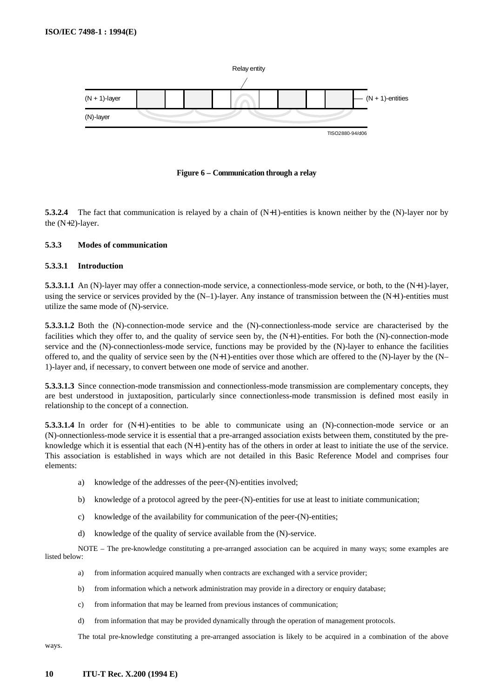

#### **Figure 6 – Communication through a relay**

**5.3.2.4** The fact that communication is relayed by a chain of (N+1)-entities is known neither by the (N)-layer nor by the (N+2)-layer.

#### **5.3.3 Modes of communication**

#### **5.3.3.1 Introduction**

**5.3.3.1.1** An (N)-layer may offer a connection-mode service, a connectionless-mode service, or both, to the (N+1)-layer, using the service or services provided by the  $(N-1)$ -layer. Any instance of transmission between the  $(N+1)$ -entities must utilize the same mode of (N)-service.

**5.3.3.1.2** Both the (N)-connection-mode service and the (N)-connectionless-mode service are characterised by the facilities which they offer to, and the quality of service seen by, the (N+1)-entities. For both the (N)-connection-mode service and the (N)-connectionless-mode service, functions may be provided by the (N)-layer to enhance the facilities offered to, and the quality of service seen by the  $(N+1)$ -entities over those which are offered to the  $(N)$ -layer by the  $(N-$ 1)-layer and, if necessary, to convert between one mode of service and another.

**5.3.3.1.3** Since connection-mode transmission and connectionless-mode transmission are complementary concepts, they are best understood in juxtaposition, particularly since connectionless-mode transmission is defined most easily in relationship to the concept of a connection.

**5.3.3.1.4** In order for  $(N+1)$ -entities to be able to communicate using an  $(N)$ -connection-mode service or an (N)-onnectionless-mode service it is essential that a pre-arranged association exists between them, constituted by the preknowledge which it is essential that each (N+1)-entity has of the others in order at least to initiate the use of the service. This association is established in ways which are not detailed in this Basic Reference Model and comprises four elements:

- a) knowledge of the addresses of the peer-(N)-entities involved;
- b) knowledge of a protocol agreed by the peer-(N)-entities for use at least to initiate communication;
- c) knowledge of the availability for communication of the peer-(N)-entities;
- d) knowledge of the quality of service available from the (N)-service.

NOTE – The pre-knowledge constituting a pre-arranged association can be acquired in many ways; some examples are listed below:

- a) from information acquired manually when contracts are exchanged with a service provider;
- b) from information which a network administration may provide in a directory or enquiry database;
- c) from information that may be learned from previous instances of communication;
- d) from information that may be provided dynamically through the operation of management protocols.

The total pre-knowledge constituting a pre-arranged association is likely to be acquired in a combination of the above ways.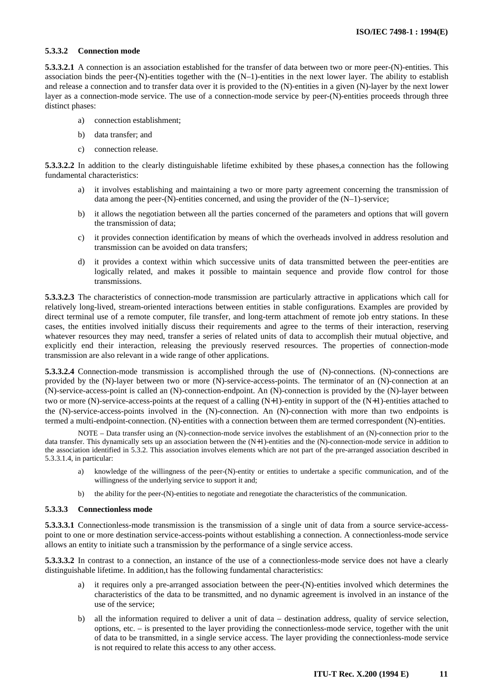#### **5.3.3.2 Connection mode**

**5.3.3.2.1** A connection is an association established for the transfer of data between two or more peer-(N)-entities. This association binds the peer- $(N)$ -entities together with the  $(N-1)$ -entities in the next lower layer. The ability to establish and release a connection and to transfer data over it is provided to the (N)-entities in a given (N)-layer by the next lower layer as a connection-mode service. The use of a connection-mode service by peer-(N)-entities proceeds through three distinct phases:

- a) connection establishment;
- b) data transfer; and
- c) connection release.

**5.3.3.2.2** In addition to the clearly distinguishable lifetime exhibited by these phases,a connection has the following fundamental characteristics:

- a) it involves establishing and maintaining a two or more party agreement concerning the transmission of data among the peer- $(N)$ -entities concerned, and using the provider of the  $(N-1)$ -service;
- b) it allows the negotiation between all the parties concerned of the parameters and options that will govern the transmission of data;
- c) it provides connection identification by means of which the overheads involved in address resolution and transmission can be avoided on data transfers;
- d) it provides a context within which successive units of data transmitted between the peer-entities are logically related, and makes it possible to maintain sequence and provide flow control for those transmissions.

**5.3.3.2.3** The characteristics of connection-mode transmission are particularly attractive in applications which call for relatively long-lived, stream-oriented interactions between entities in stable configurations. Examples are provided by direct terminal use of a remote computer, file transfer, and long-term attachment of remote job entry stations. In these cases, the entities involved initially discuss their requirements and agree to the terms of their interaction, reserving whatever resources they may need, transfer a series of related units of data to accomplish their mutual objective, and explicitly end their interaction, releasing the previously reserved resources. The properties of connection-mode transmission are also relevant in a wide range of other applications.

**5.3.3.2.4** Connection-mode transmission is accomplished through the use of (N)-connections. (N)-connections are provided by the (N)-layer between two or more (N)-service-access-points. The terminator of an (N)-connection at an (N)-service-access-point is called an (N)-connection-endpoint. An (N)-connection is provided by the (N)-layer between two or more (N)-service-access-points at the request of a calling (N+1)-entity in support of the (N+1)-entities attached to the (N)-service-access-points involved in the (N)-connection. An (N)-connection with more than two endpoints is termed a multi-endpoint-connection. (N)-entities with a connection between them are termed correspondent (N)-entities.

NOTE – Data transfer using an (N)-connection-mode service involves the establishment of an (N)-connection prior to the data transfer. This dynamically sets up an association between the (N+1)-entities and the (N)-connection-mode service in addition to the association identified in 5.3.2. This association involves elements which are not part of the pre-arranged association described in 5.3.3.1.4, in particular:

- a) knowledge of the willingness of the peer-(N)-entity or entities to undertake a specific communication, and of the willingness of the underlying service to support it and;
- b) the ability for the peer-(N)-entities to negotiate and renegotiate the characteristics of the communication.

#### **5.3.3.3 Connectionless mode**

**5.3.3.3.1** Connectionless-mode transmission is the transmission of a single unit of data from a source service-accesspoint to one or more destination service-access-points without establishing a connection. A connectionless-mode service allows an entity to initiate such a transmission by the performance of a single service access.

**5.3.3.3.2** In contrast to a connection, an instance of the use of a connectionless-mode service does not have a clearly distinguishable lifetime. In addition,t has the following fundamental characteristics:

- it requires only a pre-arranged association between the peer-(N)-entities involved which determines the characteristics of the data to be transmitted, and no dynamic agreement is involved in an instance of the use of the service;
- b) all the information required to deliver a unit of data destination address, quality of service selection, options, etc. – is presented to the layer providing the connectionless-mode service, together with the unit of data to be transmitted, in a single service access. The layer providing the connectionless-mode service is not required to relate this access to any other access.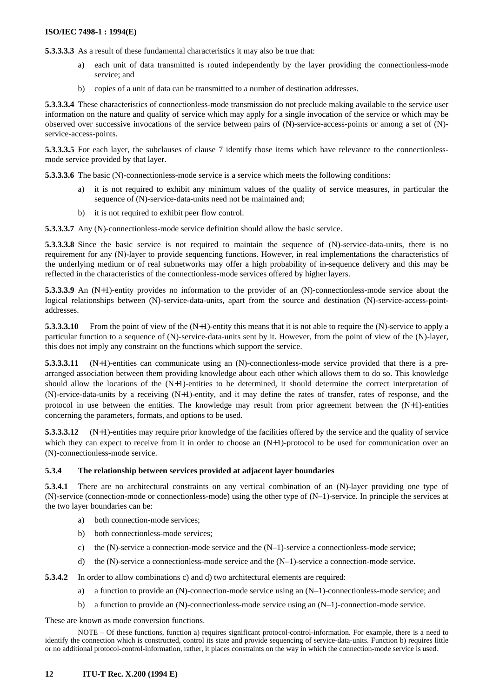**5.3.3.3.3** As a result of these fundamental characteristics it may also be true that:

- a) each unit of data transmitted is routed independently by the layer providing the connectionless-mode service; and
- b) copies of a unit of data can be transmitted to a number of destination addresses.

**5.3.3.3.4** These characteristics of connectionless-mode transmission do not preclude making available to the service user information on the nature and quality of service which may apply for a single invocation of the service or which may be observed over successive invocations of the service between pairs of (N)-service-access-points or among a set of (N) service-access-points.

**5.3.3.3.5** For each layer, the subclauses of clause 7 identify those items which have relevance to the connectionlessmode service provided by that layer.

**5.3.3.3.6** The basic (N)-connectionless-mode service is a service which meets the following conditions:

- it is not required to exhibit any minimum values of the quality of service measures, in particular the sequence of (N)-service-data-units need not be maintained and;
- b) it is not required to exhibit peer flow control.

**5.3.3.3.7** Any (N)-connectionless-mode service definition should allow the basic service.

**5.3.3.3.8** Since the basic service is not required to maintain the sequence of (N)-service-data-units, there is no requirement for any (N)-layer to provide sequencing functions. However, in real implementations the characteristics of the underlying medium or of real subnetworks may offer a high probability of in-sequence delivery and this may be reflected in the characteristics of the connectionless-mode services offered by higher layers.

**5.3.3.3.9** An (N+1)-entity provides no information to the provider of an (N)-connectionless-mode service about the logical relationships between (N)-service-data-units, apart from the source and destination (N)-service-access-pointaddresses.

**5.3.3.3.10** From the point of view of the (N+1)-entity this means that it is not able to require the (N)-service to apply a particular function to a sequence of (N)-service-data-units sent by it. However, from the point of view of the (N)-layer, this does not imply any constraint on the functions which support the service.

**5.3.3.3.11** (N+1)-entities can communicate using an (N)-connectionless-mode service provided that there is a prearranged association between them providing knowledge about each other which allows them to do so. This knowledge should allow the locations of the  $(N+1)$ -entities to be determined, it should determine the correct interpretation of (N)-ervice-data-units by a receiving (N+1)-entity, and it may define the rates of transfer, rates of response, and the protocol in use between the entities. The knowledge may result from prior agreement between the (N+1)-entities concerning the parameters, formats, and options to be used.

**5.3.3.3.12** (N+1)-entities may require prior knowledge of the facilities offered by the service and the quality of service which they can expect to receive from it in order to choose an  $(N+1)$ -protocol to be used for communication over an (N)-connectionless-mode service.

#### **5.3.4 The relationship between services provided at adjacent layer boundaries**

**5.3.4.1** There are no architectural constraints on any vertical combination of an (N)-layer providing one type of (N)-service (connection-mode or connectionless-mode) using the other type of (N–1)-service. In principle the services at the two layer boundaries can be:

- a) both connection-mode services;
- b) both connectionless-mode services;
- c) the  $(N)$ -service a connection-mode service and the  $(N-1)$ -service a connectionless-mode service;
- d) the  $(N)$ -service a connectionless-mode service and the  $(N-1)$ -service a connection-mode service.

**5.3.4.2** In order to allow combinations c) and d) two architectural elements are required:

- a) a function to provide an (N)-connection-mode service using an (N–1)-connectionless-mode service; and
- b) a function to provide an (N)-connectionless-mode service using an  $(N-1)$ -connection-mode service.

These are known as mode conversion functions.

NOTE – Of these functions, function a) requires significant protocol-control-information. For example, there is a need to identify the connection which is constructed, control its state and provide sequencing of service-data-units. Function b) requires little or no additional protocol-control-information, rather, it places constraints on the way in which the connection-mode service is used.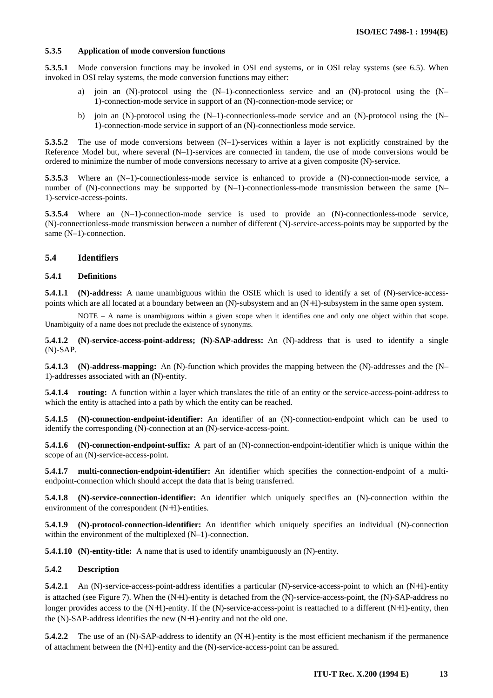## <span id="page-16-0"></span>**5.3.5 Application of mode conversion functions**

**5.3.5.1** Mode conversion functions may be invoked in OSI end systems, or in OSI relay systems (see 6.5). When invoked in OSI relay systems, the mode conversion functions may either:

- a) join an (N)-protocol using the (N–1)-connectionless service and an (N)-protocol using the (N– 1)-connection-mode service in support of an (N)-connection-mode service; or
- b) join an (N)-protocol using the (N–1)-connectionless-mode service and an (N)-protocol using the (N– 1)-connection-mode service in support of an (N)-connectionless mode service.

**5.3.5.2** The use of mode conversions between  $(N-1)$ -services within a layer is not explicitly constrained by the Reference Model but, where several (N–1)-services are connected in tandem, the use of mode conversions would be ordered to minimize the number of mode conversions necessary to arrive at a given composite (N)-service.

**5.3.5.3** Where an (N–1)-connectionless-mode service is enhanced to provide a (N)-connection-mode service, a number of (N)-connections may be supported by  $(N-1)$ -connectionless-mode transmission between the same  $(N-$ 1)-service-access-points.

**5.3.5.4** Where an (N–1)-connection-mode service is used to provide an (N)-connectionless-mode service, (N)-connectionless-mode transmission between a number of different (N)-service-access-points may be supported by the same (N–1)-connection.

## **5.4 Identifiers**

#### **5.4.1 Definitions**

**5.4.1.1** (N)-address: A name unambiguous within the OSIE which is used to identify a set of (N)-service-accesspoints which are all located at a boundary between an (N)-subsystem and an (N+1)-subsystem in the same open system.

NOTE – A name is unambiguous within a given scope when it identifies one and only one object within that scope. Unambiguity of a name does not preclude the existence of synonyms.

**5.4.1.2 (N)-service-access-point-address; (N)-SAP-address:** An (N)-address that is used to identify a single (N)-SAP.

**5.4.1.3 (N)-address-mapping:** An (N)-function which provides the mapping between the (N)-addresses and the (N– 1)-addresses associated with an (N)-entity.

**5.4.1.4 routing:** A function within a layer which translates the title of an entity or the service-access-point-address to which the entity is attached into a path by which the entity can be reached.

**5.4.1.5 (N)-connection-endpoint-identifier:** An identifier of an (N)-connection-endpoint which can be used to identify the corresponding (N)-connection at an (N)-service-access-point.

**5.4.1.6 (N)-connection-endpoint-suffix:** A part of an (N)-connection-endpoint-identifier which is unique within the scope of an (N)-service-access-point.

**5.4.1.7 multi-connection-endpoint-identifier:** An identifier which specifies the connection-endpoint of a multiendpoint-connection which should accept the data that is being transferred.

**5.4.1.8 (N)-service-connection-identifier:** An identifier which uniquely specifies an (N)-connection within the environment of the correspondent (N+1)-entities.

**5.4.1.9 (N)-protocol-connection-identifier:** An identifier which uniquely specifies an individual (N)-connection within the environment of the multiplexed  $(N-1)$ -connection.

**5.4.1.10 (N)-entity-title:** A name that is used to identify unambiguously an (N)-entity.

## **5.4.2 Description**

**5.4.2.1** An (N)-service-access-point-address identifies a particular (N)-service-access-point to which an (N+1)-entity is attached (see Figure 7). When the (N+1)-entity is detached from the (N)-service-access-point, the (N)-SAP-address no longer provides access to the (N+1)-entity. If the (N)-service-access-point is reattached to a different (N+1)-entity, then the (N)-SAP-address identifies the new (N+1)-entity and not the old one.

**5.4.2.2** The use of an (N)-SAP-address to identify an (N+1)-entity is the most efficient mechanism if the permanence of attachment between the (N+1)-entity and the (N)-service-access-point can be assured.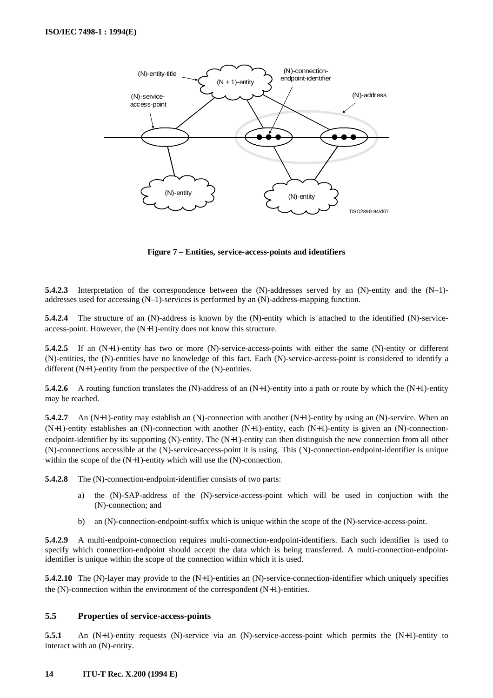<span id="page-17-0"></span>

**Figure 7 – Entities, service-access-points and identifiers**

**5.4.2.3** Interpretation of the correspondence between the (N)-addresses served by an (N)-entity and the (N–1)addresses used for accessing (N–1)-services is performed by an (N)-address-mapping function.

**5.4.2.4** The structure of an (N)-address is known by the (N)-entity which is attached to the identified (N)-serviceaccess-point. However, the (N+1)-entity does not know this structure.

**5.4.2.5** If an (N+1)-entity has two or more (N)-service-access-points with either the same (N)-entity or different (N)-entities, the (N)-entities have no knowledge of this fact. Each (N)-service-access-point is considered to identify a different (N+1)-entity from the perspective of the (N)-entities.

**5.4.2.6** A routing function translates the (N)-address of an (N+1)-entity into a path or route by which the (N+1)-entity may be reached.

**5.4.2.7** An (N+1)-entity may establish an (N)-connection with another (N+1)-entity by using an (N)-service. When an (N+1)-entity establishes an (N)-connection with another (N+1)-entity, each (N+1)-entity is given an (N)-connectionendpoint-identifier by its supporting (N)-entity. The (N+1)-entity can then distinguish the new connection from all other (N)-connections accessible at the (N)-service-access-point it is using. This (N)-connection-endpoint-identifier is unique within the scope of the  $(N+1)$ -entity which will use the  $(N)$ -connection.

**5.4.2.8** The (N)-connection-endpoint-identifier consists of two parts:

- a) the (N)-SAP-address of the (N)-service-access-point which will be used in conjuction with the (N)-connection; and
- b) an (N)-connection-endpoint-suffix which is unique within the scope of the (N)-service-access-point.

**5.4.2.9** A multi-endpoint-connection requires multi-connection-endpoint-identifiers. Each such identifier is used to specify which connection-endpoint should accept the data which is being transferred. A multi-connection-endpointidentifier is unique within the scope of the connection within which it is used.

**5.4.2.10** The (N)-layer may provide to the (N+1)-entities an (N)-service-connection-identifier which uniquely specifies the  $(N)$ -connection within the environment of the correspondent  $(N+1)$ -entities.

#### **5.5 Properties of service-access-points**

**5.5.1** An (N+1)-entity requests (N)-service via an (N)-service-access-point which permits the (N+1)-entity to interact with an (N)-entity.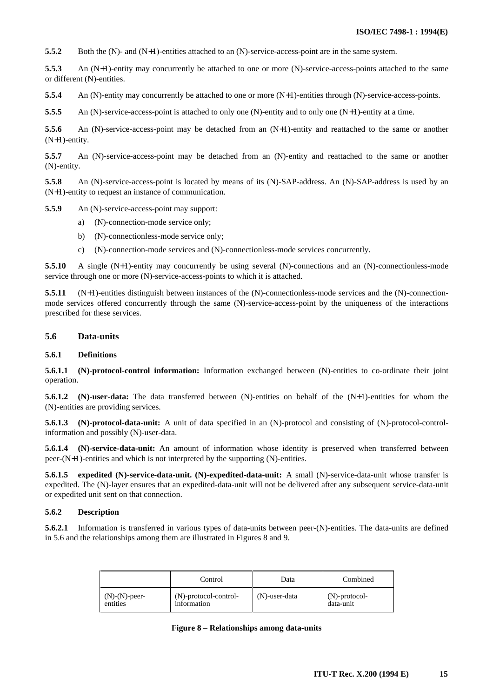<span id="page-18-0"></span>**5.5.2** Both the (N)- and (N+1)-entities attached to an (N)-service-access-point are in the same system.

**5.5.3** An (N+1)-entity may concurrently be attached to one or more (N)-service-access-points attached to the same or different (N)-entities.

**5.5.4** An (N)-entity may concurrently be attached to one or more (N+1)-entities through (N)-service-access-points.

**5.5.5** An (N)-service-access-point is attached to only one (N)-entity and to only one (N+1)-entity at a time.

**5.5.6** An (N)-service-access-point may be detached from an (N+1)-entity and reattached to the same or another (N+1)-entity.

**5.5.7** An (N)-service-access-point may be detached from an (N)-entity and reattached to the same or another (N)-entity.

**5.5.8** An (N)-service-access-point is located by means of its (N)-SAP-address. An (N)-SAP-address is used by an (N+1)-entity to request an instance of communication.

**5.5.9** An (N)-service-access-point may support:

- a) (N)-connection-mode service only;
- b) (N)-connectionless-mode service only;
- c) (N)-connection-mode services and (N)-connectionless-mode services concurrently.

**5.5.10** A single (N+1)-entity may concurrently be using several (N)-connections and an (N)-connectionless-mode service through one or more (N)-service-access-points to which it is attached.

**5.5.11** (N+1)-entities distinguish between instances of the (N)-connectionless-mode services and the (N)-connectionmode services offered concurrently through the same (N)-service-access-point by the uniqueness of the interactions prescribed for these services.

#### **5.6 Data-units**

#### **5.6.1 Definitions**

**5.6.1.1 (N)-protocol-control information:** Information exchanged between (N)-entities to co-ordinate their joint operation.

**5.6.1.2** (N)-user-data: The data transferred between (N)-entities on behalf of the (N+1)-entities for whom the (N)-entities are providing services.

**5.6.1.3 (N)-protocol-data-unit:** A unit of data specified in an (N)-protocol and consisting of (N)-protocol-controlinformation and possibly (N)-user-data.

**5.6.1.4 (N)-service-data-unit:** An amount of information whose identity is preserved when transferred between peer-(N+1)-entities and which is not interpreted by the supporting (N)-entities.

**5.6.1.5 expedited (N)-service-data-unit. (N)-expedited-data-unit:** A small (N)-service-data-unit whose transfer is expedited. The (N)-layer ensures that an expedited-data-unit will not be delivered after any subsequent service-data-unit or expedited unit sent on that connection.

#### **5.6.2 Description**

**5.6.2.1** Information is transferred in various types of data-units between peer-(N)-entities. The data-units are defined in 5.6 and the relationships among them are illustrated in Figures 8 and 9.

|                  | Control               | Data          | Combined         |
|------------------|-----------------------|---------------|------------------|
| $(N)-(N)$ -peer- | (N)-protocol-control- | (N)-user-data | $(N)$ -protocol- |
| entities         | information           |               | data-unit        |

|  |  | Figure 8 - Relationships among data-units |  |  |
|--|--|-------------------------------------------|--|--|
|--|--|-------------------------------------------|--|--|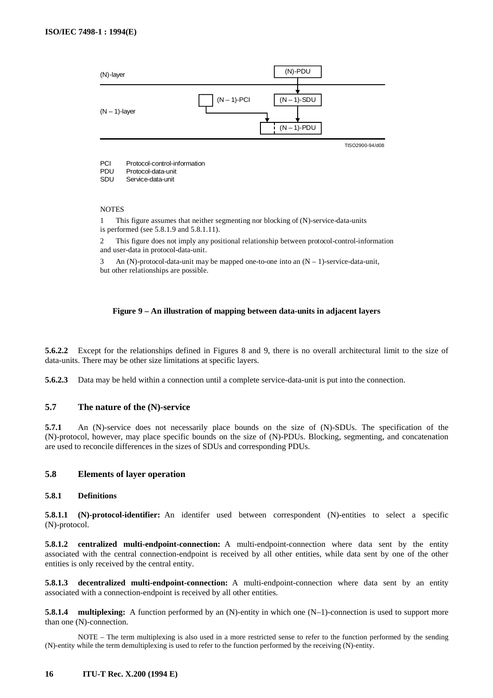<span id="page-19-0"></span>

#### **NOTES**

1 This figure assumes that neither segmenting nor blocking of (N)-service-data-units is performed (see 5.8.1.9 and 5.8.1.11).

2 This figure does not imply any positional relationship between protocol-control-information and user-data in protocol-data-unit.

3 An  $(N)$ -protocol-data-unit may be mapped one-to-one into an  $(N - 1)$ -service-data-unit, but other relationships are possible.

#### **Figure 9 – An illustration of mapping between data-units in adjacent layers**

**5.6.2.2** Except for the relationships defined in Figures 8 and 9, there is no overall architectural limit to the size of data-units. There may be other size limitations at specific layers.

**5.6.2.3** Data may be held within a connection until a complete service-data-unit is put into the connection.

#### **5.7 The nature of the (N)-service**

**5.7.1** An (N)-service does not necessarily place bounds on the size of (N)-SDUs. The specification of the (N)-protocol, however, may place specific bounds on the size of (N)-PDUs. Blocking, segmenting, and concatenation are used to reconcile differences in the sizes of SDUs and corresponding PDUs.

#### **5.8 Elements of layer operation**

# **5.8.1 Definitions**

**5.8.1.1 (N)-protocol-identifier:** An identifer used between correspondent (N)-entities to select a specific (N)-protocol.

**5.8.1.2 centralized multi-endpoint-connection:** A multi-endpoint-connection where data sent by the entity associated with the central connection-endpoint is received by all other entities, while data sent by one of the other entities is only received by the central entity.

**5.8.1.3 decentralized multi-endpoint-connection:** A multi-endpoint-connection where data sent by an entity associated with a connection-endpoint is received by all other entities.

**5.8.1.4 multiplexing:** A function performed by an (N)-entity in which one (N–1)-connection is used to support more than one (N)-connection.

NOTE – The term multiplexing is also used in a more restricted sense to refer to the function performed by the sending (N)-entity while the term demultiplexing is used to refer to the function performed by the receiving (N)-entity.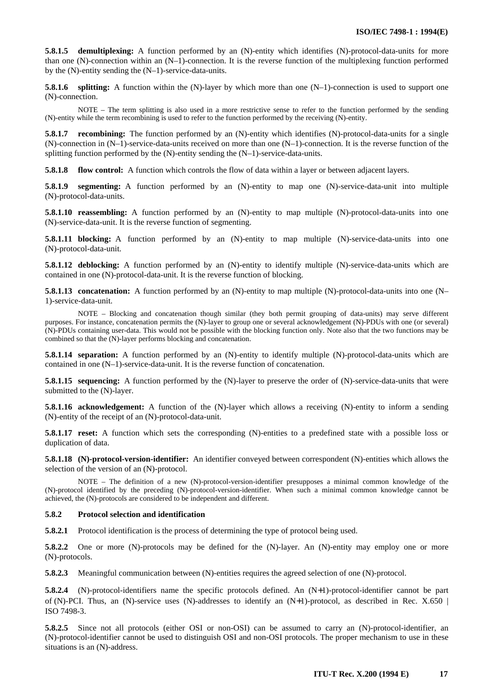**5.8.1.5 demultiplexing:** A function performed by an (N)-entity which identifies (N)-protocol-data-units for more than one (N)-connection within an  $(N-1)$ -connection. It is the reverse function of the multiplexing function performed by the (N)-entity sending the (N–1)-service-data-units.

**5.8.1.6 splitting:** A function within the (N)-layer by which more than one (N–1)-connection is used to support one (N)-connection.

NOTE – The term splitting is also used in a more restrictive sense to refer to the function performed by the sending (N)-entity while the term recombining is used to refer to the function performed by the receiving (N)-entity.

**5.8.1.7 recombining:** The function performed by an (N)-entity which identifies (N)-protocol-data-units for a single  $(N)$ -connection in  $(N-1)$ -service-data-units received on more than one  $(N-1)$ -connection. It is the reverse function of the splitting function performed by the (N)-entity sending the (N–1)-service-data-units.

**5.8.1.8 flow control:** A function which controls the flow of data within a layer or between adjacent layers.

**5.8.1.9 segmenting:** A function performed by an (N)-entity to map one (N)-service-data-unit into multiple (N)-protocol-data-units.

**5.8.1.10 reassembling:** A function performed by an (N)-entity to map multiple (N)-protocol-data-units into one (N)-service-data-unit. It is the reverse function of segmenting.

**5.8.1.11 blocking:** A function performed by an (N)-entity to map multiple (N)-service-data-units into one (N)-protocol-data-unit.

**5.8.1.12 deblocking:** A function performed by an (N)-entity to identify multiple (N)-service-data-units which are contained in one (N)-protocol-data-unit. It is the reverse function of blocking.

**5.8.1.13 concatenation:** A function performed by an (N)-entity to map multiple (N)-protocol-data-units into one (N– 1)-service-data-unit.

NOTE – Blocking and concatenation though similar (they both permit grouping of data-units) may serve different purposes. For instance, concatenation permits the (N)-layer to group one or several acknowledgement (N)-PDUs with one (or several) (N)-PDUs containing user-data. This would not be possible with the blocking function only. Note also that the two functions may be combined so that the (N)-layer performs blocking and concatenation.

**5.8.1.14 separation:** A function performed by an (N)-entity to identify multiple (N)-protocol-data-units which are contained in one  $(N-1)$ -service-data-unit. It is the reverse function of concatenation.

**5.8.1.15 sequencing:** A function performed by the (N)-layer to preserve the order of (N)-service-data-units that were submitted to the (N)-layer.

**5.8.1.16 acknowledgement:** A function of the (N)-layer which allows a receiving (N)-entity to inform a sending (N)-entity of the receipt of an (N)-protocol-data-unit.

**5.8.1.17 reset:** A function which sets the corresponding (N)-entities to a predefined state with a possible loss or duplication of data.

**5.8.1.18 (N)-protocol-version-identifier:** An identifier conveyed between correspondent (N)-entities which allows the selection of the version of an (N)-protocol.

NOTE – The definition of a new (N)-protocol-version-identifier presupposes a minimal common knowledge of the (N)-protocol identified by the preceding (N)-protocol-version-identifier. When such a minimal common knowledge cannot be achieved, the (N)-protocols are considered to be independent and different.

## **5.8.2 Protocol selection and identification**

**5.8.2.1** Protocol identification is the process of determining the type of protocol being used.

**5.8.2.2** One or more (N)-protocols may be defined for the (N)-layer. An (N)-entity may employ one or more (N)-protocols.

**5.8.2.3** Meaningful communication between (N)-entities requires the agreed selection of one (N)-protocol.

**5.8.2.4** (N)-protocol-identifiers name the specific protocols defined. An (N+1)-protocol-identifier cannot be part of (N)-PCI. Thus, an (N)-service uses (N)-addresses to identify an  $(N+1)$ -protocol, as described in Rec. X.650 | ISO 7498-3.

**5.8.2.5** Since not all protocols (either OSI or non-OSI) can be assumed to carry an (N)-protocol-identifier, an (N)-protocol-identifier cannot be used to distinguish OSI and non-OSI protocols. The proper mechanism to use in these situations is an (N)-address.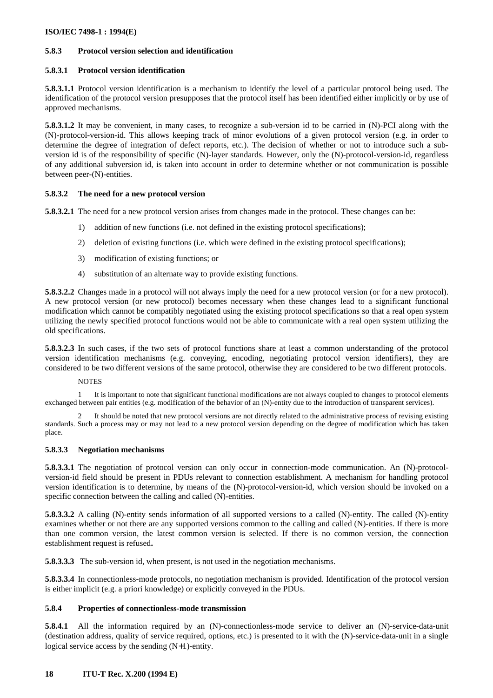# **5.8.3 Protocol version selection and identification**

# **5.8.3.1 Protocol version identification**

**5.8.3.1.1** Protocol version identification is a mechanism to identify the level of a particular protocol being used. The identification of the protocol version presupposes that the protocol itself has been identified either implicitly or by use of approved mechanisms.

**5.8.3.1.2** It may be convenient, in many cases, to recognize a sub-version id to be carried in (N)-PCI along with the (N)-protocol-version-id. This allows keeping track of minor evolutions of a given protocol version (e.g. in order to determine the degree of integration of defect reports, etc.). The decision of whether or not to introduce such a subversion id is of the responsibility of specific (N)-layer standards. However, only the (N)-protocol-version-id, regardless of any additional subversion id, is taken into account in order to determine whether or not communication is possible between peer-(N)-entities.

## **5.8.3.2 The need for a new protocol version**

**5.8.3.2.1** The need for a new protocol version arises from changes made in the protocol. These changes can be:

- 1) addition of new functions (i.e. not defined in the existing protocol specifications);
- 2) deletion of existing functions (i.e. which were defined in the existing protocol specifications);
- 3) modification of existing functions; or
- 4) substitution of an alternate way to provide existing functions.

**5.8.3.2.2** Changes made in a protocol will not always imply the need for a new protocol version (or for a new protocol). A new protocol version (or new protocol) becomes necessary when these changes lead to a significant functional modification which cannot be compatibly negotiated using the existing protocol specifications so that a real open system utilizing the newly specified protocol functions would not be able to communicate with a real open system utilizing the old specifications.

**5.8.3.2.3** In such cases, if the two sets of protocol functions share at least a common understanding of the protocol version identification mechanisms (e.g. conveying, encoding, negotiating protocol version identifiers), they are considered to be two different versions of the same protocol, otherwise they are considered to be two different protocols.

## **NOTES**

1 It is important to note that significant functional modifications are not always coupled to changes to protocol elements exchanged between pair entities (e.g. modification of the behavior of an (N)-entity due to the introduction of transparent services).

2 It should be noted that new protocol versions are not directly related to the administrative process of revising existing standards. Such a process may or may not lead to a new protocol version depending on the degree of modification which has taken place.

## **5.8.3.3 Negotiation mechanisms**

**5.8.3.3.1** The negotiation of protocol version can only occur in connection-mode communication. An (N)-protocolversion-id field should be present in PDUs relevant to connection establishment. A mechanism for handling protocol version identification is to determine, by means of the (N)-protocol-version-id, which version should be invoked on a specific connection between the calling and called (N)-entities.

**5.8.3.3.2** A calling (N)-entity sends information of all supported versions to a called (N)-entity. The called (N)-entity examines whether or not there are any supported versions common to the calling and called (N)-entities. If there is more than one common version, the latest common version is selected. If there is no common version, the connection establishment request is refused**.**

**5.8.3.3.3** The sub-version id, when present, is not used in the negotiation mechanisms.

**5.8.3.3.4** In connectionless-mode protocols, no negotiation mechanism is provided. Identification of the protocol version is either implicit (e.g. a priori knowledge) or explicitly conveyed in the PDUs.

# **5.8.4 Properties of connectionless-mode transmission**

**5.8.4.1** All the information required by an (N)-connectionless-mode service to deliver an (N)-service-data-unit (destination address, quality of service required, options, etc.) is presented to it with the (N)-service-data-unit in a single logical service access by the sending (N+1)-entity.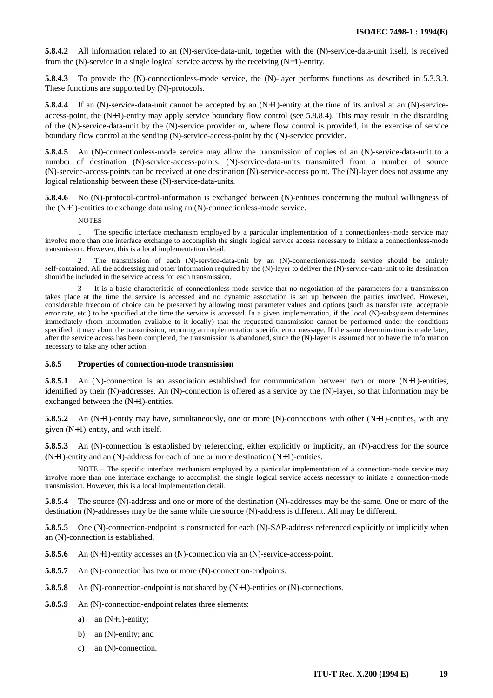**5.8.4.2** All information related to an (N)-service-data-unit, together with the (N)-service-data-unit itself, is received from the (N)-service in a single logical service access by the receiving (N+1)-entity.

**5.8.4.3** To provide the (N)-connectionless-mode service, the (N)-layer performs functions as described in 5.3.3.3. These functions are supported by (N)-protocols.

**5.8.4.4** If an (N)-service-data-unit cannot be accepted by an (N+1)-entity at the time of its arrival at an (N)-serviceaccess-point, the  $(N+1)$ -entity may apply service boundary flow control (see 5.8.8.4). This may result in the discarding of the (N)-service-data-unit by the (N)-service provider or, where flow control is provided, in the exercise of service boundary flow control at the sending (N)-service-access-point by the (N)-service provider**.**

**5.8.4.5** An (N)-connectionless-mode service may allow the transmission of copies of an (N)-service-data-unit to a number of destination (N)-service-access-points. (N)-service-data-units transmitted from a number of source (N)-service-access-points can be received at one destination (N)-service-access point. The (N)-layer does not assume any logical relationship between these (N)-service-data-units.

**5.8.4.6** No (N)-protocol-control-information is exchanged between (N)-entities concerning the mutual willingness of the (N+1)-entities to exchange data using an (N)-connectionless-mode service.

#### **NOTES**

1 The specific interface mechanism employed by a particular implementation of a connectionless-mode service may involve more than one interface exchange to accomplish the single logical service access necessary to initiate a connectionless-mode transmission. However, this is a local implementation detail.

2 The transmission of each (N)-service-data-unit by an (N)-connectionless-mode service should be entirely self-contained. All the addressing and other information required by the (N)-layer to deliver the (N)-service-data-unit to its destination should be included in the service access for each transmission.

It is a basic characteristic of connectionless-mode service that no negotiation of the parameters for a transmission takes place at the time the service is accessed and no dynamic association is set up between the parties involved. However, considerable freedom of choice can be preserved by allowing most parameter values and options (such as transfer rate, acceptable error rate, etc.) to be specified at the time the service is accessed. In a given implementation, if the local (N)-subsystem determines immediately (from information available to it locally) that the requested transmission cannot be performed under the conditions specified, it may abort the transmission, returning an implementation specific error message. If the same determination is made later, after the service access has been completed, the transmission is abandoned, since the (N)-layer is assumed not to have the information necessary to take any other action.

#### **5.8.5 Properties of connection-mode transmission**

**5.8.5.1** An (N)-connection is an association established for communication between two or more (N+1)-entities, identified by their (N)-addresses. An (N)-connection is offered as a service by the (N)-layer, so that information may be exchanged between the (N+1)-entities.

**5.8.5.2** An (N+1)-entity may have, simultaneously, one or more (N)-connections with other (N+1)-entities, with any given (N+1)-entity, and with itself.

**5.8.5.3** An (N)-connection is established by referencing, either explicitly or implicity, an (N)-address for the source  $(N+1)$ -entity and an  $(N)$ -address for each of one or more destination  $(N+1)$ -entities.

NOTE – The specific interface mechanism employed by a particular implementation of a connection-mode service may involve more than one interface exchange to accomplish the single logical service access necessary to initiate a connection-mode transmission. However, this is a local implementation detail.

**5.8.5.4** The source (N)-address and one or more of the destination (N)-addresses may be the same. One or more of the destination (N)-addresses may be the same while the source (N)-address is different. All may be different.

**5.8.5.5** One (N)-connection-endpoint is constructed for each (N)-SAP-address referenced explicitly or implicitly when an (N)-connection is established.

**5.8.5.6** An (N+1)-entity accesses an (N)-connection via an (N)-service-access-point.

- **5.8.5.7** An (N)-connection has two or more (N)-connection-endpoints.
- **5.8.5.8** An (N)-connection-endpoint is not shared by (N+1)-entities or (N)-connections.
- **5.8.5.9** An (N)-connection-endpoint relates three elements:
	- a) an (N+1)-entity;
	- b) an (N)-entity; and
	- c) an (N)-connection.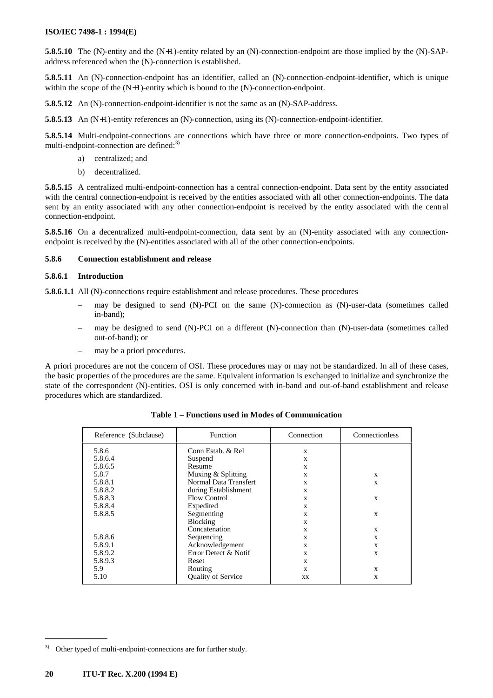**5.8.5.10** The (N)-entity and the (N+1)-entity related by an (N)-connection-endpoint are those implied by the (N)-SAPaddress referenced when the (N)-connection is established.

**5.8.5.11** An (N)-connection-endpoint has an identifier, called an (N)-connection-endpoint-identifier, which is unique within the scope of the  $(N+1)$ -entity which is bound to the  $(N)$ -connection-endpoint.

**5.8.5.12** An (N)-connection-endpoint-identifier is not the same as an (N)-SAP-address.

**5.8.5.13** An (N+1)-entity references an (N)-connection, using its (N)-connection-endpoint-identifier.

**5.8.5.14** Multi-endpoint-connections are connections which have three or more connection-endpoints. Two types of multi-endpoint-connection are defined:<sup>3)</sup>

- a) centralized; and
- b) decentralized.

**5.8.5.15** A centralized multi-endpoint-connection has a central connection-endpoint. Data sent by the entity associated with the central connection-endpoint is received by the entities associated with all other connection-endpoints. The data sent by an entity associated with any other connection-endpoint is received by the entity associated with the central connection-endpoint.

**5.8.5.16** On a decentralized multi-endpoint-connection, data sent by an (N)-entity associated with any connectionendpoint is received by the (N)-entities associated with all of the other connection-endpoints.

## **5.8.6 Connection establishment and release**

#### **5.8.6.1 Introduction**

**5.8.6.1.1** All (N)-connections require establishment and release procedures. These procedures

- may be designed to send (N)-PCI on the same (N)-connection as (N)-user-data (sometimes called in-band);
- may be designed to send (N)-PCI on a different (N)-connection than (N)-user-data (sometimes called out-of-band); or
- may be a priori procedures.

A priori procedures are not the concern of OSI. These procedures may or may not be standardized. In all of these cases, the basic properties of the procedures are the same. Equivalent information is exchanged to initialize and synchronize the state of the correspondent (N)-entities. OSI is only concerned with in-band and out-of-band establishment and release procedures which are standardized.

| Reference (Subclause) | <b>Function</b>           | Connection | Connectionless |
|-----------------------|---------------------------|------------|----------------|
| 5.8.6                 | Conn Estab. & Rel         | X          |                |
| 5.8.6.4               | Suspend                   | X          |                |
| 5.8.6.5               | Resume                    | X          |                |
| 5.8.7                 | Muxing & Splitting        | X          | $\mathbf{x}$   |
| 5.8.8.1               | Normal Data Transfert     | X          | X              |
| 5.8.8.2               | during Establishment      | X          |                |
| 5.8.8.3               | Flow Control              | X          | $\mathbf{x}$   |
| 5.8.8.4               | Expedited                 | X          |                |
| 5.8.8.5               | Segmenting                | X          | $\mathbf{x}$   |
|                       | Blocking                  | X          |                |
|                       | Concatenation             | X          | X              |
| 5.8.8.6               | Sequencing                | X          | $\mathbf{x}$   |
| 5.8.9.1               | Acknowledgement           | X          | X              |
| 5.8.9.2               | Error Detect & Notif      | X          | X              |
| 5.8.9.3               | Reset                     | X          |                |
| 5.9                   | Routing                   | X          | X              |
| 5.10                  | <b>Quality of Service</b> | <b>XX</b>  | X              |

**Table 1 – Functions used in Modes of Communication**

 $\mathcal{L}_\text{max}$ 

<sup>&</sup>lt;sup>3)</sup> Other typed of multi-endpoint-connections are for further study.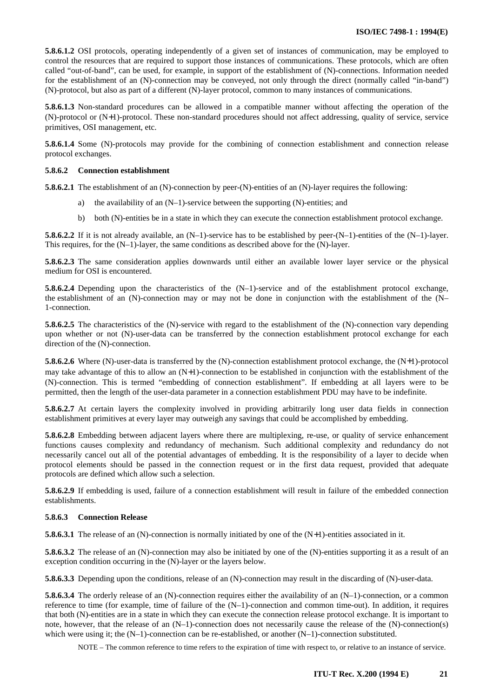**5.8.6.1.2** OSI protocols, operating independently of a given set of instances of communication, may be employed to control the resources that are required to support those instances of communications. These protocols, which are often called "out-of-band", can be used, for example, in support of the establishment of (N)-connections. Information needed for the establishment of an (N)-connection may be conveyed, not only through the direct (normally called "in-band") (N)-protocol, but also as part of a different (N)-layer protocol, common to many instances of communications.

**5.8.6.1.3** Non-standard procedures can be allowed in a compatible manner without affecting the operation of the (N)-protocol or (N+1)-protocol. These non-standard procedures should not affect addressing, quality of service, service primitives, OSI management, etc.

**5.8.6.1.4** Some (N)-protocols may provide for the combining of connection establishment and connection release protocol exchanges.

#### **5.8.6.2 Connection establishment**

**5.8.6.2.1** The establishment of an (N)-connection by peer-(N)-entities of an (N)-layer requires the following:

- a) the availability of an (N–1)-service between the supporting (N)-entities; and
- b) both (N)-entities be in a state in which they can execute the connection establishment protocol exchange.

**5.8.6.2.2** If it is not already available, an  $(N-1)$ -service has to be established by peer- $(N-1)$ -entities of the  $(N-1)$ -layer. This requires, for the  $(N-1)$ -layer, the same conditions as described above for the  $(N)$ -layer.

**5.8.6.2.3** The same consideration applies downwards until either an available lower layer service or the physical medium for OSI is encountered.

**5.8.6.2.4** Depending upon the characteristics of the (N–1)-service and of the establishment protocol exchange, the establishment of an (N)-connection may or may not be done in conjunction with the establishment of the (N– 1-connection.

**5.8.6.2.5** The characteristics of the (N)-service with regard to the establishment of the (N)-connection vary depending upon whether or not (N)-user-data can be transferred by the connection establishment protocol exchange for each direction of the (N)-connection.

**5.8.6.2.6** Where (N)-user-data is transferred by the (N)-connection establishment protocol exchange, the (N+1)-protocol may take advantage of this to allow an (N+1)-connection to be established in conjunction with the establishment of the (N)-connection. This is termed "embedding of connection establishment". If embedding at all layers were to be permitted, then the length of the user-data parameter in a connection establishment PDU may have to be indefinite.

**5.8.6.2.7** At certain layers the complexity involved in providing arbitrarily long user data fields in connection establishment primitives at every layer may outweigh any savings that could be accomplished by embedding.

**5.8.6.2.8** Embedding between adjacent layers where there are multiplexing, re-use, or quality of service enhancement functions causes complexity and redundancy of mechanism. Such additional complexity and redundancy do not necessarily cancel out all of the potential advantages of embedding. It is the responsibility of a layer to decide when protocol elements should be passed in the connection request or in the first data request, provided that adequate protocols are defined which allow such a selection.

**5.8.6.2.9** If embedding is used, failure of a connection establishment will result in failure of the embedded connection establishments.

#### **5.8.6.3 Connection Release**

**5.8.6.3.1** The release of an (N)-connection is normally initiated by one of the (N+1)-entities associated in it.

**5.8.6.3.2** The release of an (N)-connection may also be initiated by one of the (N)-entities supporting it as a result of an exception condition occurring in the (N)-layer or the layers below.

**5.8.6.3.3** Depending upon the conditions, release of an (N)-connection may result in the discarding of (N)-user-data.

**5.8.6.3.4** The orderly release of an (N)-connection requires either the availability of an (N–1)-connection, or a common reference to time (for example, time of failure of the (N–1)-connection and common time-out). In addition, it requires that both (N)-entities are in a state in which they can execute the connection release protocol exchange. It is important to note, however, that the release of an (N–1)-connection does not necessarily cause the release of the (N)-connection(s) which were using it; the  $(N-1)$ -connection can be re-established, or another  $(N-1)$ -connection substituted.

NOTE – The common reference to time refers to the expiration of time with respect to, or relative to an instance of service.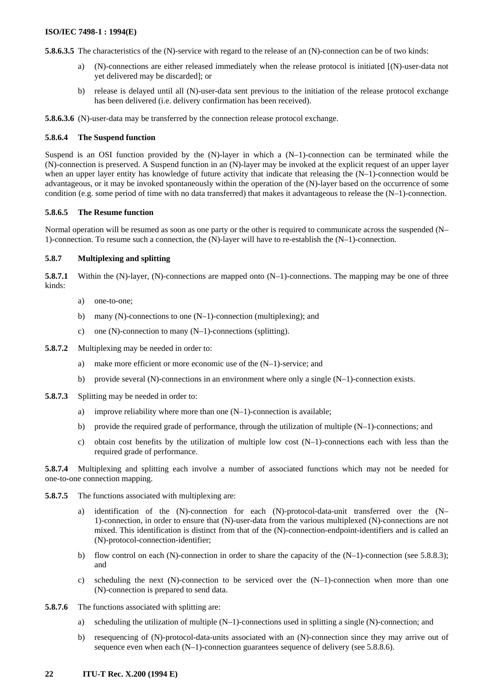**5.8.6.3.5** The characteristics of the (N)-service with regard to the release of an (N)-connection can be of two kinds:

- a) (N)-connections are either released immediately when the release protocol is initiated [(N)-user-data not yet delivered may be discarded]; or
- b) release is delayed until all (N)-user-data sent previous to the initiation of the release protocol exchange has been delivered (i.e. delivery confirmation has been received).

**5.8.6.3.6** (N)-user-data may be transferred by the connection release protocol exchange.

#### **5.8.6.4 The Suspend function**

Suspend is an OSI function provided by the  $(N)$ -layer in which a  $(N-1)$ -connection can be terminated while the (N)-connection is preserved. A Suspend function in an (N)-layer may be invoked at the explicit request of an upper layer when an upper layer entity has knowledge of future activity that indicate that releasing the  $(N-1)$ -connection would be advantageous, or it may be invoked spontaneously within the operation of the (N)-layer based on the occurrence of some condition (e.g. some period of time with no data transferred) that makes it advantageous to release the (N–1)-connection.

# **5.8.6.5 The Resume function**

Normal operation will be resumed as soon as one party or the other is required to communicate across the suspended (N– 1)-connection. To resume such a connection, the (N)-layer will have to re-establish the (N–1)-connection.

## **5.8.7 Multiplexing and splitting**

**5.8.7.1** Within the (N)-layer, (N)-connections are mapped onto (N–1)-connections. The mapping may be one of three kinds:

- a) one-to-one;
- b) many (N)-connections to one  $(N-1)$ -connection (multiplexing); and
- c) one (N)-connection to many  $(N-1)$ -connections (splitting).
- **5.8.7.2** Multiplexing may be needed in order to:
	- a) make more efficient or more economic use of the (N–1)-service; and
	- b) provide several (N)-connections in an environment where only a single  $(N-1)$ -connection exists.
- **5.8.7.3** Splitting may be needed in order to:
	- a) improve reliability where more than one (N–1)-connection is available;
	- b) provide the required grade of performance, through the utilization of multiple (N–1)-connections; and
	- c) obtain cost benefits by the utilization of multiple low cost  $(N-1)$ -connections each with less than the required grade of performance.

**5.8.7.4** Multiplexing and splitting each involve a number of associated functions which may not be needed for one-to-one connection mapping.

- **5.8.7.5** The functions associated with multiplexing are:
	- identification of the (N)-connection for each (N)-protocol-data-unit transferred over the (N– 1)-connection, in order to ensure that (N)-user-data from the various multiplexed (N)-connections are not mixed. This identification is distinct from that of the (N)-connection-endpoint-identifiers and is called an (N)-protocol-connection-identifier;
	- b) flow control on each (N)-connection in order to share the capacity of the (N–1)-connection (see 5.8.8.3); and
	- c) scheduling the next  $(N)$ -connection to be serviced over the  $(N-1)$ -connection when more than one (N)-connection is prepared to send data.
- **5.8.7.6** The functions associated with splitting are:
	- a) scheduling the utilization of multiple (N–1)-connections used in splitting a single (N)-connection; and
	- b) resequencing of (N)-protocol-data-units associated with an (N)-connection since they may arrive out of sequence even when each  $(N-1)$ -connection guarantees sequence of delivery (see 5.8.8.6).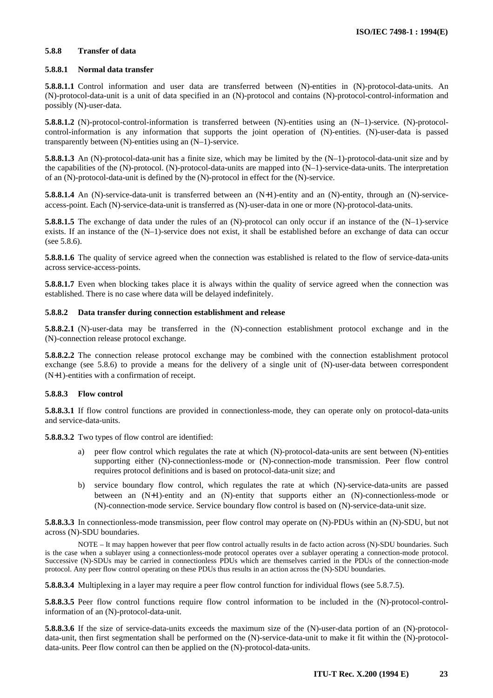#### **5.8.8 Transfer of data**

#### **5.8.8.1 Normal data transfer**

**5.8.8.1.1** Control information and user data are transferred between (N)-entities in (N)-protocol-data-units. An (N)-protocol-data-unit is a unit of data specified in an (N)-protocol and contains (N)-protocol-control-information and possibly (N)-user-data.

**5.8.8.1.2** (N)-protocol-control-information is transferred between (N)-entities using an (N–1)-service. (N)-protocolcontrol-information is any information that supports the joint operation of (N)-entities. (N)-user-data is passed transparently between (N)-entities using an (N–1)-service.

**5.8.8.1.3** An (N)-protocol-data-unit has a finite size, which may be limited by the (N–1)-protocol-data-unit size and by the capabilities of the (N)-protocol. (N)-protocol-data-units are mapped into (N–1)-service-data-units. The interpretation of an (N)-protocol-data-unit is defined by the (N)-protocol in effect for the (N)-service.

**5.8.8.1.4** An (N)-service-data-unit is transferred between an (N+1)-entity and an (N)-entity, through an (N)-serviceaccess-point. Each (N)-service-data-unit is transferred as (N)-user-data in one or more (N)-protocol-data-units.

**5.8.8.1.5** The exchange of data under the rules of an (N)-protocol can only occur if an instance of the (N–1)-service exists. If an instance of the (N–1)-service does not exist, it shall be established before an exchange of data can occur (see 5.8.6).

**5.8.8.1.6** The quality of service agreed when the connection was established is related to the flow of service-data-units across service-access-points.

**5.8.8.1.7** Even when blocking takes place it is always within the quality of service agreed when the connection was established. There is no case where data will be delayed indefinitely.

## **5.8.8.2 Data transfer during connection establishment and release**

**5.8.8.2.1** (N)-user-data may be transferred in the (N)-connection establishment protocol exchange and in the (N)-connection release protocol exchange.

**5.8.8.2.2** The connection release protocol exchange may be combined with the connection establishment protocol exchange (see 5.8.6) to provide a means for the delivery of a single unit of (N)-user-data between correspondent (N+1)-entities with a confirmation of receipt.

## **5.8.8.3 Flow control**

**5.8.8.3.1** If flow control functions are provided in connectionless-mode, they can operate only on protocol-data-units and service-data-units.

**5.8.8.3.2** Two types of flow control are identified:

- a) peer flow control which regulates the rate at which (N)-protocol-data-units are sent between (N)-entities supporting either (N)-connectionless-mode or (N)-connection-mode transmission. Peer flow control requires protocol definitions and is based on protocol-data-unit size; and
- b) service boundary flow control, which regulates the rate at which (N)-service-data-units are passed between an (N+1)-entity and an (N)-entity that supports either an (N)-connectionless-mode or (N)-connection-mode service. Service boundary flow control is based on (N)-service-data-unit size.

**5.8.8.3.3** In connectionless-mode transmission, peer flow control may operate on (N)-PDUs within an (N)-SDU, but not across (N)-SDU boundaries.

NOTE – It may happen however that peer flow control actually results in de facto action across (N)-SDU boundaries. Such is the case when a sublayer using a connectionless-mode protocol operates over a sublayer operating a connection-mode protocol. Successive (N)-SDUs may be carried in connectionless PDUs which are themselves carried in the PDUs of the connection-mode protocol. Any peer flow control operating on these PDUs thus results in an action across the (N)-SDU boundaries.

**5.8.8.3.4** Multiplexing in a layer may require a peer flow control function for individual flows (see 5.8.7.5).

**5.8.8.3.5** Peer flow control functions require flow control information to be included in the (N)-protocol-controlinformation of an (N)-protocol-data-unit.

**5.8.8.3.6** If the size of service-data-units exceeds the maximum size of the (N)-user-data portion of an (N)-protocoldata-unit, then first segmentation shall be performed on the (N)-service-data-unit to make it fit within the (N)-protocoldata-units. Peer flow control can then be applied on the (N)-protocol-data-units.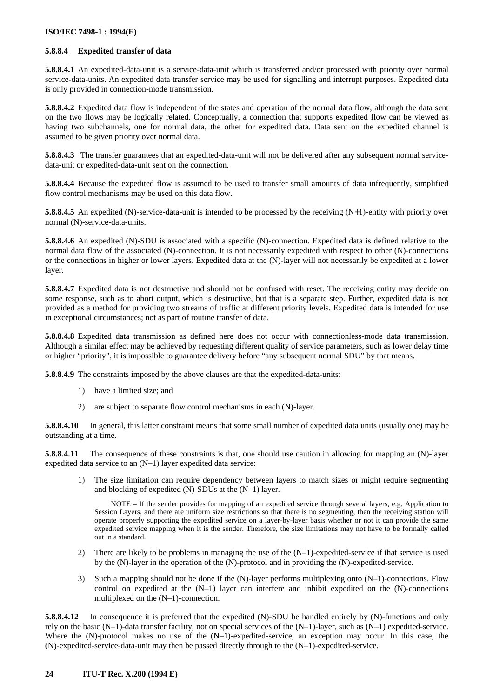## **5.8.8.4 Expedited transfer of data**

**5.8.8.4.1** An expedited-data-unit is a service-data-unit which is transferred and/or processed with priority over normal service-data-units. An expedited data transfer service may be used for signalling and interrupt purposes. Expedited data is only provided in connection-mode transmission.

**5.8.8.4.2** Expedited data flow is independent of the states and operation of the normal data flow, although the data sent on the two flows may be logically related. Conceptually, a connection that supports expedited flow can be viewed as having two subchannels, one for normal data, the other for expedited data. Data sent on the expedited channel is assumed to be given priority over normal data.

**5.8.8.4.3** The transfer guarantees that an expedited-data-unit will not be delivered after any subsequent normal servicedata-unit or expedited-data-unit sent on the connection.

**5.8.8.4.4** Because the expedited flow is assumed to be used to transfer small amounts of data infrequently, simplified flow control mechanisms may be used on this data flow.

**5.8.8.4.5** An expedited (N)-service-data-unit is intended to be processed by the receiving (N+1)-entity with priority over normal (N)-service-data-units.

**5.8.8.4.6** An expedited (N)-SDU is associated with a specific (N)-connection. Expedited data is defined relative to the normal data flow of the associated (N)-connection. It is not necessarily expedited with respect to other (N)-connections or the connections in higher or lower layers. Expedited data at the (N)-layer will not necessarily be expedited at a lower layer.

**5.8.8.4.7** Expedited data is not destructive and should not be confused with reset. The receiving entity may decide on some response, such as to abort output, which is destructive, but that is a separate step. Further, expedited data is not provided as a method for providing two streams of traffic at different priority levels. Expedited data is intended for use in exceptional circumstances; not as part of routine transfer of data.

**5.8.8.4.8** Expedited data transmission as defined here does not occur with connectionless-mode data transmission. Although a similar effect may be achieved by requesting different quality of service parameters, such as lower delay time or higher "priority", it is impossible to guarantee delivery before "any subsequent normal SDU" by that means.

**5.8.8.4.9** The constraints imposed by the above clauses are that the expedited-data-units:

- 1) have a limited size; and
- 2) are subject to separate flow control mechanisms in each (N)-layer.

**5.8.8.4.10** In general, this latter constraint means that some small number of expedited data units (usually one) may be outstanding at a time.

**5.8.8.4.11** The consequence of these constraints is that, one should use caution in allowing for mapping an (N)-layer expedited data service to an (N–1) layer expedited data service:

1) The size limitation can require dependency between layers to match sizes or might require segmenting and blocking of expedited (N)-SDUs at the (N–1) layer.

NOTE – If the sender provides for mapping of an expedited service through several layers, e.g. Application to Session Layers, and there are uniform size restrictions so that there is no segmenting, then the receiving station will operate properly supporting the expedited service on a layer-by-layer basis whether or not it can provide the same expedited service mapping when it is the sender. Therefore, the size limitations may not have to be formally called out in a standard.

- 2) There are likely to be problems in managing the use of the (N–1)-expedited-service if that service is used by the (N)-layer in the operation of the (N)-protocol and in providing the (N)-expedited-service.
- 3) Such a mapping should not be done if the (N)-layer performs multiplexing onto (N–1)-connections. Flow control on expedited at the (N–1) layer can interfere and inhibit expedited on the (N)-connections multiplexed on the (N–1)-connection.

**5.8.8.4.12** In consequence it is preferred that the expedited (N)-SDU be handled entirely by (N)-functions and only rely on the basic  $(N-1)$ -data transfer facility, not on special services of the  $(N-1)$ -layer, such as  $(N-1)$  expedited-service. Where the (N)-protocol makes no use of the (N–1)-expedited-service, an exception may occur. In this case, the (N)-expedited-service-data-unit may then be passed directly through to the (N–1)-expedited-service.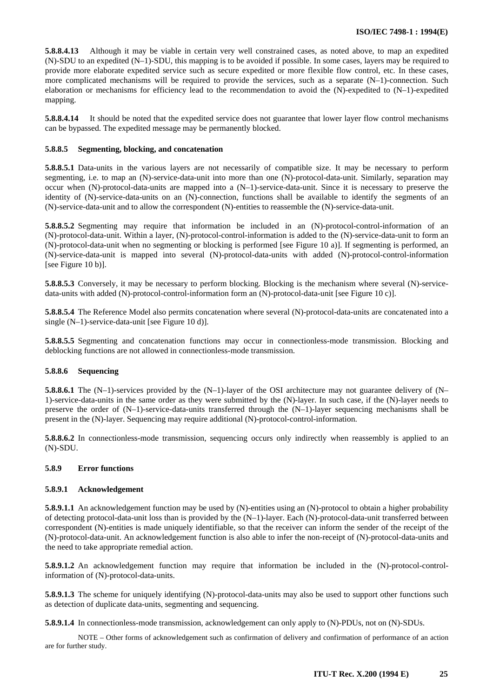**5.8.8.4.13** Although it may be viable in certain very well constrained cases, as noted above, to map an expedited (N)-SDU to an expedited (N–1)-SDU, this mapping is to be avoided if possible. In some cases, layers may be required to provide more elaborate expedited service such as secure expedited or more flexible flow control, etc. In these cases, more complicated mechanisms will be required to provide the services, such as a separate (N–1)-connection. Such elaboration or mechanisms for efficiency lead to the recommendation to avoid the (N)-expedited to (N–1)-expedited mapping.

**5.8.8.4.14** It should be noted that the expedited service does not guarantee that lower layer flow control mechanisms can be bypassed. The expedited message may be permanently blocked.

#### **5.8.8.5 Segmenting, blocking, and concatenation**

**5.8.8.5.1** Data-units in the various layers are not necessarily of compatible size. It may be necessary to perform segmenting, i.e. to map an (N)-service-data-unit into more than one (N)-protocol-data-unit. Similarly, separation may occur when (N)-protocol-data-units are mapped into a (N–1)-service-data-unit. Since it is necessary to preserve the identity of (N)-service-data-units on an (N)-connection, functions shall be available to identify the segments of an (N)-service-data-unit and to allow the correspondent (N)-entities to reassemble the (N)-service-data-unit.

**5.8.8.5.2** Segmenting may require that information be included in an (N)-protocol-control-information of an (N)-protocol-data-unit. Within a layer, (N)-protocol-control-information is added to the (N)-service-data-unit to form an (N)-protocol-data-unit when no segmenting or blocking is performed [see Figure 10 a)]. If segmenting is performed, an (N)-service-data-unit is mapped into several (N)-protocol-data-units with added (N)-protocol-control-information [see Figure 10 b)].

**5.8.8.5.3** Conversely, it may be necessary to perform blocking. Blocking is the mechanism where several (N)-servicedata-units with added (N)-protocol-control-information form an (N)-protocol-data-unit [see Figure 10 c)].

**5.8.8.5.4** The Reference Model also permits concatenation where several (N)-protocol-data-units are concatenated into a single (N–1)-service-data-unit [see Figure 10 d)].

**5.8.8.5.5** Segmenting and concatenation functions may occur in connectionless-mode transmission. Blocking and deblocking functions are not allowed in connectionless-mode transmission.

## **5.8.8.6 Sequencing**

**5.8.8.6.1** The (N–1)-services provided by the (N–1)-layer of the OSI architecture may not guarantee delivery of (N– 1)-service-data-units in the same order as they were submitted by the (N)-layer. In such case, if the (N)-layer needs to preserve the order of (N–1)-service-data-units transferred through the (N–1)-layer sequencing mechanisms shall be present in the (N)-layer. Sequencing may require additional (N)-protocol-control-information.

**5.8.8.6.2** In connectionless-mode transmission, sequencing occurs only indirectly when reassembly is applied to an (N)-SDU.

# **5.8.9 Error functions**

## **5.8.9.1 Acknowledgement**

**5.8.9.1.1** An acknowledgement function may be used by (N)-entities using an (N)-protocol to obtain a higher probability of detecting protocol-data-unit loss than is provided by the  $(N-1)$ -layer. Each  $(N)$ -protocol-data-unit transferred between correspondent (N)-entities is made uniquely identifiable, so that the receiver can inform the sender of the receipt of the (N)-protocol-data-unit. An acknowledgement function is also able to infer the non-receipt of (N)-protocol-data-units and the need to take appropriate remedial action.

**5.8.9.1.2** An acknowledgement function may require that information be included in the (N)-protocol-controlinformation of (N)-protocol-data-units.

**5.8.9.1.3** The scheme for uniquely identifying (N)-protocol-data-units may also be used to support other functions such as detection of duplicate data-units, segmenting and sequencing.

**5.8.9.1.4** In connectionless-mode transmission, acknowledgement can only apply to (N)-PDUs, not on (N)-SDUs.

NOTE – Other forms of acknowledgement such as confirmation of delivery and confirmation of performance of an action are for further study.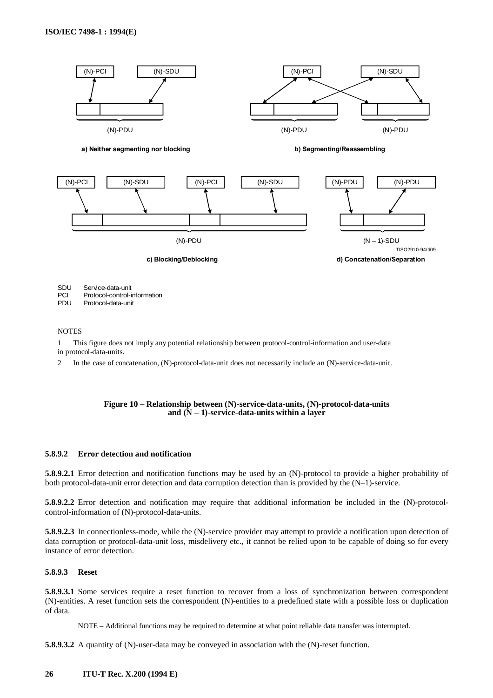

SDU PCI Service-data-unit Protocol-control-information

PDU Protocol-data-unit

#### **NOTES**

1 This figure does not imply any potential relationship between protocol-control-information and user-data in protocol-data-units.

2 In the case of concatenation, (N)-protocol-data-unit does not necessarily include an (N)-service-data-unit.

#### **Figure 10 – Relationship between (N)-service-data-units, (N)-protocol-data-units and (N – 1)-service-data-units within a layer**

## **5.8.9.2 Error detection and notification**

**5.8.9.2.1** Error detection and notification functions may be used by an (N)-protocol to provide a higher probability of both protocol-data-unit error detection and data corruption detection than is provided by the (N–1)-service.

**5.8.9.2.2** Error detection and notification may require that additional information be included in the (N)-protocolcontrol-information of (N)-protocol-data-units.

**5.8.9.2.3** In connectionless-mode, while the (N)-service provider may attempt to provide a notification upon detection of data corruption or protocol-data-unit loss, misdelivery etc., it cannot be relied upon to be capable of doing so for every instance of error detection.

## **5.8.9.3 Reset**

**5.8.9.3.1** Some services require a reset function to recover from a loss of synchronization between correspondent (N)-entities. A reset function sets the correspondent (N)-entities to a predefined state with a possible loss or duplication of data.

NOTE – Additional functions may be required to determine at what point reliable data transfer was interrupted.

**5.8.9.3.2** A quantity of (N)-user-data may be conveyed in association with the (N)-reset function.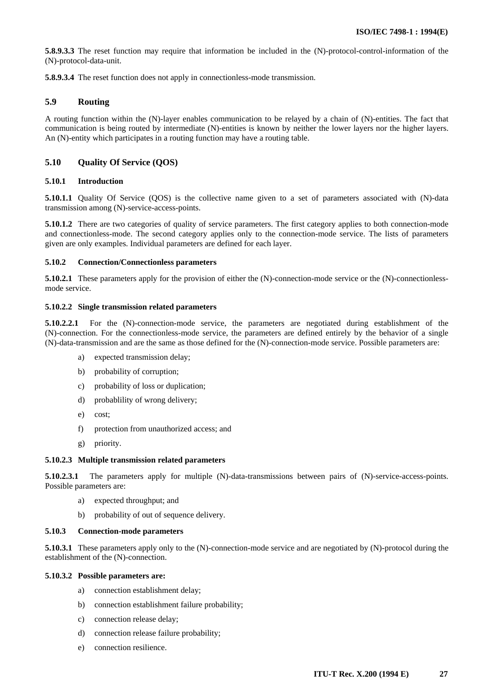<span id="page-30-0"></span>**5.8.9.3.3** The reset function may require that information be included in the (N)-protocol-control-information of the (N)-protocol-data-unit.

**5.8.9.3.4** The reset function does not apply in connectionless-mode transmission.

## **5.9 Routing**

A routing function within the (N)-layer enables communication to be relayed by a chain of (N)-entities. The fact that communication is being routed by intermediate (N)-entities is known by neither the lower layers nor the higher layers. An (N)-entity which participates in a routing function may have a routing table.

# **5.10 Quality Of Service (QOS)**

## **5.10.1 Introduction**

**5.10.1.1** Quality Of Service (QOS) is the collective name given to a set of parameters associated with (N)-data transmission among (N)-service-access-points.

**5.10.1.2** There are two categories of quality of service parameters. The first category applies to both connection-mode and connectionless-mode. The second category applies only to the connection-mode service. The lists of parameters given are only examples. Individual parameters are defined for each layer.

#### **5.10.2 Connection/Connectionless parameters**

**5.10.2.1** These parameters apply for the provision of either the (N)-connection-mode service or the (N)-connectionlessmode service.

#### **5.10.2.2 Single transmission related parameters**

**5.10.2.2.1** For the (N)-connection-mode service, the parameters are negotiated during establishment of the (N)-connection. For the connectionless-mode service, the parameters are defined entirely by the behavior of a single (N)-data-transmission and are the same as those defined for the (N)-connection-mode service. Possible parameters are:

- a) expected transmission delay;
- b) probability of corruption;
- c) probability of loss or duplication;
- d) probablility of wrong delivery;
- e) cost;
- f) protection from unauthorized access; and
- g) priority.

## **5.10.2.3 Multiple transmission related parameters**

**5.10.2.3.1** The parameters apply for multiple (N)-data-transmissions between pairs of (N)-service-access-points. Possible parameters are:

- a) expected throughput; and
- b) probability of out of sequence delivery.

#### **5.10.3 Connection-mode parameters**

**5.10.3.1** These parameters apply only to the (N)-connection-mode service and are negotiated by (N)-protocol during the establishment of the (N)-connection.

#### **5.10.3.2 Possible parameters are:**

- a) connection establishment delay;
- b) connection establishment failure probability;
- c) connection release delay;
- d) connection release failure probability;
- e) connection resilience.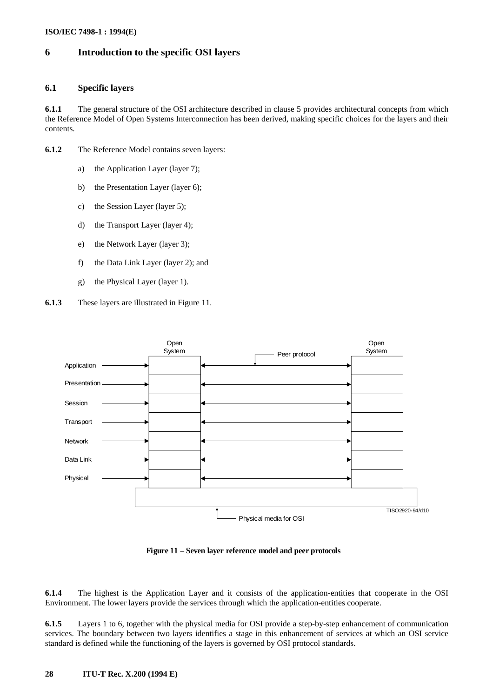# <span id="page-31-0"></span>**6 Introduction to the specific OSI layers**

# **6.1 Specific layers**

**6.1.1** The general structure of the OSI architecture described in clause 5 provides architectural concepts from which the Reference Model of Open Systems Interconnection has been derived, making specific choices for the layers and their contents.

- **6.1.2** The Reference Model contains seven layers:
	- a) the Application Layer (layer 7);
	- b) the Presentation Layer (layer 6);
	- c) the Session Layer (layer 5);
	- d) the Transport Layer (layer 4);
	- e) the Network Layer (layer 3);
	- f) the Data Link Layer (layer 2); and
	- g) the Physical Layer (layer 1).
- **6.1.3** These layers are illustrated in Figure 11.



**Figure 11 – Seven layer reference model and peer protocols**

**6.1.4** The highest is the Application Layer and it consists of the application-entities that cooperate in the OSI Environment. The lower layers provide the services through which the application-entities cooperate.

**6.1.5** Layers 1 to 6, together with the physical media for OSI provide a step-by-step enhancement of communication services. The boundary between two layers identifies a stage in this enhancement of services at which an OSI service standard is defined while the functioning of the layers is governed by OSI protocol standards.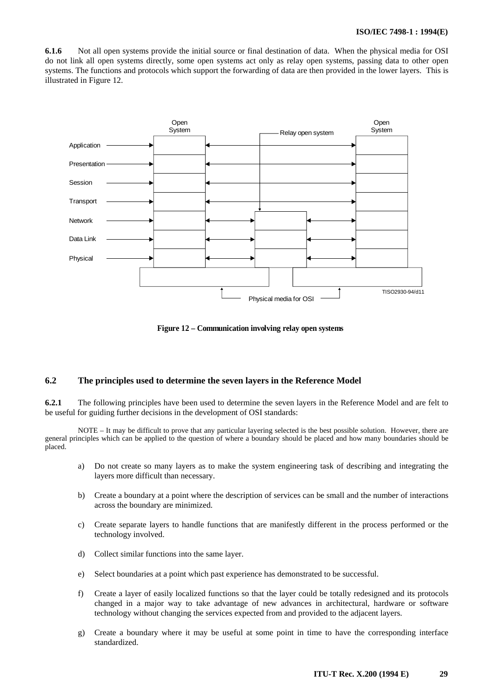<span id="page-32-0"></span>**6.1.6** Not all open systems provide the initial source or final destination of data. When the physical media for OSI do not link all open systems directly, some open systems act only as relay open systems, passing data to other open systems. The functions and protocols which support the forwarding of data are then provided in the lower layers. This is illustrated in Figure 12.



**Figure 12 – Communication involving relay open systems** 

# **6.2 The principles used to determine the seven layers in the Reference Model**

**6.2.1** The following principles have been used to determine the seven layers in the Reference Model and are felt to be useful for guiding further decisions in the development of OSI standards:

NOTE – It may be difficult to prove that any particular layering selected is the best possible solution. However, there are general principles which can be applied to the question of where a boundary should be placed and how many boundaries should be placed.

- a) Do not create so many layers as to make the system engineering task of describing and integrating the layers more difficult than necessary.
- b) Create a boundary at a point where the description of services can be small and the number of interactions across the boundary are minimized.
- c) Create separate layers to handle functions that are manifestly different in the process performed or the technology involved.
- d) Collect similar functions into the same layer.
- e) Select boundaries at a point which past experience has demonstrated to be successful.
- f) Create a layer of easily localized functions so that the layer could be totally redesigned and its protocols changed in a major way to take advantage of new advances in architectural, hardware or software technology without changing the services expected from and provided to the adjacent layers.
- g) Create a boundary where it may be useful at some point in time to have the corresponding interface standardized.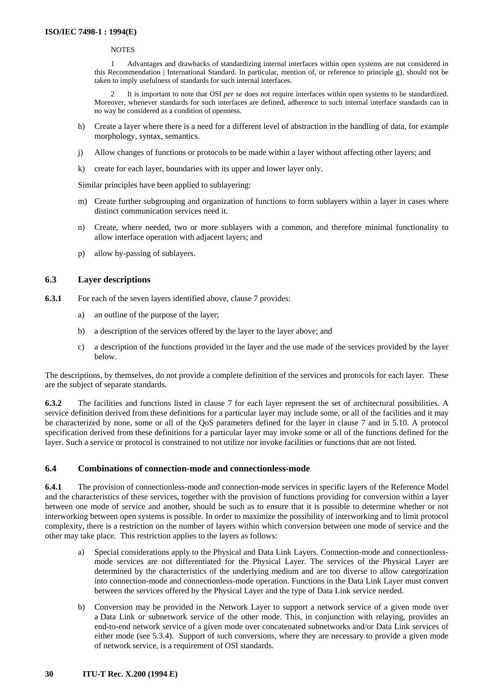#### **NOTES**

<span id="page-33-0"></span>1 Advantages and drawbacks of standardizing internal interfaces within open systems are not considered in this Recommendation | International Standard. In particular, mention of, or reference to principle g), should not be taken to imply usefulness of standards for such internal interfaces.

2 It is important to note that OSI *per se* does not require interfaces within open systems to be standardized. Moreover, whenever standards for such interfaces are defined, adherence to such internal interface standards can in no way be considered as a condition of openness.

- h) Create a layer where there is a need for a different level of abstraction in the handling of data, for example morphology, syntax, semantics.
- j) Allow changes of functions or protocols to be made within a layer without affecting other layers; and
- k) create for each layer, boundaries with its upper and lower layer only.

Similar principles have been applied to sublayering:

- m) Create further subgrouping and organization of functions to form sublayers within a layer in cases where distinct communication services need it.
- n) Create, where needed, two or more sublayers with a common, and therefore minimal functionality to allow interface operation with adjacent layers; and
- p) allow by-passing of sublayers.

# **6.3 Layer descriptions**

- **6.3.1** For each of the seven layers identified above, clause 7 provides:
	- a) an outline of the purpose of the layer;
	- b) a description of the services offered by the layer to the layer above; and
	- c) a description of the functions provided in the layer and the use made of the services provided by the layer below.

The descriptions, by themselves, do not provide a complete definition of the services and protocols for each layer. These are the subject of separate standards.

**6.3.2** The facilities and functions listed in clause 7 for each layer represent the set of architectural possibilities. A service definition derived from these definitions for a particular layer may include some, or all of the facilities and it may be characterized by none, some or all of the QoS parameters defined for the layer in clause 7 and in 5.10. A protocol specification derived from these definitions for a particular layer may invoke some or all of the functions defined for the layer. Such a service or protocol is constrained to not utilize nor invoke facilities or functions that are not listed.

# **6.4 Combinations of connection-mode and connectionless-mode**

**6.4.1** The provision of connectionless-mode and connection-mode services in specific layers of the Reference Model and the characteristics of these services, together with the provision of functions providing for conversion within a layer between one mode of service and another, should be such as to ensure that it is possible to determine whether or not interworking between open systems is possible. In order to maximize the possibility of interworking and to limit protocol complexity, there is a restriction on the number of layers within which conversion between one mode of service and the other may take place. This restriction applies to the layers as follows:

- a) Special considerations apply to the Physical and Data Link Layers. Connection-mode and connectionlessmode services are not differentiated for the Physical Layer. The services of the Physical Layer are determined by the characteristics of the underlying medium and are too diverse to allow categorization into connection-mode and connectionless-mode operation. Functions in the Data Link Layer must convert between the services offered by the Physical Layer and the type of Data Link service needed.
- b) Conversion may be provided in the Network Layer to support a network service of a given mode over a Data Link or subnetwork service of the other mode. This, in conjunction with relaying, provides an end-to-end network service of a given mode over concatenated subnetworks and/or Data Link services of either mode (see 5.3.4). Support of such conversions, where they are necessary to provide a given mode of network service, is a requirement of OSI standards.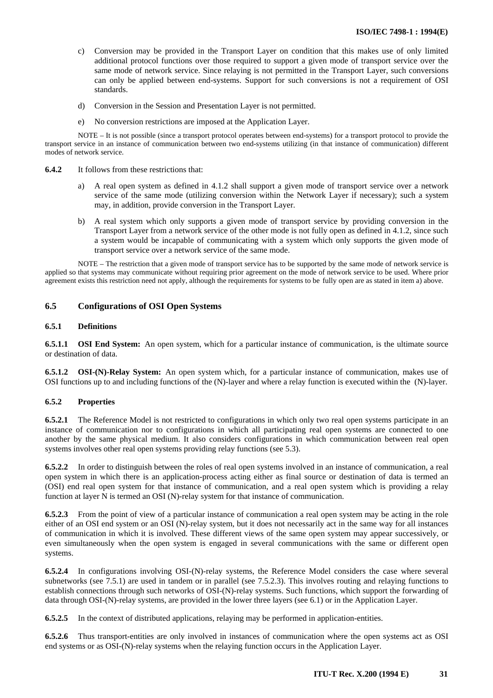- <span id="page-34-0"></span>c) Conversion may be provided in the Transport Layer on condition that this makes use of only limited additional protocol functions over those required to support a given mode of transport service over the same mode of network service. Since relaying is not permitted in the Transport Layer, such conversions can only be applied between end-systems. Support for such conversions is not a requirement of OSI standards.
- d) Conversion in the Session and Presentation Layer is not permitted.
- e) No conversion restrictions are imposed at the Application Layer.

NOTE – It is not possible (since a transport protocol operates between end-systems) for a transport protocol to provide the transport service in an instance of communication between two end-systems utilizing (in that instance of communication) different modes of network service.

- **6.4.2** It follows from these restrictions that:
	- a) A real open system as defined in 4.1.2 shall support a given mode of transport service over a network service of the same mode (utilizing conversion within the Network Layer if necessary); such a system may, in addition, provide conversion in the Transport Layer.
	- b) A real system which only supports a given mode of transport service by providing conversion in the Transport Layer from a network service of the other mode is not fully open as defined in 4.1.2, since such a system would be incapable of communicating with a system which only supports the given mode of transport service over a network service of the same mode.

NOTE – The restriction that a given mode of transport service has to be supported by the same mode of network service is applied so that systems may communicate without requiring prior agreement on the mode of network service to be used. Where prior agreement exists this restriction need not apply, although the requirements for systems to be fully open are as stated in item a) above.

# **6.5 Configurations of OSI Open Systems**

#### **6.5.1 Definitions**

**6.5.1.1 OSI End System:** An open system, which for a particular instance of communication, is the ultimate source or destination of data.

**6.5.1.2 OSI-(N)-Relay System:** An open system which, for a particular instance of communication, makes use of OSI functions up to and including functions of the (N)-layer and where a relay function is executed within the (N)-layer.

#### **6.5.2 Properties**

**6.5.2.1** The Reference Model is not restricted to configurations in which only two real open systems participate in an instance of communication nor to configurations in which all participating real open systems are connected to one another by the same physical medium. It also considers configurations in which communication between real open systems involves other real open systems providing relay functions (see 5.3).

**6.5.2.2** In order to distinguish between the roles of real open systems involved in an instance of communication, a real open system in which there is an application-process acting either as final source or destination of data is termed an (OSI) end real open system for that instance of communication, and a real open system which is providing a relay function at layer N is termed an OSI (N)-relay system for that instance of communication.

**6.5.2.3** From the point of view of a particular instance of communication a real open system may be acting in the role either of an OSI end system or an OSI (N)-relay system, but it does not necessarily act in the same way for all instances of communication in which it is involved. These different views of the same open system may appear successively, or even simultaneously when the open system is engaged in several communications with the same or different open systems.

**6.5.2.4** In configurations involving OSI-(N)-relay systems, the Reference Model considers the case where several subnetworks (see 7.5.1) are used in tandem or in parallel (see 7.5.2.3). This involves routing and relaying functions to establish connections through such networks of OSI-(N)-relay systems. Such functions, which support the forwarding of data through OSI-(N)-relay systems, are provided in the lower three layers (see 6.1) or in the Application Layer.

**6.5.2.5** In the context of distributed applications, relaying may be performed in application-entities.

**6.5.2.6** Thus transport-entities are only involved in instances of communication where the open systems act as OSI end systems or as OSI-(N)-relay systems when the relaying function occurs in the Application Layer.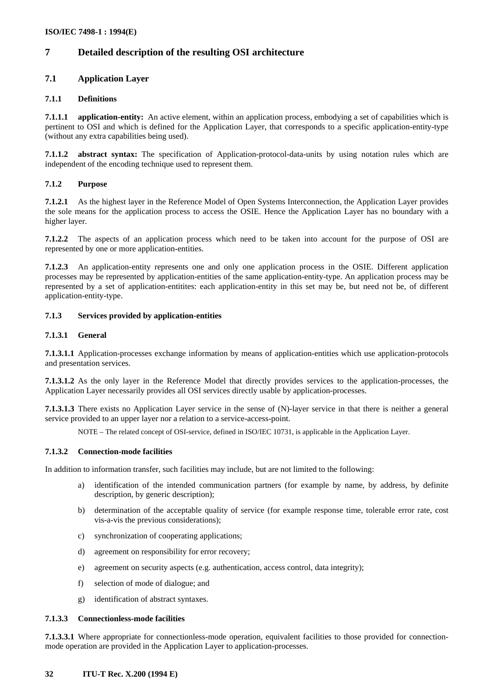# <span id="page-35-0"></span>**7 Detailed description of the resulting OSI architecture**

# **7.1 Application Layer**

## **7.1.1 Definitions**

**7.1.1.1 application-entity:** An active element, within an application process, embodying a set of capabilities which is pertinent to OSI and which is defined for the Application Layer, that corresponds to a specific application-entity-type (without any extra capabilities being used).

**7.1.1.2 abstract syntax:** The specification of Application-protocol-data-units by using notation rules which are independent of the encoding technique used to represent them.

## **7.1.2 Purpose**

**7.1.2.1** As the highest layer in the Reference Model of Open Systems Interconnection, the Application Layer provides the sole means for the application process to access the OSIE. Hence the Application Layer has no boundary with a higher layer.

**7.1.2.2** The aspects of an application process which need to be taken into account for the purpose of OSI are represented by one or more application-entities.

**7.1.2.3** An application-entity represents one and only one application process in the OSIE. Different application processes may be represented by application-entities of the same application-entity-type. An application process may be represented by a set of application-entitites: each application-entity in this set may be, but need not be, of different application-entity-type.

## **7.1.3 Services provided by application-entities**

#### **7.1.3.1 General**

**7.1.3.1.1** Application-processes exchange information by means of application-entities which use application-protocols and presentation services.

**7.1.3.1.2** As the only layer in the Reference Model that directly provides services to the application-processes, the Application Layer necessarily provides all OSI services directly usable by application-processes.

**7.1.3.1.3** There exists no Application Layer service in the sense of (N)-layer service in that there is neither a general service provided to an upper layer nor a relation to a service-access-point.

NOTE – The related concept of OSI-service, defined in ISO/IEC 10731, is applicable in the Application Layer.

## **7.1.3.2 Connection-mode facilities**

In addition to information transfer, such facilities may include, but are not limited to the following:

- a) identification of the intended communication partners (for example by name, by address, by definite description, by generic description);
- b) determination of the acceptable quality of service (for example response time, tolerable error rate, cost vis-a-vis the previous considerations);
- c) synchronization of cooperating applications;
- d) agreement on responsibility for error recovery;
- e) agreement on security aspects (e.g. authentication, access control, data integrity);
- f) selection of mode of dialogue; and
- g) identification of abstract syntaxes.

#### **7.1.3.3 Connectionless-mode facilities**

**7.1.3.3.1** Where appropriate for connectionless-mode operation, equivalent facilities to those provided for connectionmode operation are provided in the Application Layer to application-processes.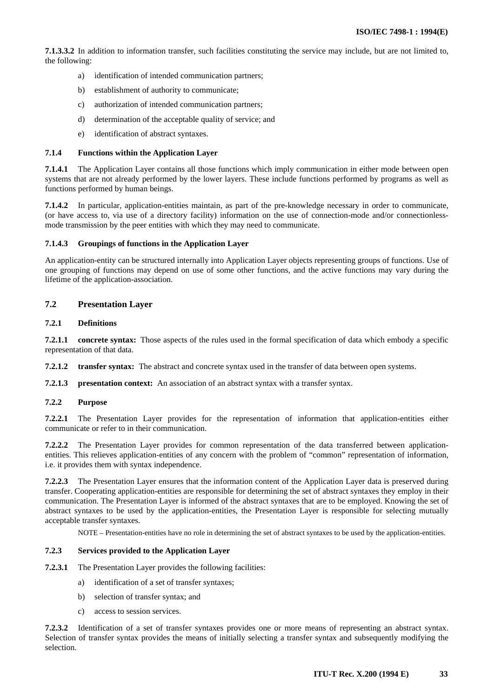<span id="page-36-0"></span>**7.1.3.3.2** In addition to information transfer, such facilities constituting the service may include, but are not limited to, the following:

- a) identification of intended communication partners;
- b) establishment of authority to communicate;
- c) authorization of intended communication partners;
- d) determination of the acceptable quality of service; and
- e) identification of abstract syntaxes.

#### **7.1.4 Functions within the Application Layer**

**7.1.4.1** The Application Layer contains all those functions which imply communication in either mode between open systems that are not already performed by the lower layers. These include functions performed by programs as well as functions performed by human beings.

**7.1.4.2** In particular, application-entities maintain, as part of the pre-knowledge necessary in order to communicate, (or have access to, via use of a directory facility) information on the use of connection-mode and/or connectionlessmode transmission by the peer entities with which they may need to communicate.

#### **7.1.4.3 Groupings of functions in the Application Layer**

An application-entity can be structured internally into Application Layer objects representing groups of functions. Use of one grouping of functions may depend on use of some other functions, and the active functions may vary during the lifetime of the application-association.

## **7.2 Presentation Layer**

## **7.2.1 Definitions**

**7.2.1.1 concrete syntax:** Those aspects of the rules used in the formal specification of data which embody a specific representation of that data.

**7.2.1.2 transfer syntax:** The abstract and concrete syntax used in the transfer of data between open systems.

**7.2.1.3 presentation context:** An association of an abstract syntax with a transfer syntax.

#### **7.2.2 Purpose**

**7.2.2.1** The Presentation Layer provides for the representation of information that application-entities either communicate or refer to in their communication.

**7.2.2.2** The Presentation Layer provides for common representation of the data transferred between applicationentities. This relieves application-entities of any concern with the problem of "common" representation of information, i.e. it provides them with syntax independence.

**7.2.2.3** The Presentation Layer ensures that the information content of the Application Layer data is preserved during transfer. Cooperating application-entities are responsible for determining the set of abstract syntaxes they employ in their communication. The Presentation Layer is informed of the abstract syntaxes that are to be employed. Knowing the set of abstract syntaxes to be used by the application-entities, the Presentation Layer is responsible for selecting mutually acceptable transfer syntaxes.

NOTE – Presentation-entities have no role in determining the set of abstract syntaxes to be used by the application-entities.

#### **7.2.3 Services provided to the Application Layer**

**7.2.3.1** The Presentation Layer provides the following facilities:

- a) identification of a set of transfer syntaxes;
- b) selection of transfer syntax; and
- c) access to session services.

**7.2.3.2** Identification of a set of transfer syntaxes provides one or more means of representing an abstract syntax. Selection of transfer syntax provides the means of initially selecting a transfer syntax and subsequently modifying the selection.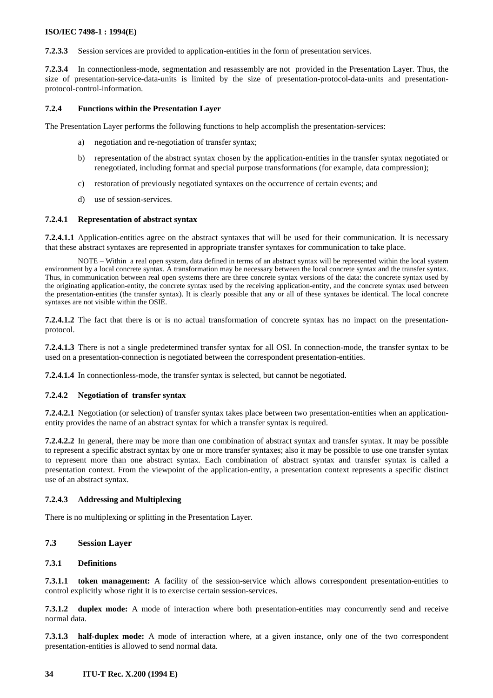<span id="page-37-0"></span>**7.2.3.3** Session services are provided to application-entities in the form of presentation services.

**7.2.3.4** In connectionless-mode, segmentation and resassembly are not provided in the Presentation Layer. Thus, the size of presentation-service-data-units is limited by the size of presentation-protocol-data-units and presentationprotocol-control-information.

#### **7.2.4 Functions within the Presentation Layer**

The Presentation Layer performs the following functions to help accomplish the presentation-services:

- a) negotiation and re-negotiation of transfer syntax;
- b) representation of the abstract syntax chosen by the application-entities in the transfer syntax negotiated or renegotiated, including format and special purpose transformations (for example, data compression);
- c) restoration of previously negotiated syntaxes on the occurrence of certain events; and
- d) use of session-services.

#### **7.2.4.1 Representation of abstract syntax**

**7.2.4.1.1** Application-entities agree on the abstract syntaxes that will be used for their communication. It is necessary that these abstract syntaxes are represented in appropriate transfer syntaxes for communication to take place.

NOTE – Within a real open system, data defined in terms of an abstract syntax will be represented within the local system environment by a local concrete syntax. A transformation may be necessary between the local concrete syntax and the transfer syntax. Thus, in communication between real open systems there are three concrete syntax versions of the data: the concrete syntax used by the originating application-entity, the concrete syntax used by the receiving application-entity, and the concrete syntax used between the presentation-entities (the transfer syntax). It is clearly possible that any or all of these syntaxes be identical. The local concrete syntaxes are not visible within the OSIE.

**7.2.4.1.2** The fact that there is or is no actual transformation of concrete syntax has no impact on the presentationprotocol.

**7.2.4.1.3** There is not a single predetermined transfer syntax for all OSI. In connection-mode, the transfer syntax to be used on a presentation-connection is negotiated between the correspondent presentation-entities.

**7.2.4.1.4** In connectionless-mode, the transfer syntax is selected, but cannot be negotiated.

#### **7.2.4.2 Negotiation of transfer syntax**

**7.2.4.2.1** Negotiation (or selection) of transfer syntax takes place between two presentation-entities when an applicationentity provides the name of an abstract syntax for which a transfer syntax is required.

**7.2.4.2.2** In general, there may be more than one combination of abstract syntax and transfer syntax. It may be possible to represent a specific abstract syntax by one or more transfer syntaxes; also it may be possible to use one transfer syntax to represent more than one abstract syntax. Each combination of abstract syntax and transfer syntax is called a presentation context. From the viewpoint of the application-entity, a presentation context represents a specific distinct use of an abstract syntax.

#### **7.2.4.3 Addressing and Multiplexing**

There is no multiplexing or splitting in the Presentation Layer.

# **7.3 Session Layer**

#### **7.3.1 Definitions**

**7.3.1.1 token management:** A facility of the session-service which allows correspondent presentation-entities to control explicitly whose right it is to exercise certain session-services.

**7.3.1.2 duplex mode:** A mode of interaction where both presentation-entities may concurrently send and receive normal data.

**7.3.1.3 half-duplex mode:** A mode of interaction where, at a given instance, only one of the two correspondent presentation-entities is allowed to send normal data.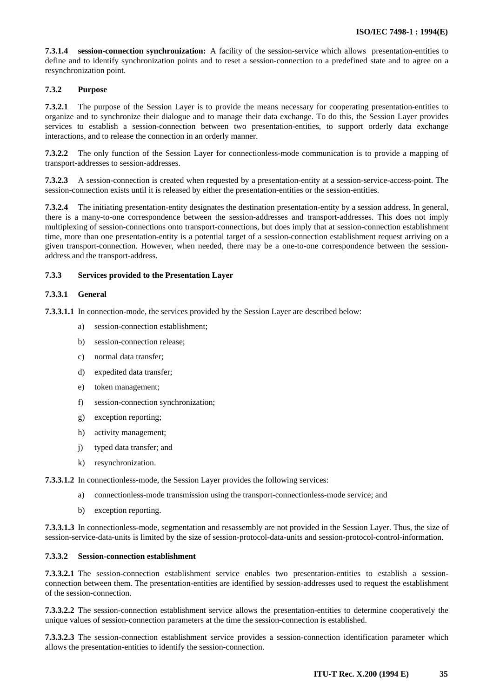**7.3.1.4 session-connection synchronization:** A facility of the session-service which allows presentation-entities to define and to identify synchronization points and to reset a session-connection to a predefined state and to agree on a resynchronization point.

## **7.3.2 Purpose**

**7.3.2.1** The purpose of the Session Layer is to provide the means necessary for cooperating presentation-entities to organize and to synchronize their dialogue and to manage their data exchange. To do this, the Session Layer provides services to establish a session-connection between two presentation-entities, to support orderly data exchange interactions, and to release the connection in an orderly manner.

**7.3.2.2** The only function of the Session Layer for connectionless-mode communication is to provide a mapping of transport-addresses to session-addresses.

**7.3.2.3** A session-connection is created when requested by a presentation-entity at a session-service-access-point. The session-connection exists until it is released by either the presentation-entities or the session-entities.

**7.3.2.4** The initiating presentation-entity designates the destination presentation-entity by a session address. In general, there is a many-to-one correspondence between the session-addresses and transport-addresses. This does not imply multiplexing of session-connections onto transport-connections, but does imply that at session-connection establishment time, more than one presentation-entity is a potential target of a session-connection establishment request arriving on a given transport-connection. However, when needed, there may be a one-to-one correspondence between the sessionaddress and the transport-address.

## **7.3.3 Services provided to the Presentation Layer**

#### **7.3.3.1 General**

**7.3.3.1.1** In connection-mode, the services provided by the Session Layer are described below:

- a) session-connection establishment;
- b) session-connection release;
- c) normal data transfer;
- d) expedited data transfer;
- e) token management;
- f) session-connection synchronization;
- g) exception reporting;
- h) activity management;
- j) typed data transfer; and
- k) resynchronization.

**7.3.3.1.2** In connectionless-mode, the Session Layer provides the following services:

- a) connectionless-mode transmission using the transport-connectionless-mode service; and
- b) exception reporting.

**7.3.3.1.3** In connectionless-mode, segmentation and resassembly are not provided in the Session Layer. Thus, the size of session-service-data-units is limited by the size of session-protocol-data-units and session-protocol-control-information.

#### **7.3.3.2 Session-connection establishment**

**7.3.3.2.1** The session-connection establishment service enables two presentation-entities to establish a sessionconnection between them. The presentation-entities are identified by session-addresses used to request the establishment of the session-connection.

**7.3.3.2.2** The session-connection establishment service allows the presentation-entities to determine cooperatively the unique values of session-connection parameters at the time the session-connection is established.

**7.3.3.2.3** The session-connection establishment service provides a session-connection identification parameter which allows the presentation-entities to identify the session-connection.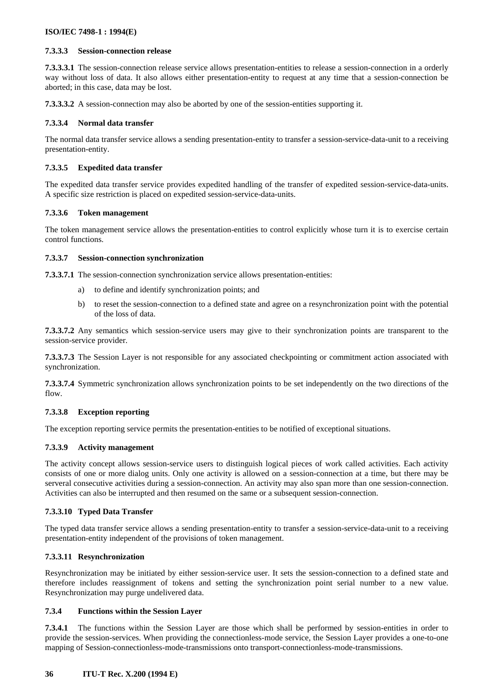# **7.3.3.3 Session-connection release**

**7.3.3.3.1** The session-connection release service allows presentation-entities to release a session-connection in a orderly way without loss of data. It also allows either presentation-entity to request at any time that a session-connection be aborted; in this case, data may be lost.

**7.3.3.3.2** A session-connection may also be aborted by one of the session-entities supporting it.

# **7.3.3.4 Normal data transfer**

The normal data transfer service allows a sending presentation-entity to transfer a session-service-data-unit to a receiving presentation-entity.

# **7.3.3.5 Expedited data transfer**

The expedited data transfer service provides expedited handling of the transfer of expedited session-service-data-units. A specific size restriction is placed on expedited session-service-data-units.

# **7.3.3.6 Token management**

The token management service allows the presentation-entities to control explicitly whose turn it is to exercise certain control functions.

# **7.3.3.7 Session-connection synchronization**

**7.3.3.7.1** The session-connection synchronization service allows presentation-entities:

- a) to define and identify synchronization points; and
- b) to reset the session-connection to a defined state and agree on a resynchronization point with the potential of the loss of data.

**7.3.3.7.2** Any semantics which session-service users may give to their synchronization points are transparent to the session-service provider.

**7.3.3.7.3** The Session Layer is not responsible for any associated checkpointing or commitment action associated with synchronization.

**7.3.3.7.4** Symmetric synchronization allows synchronization points to be set independently on the two directions of the flow.

# **7.3.3.8 Exception reporting**

The exception reporting service permits the presentation-entities to be notified of exceptional situations.

## **7.3.3.9 Activity management**

The activity concept allows session-service users to distinguish logical pieces of work called activities. Each activity consists of one or more dialog units. Only one activity is allowed on a session-connection at a time, but there may be serveral consecutive activities during a session-connection. An activity may also span more than one session-connection. Activities can also be interrupted and then resumed on the same or a subsequent session-connection.

## **7.3.3.10 Typed Data Transfer**

The typed data transfer service allows a sending presentation-entity to transfer a session-service-data-unit to a receiving presentation-entity independent of the provisions of token management.

# **7.3.3.11 Resynchronization**

Resynchronization may be initiated by either session-service user. It sets the session-connection to a defined state and therefore includes reassignment of tokens and setting the synchronization point serial number to a new value. Resynchronization may purge undelivered data.

## **7.3.4 Functions within the Session Layer**

**7.3.4.1** The functions within the Session Layer are those which shall be performed by session-entities in order to provide the session-services. When providing the connectionless-mode service, the Session Layer provides a one-to-one mapping of Session-connectionless-mode-transmissions onto transport-connectionless-mode-transmissions.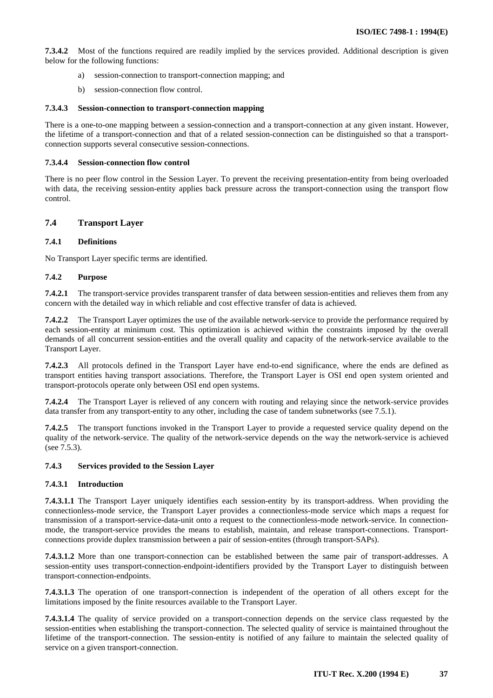<span id="page-40-0"></span>**7.3.4.2** Most of the functions required are readily implied by the services provided. Additional description is given below for the following functions:

- a) session-connection to transport-connection mapping; and
- b) session-connection flow control.

#### **7.3.4.3 Session-connection to transport-connection mapping**

There is a one-to-one mapping between a session-connection and a transport-connection at any given instant. However, the lifetime of a transport-connection and that of a related session-connection can be distinguished so that a transportconnection supports several consecutive session-connections.

#### **7.3.4.4 Session-connection flow control**

There is no peer flow control in the Session Layer. To prevent the receiving presentation-entity from being overloaded with data, the receiving session-entity applies back pressure across the transport-connection using the transport flow control.

# **7.4 Transport Layer**

## **7.4.1 Definitions**

No Transport Layer specific terms are identified.

#### **7.4.2 Purpose**

**7.4.2.1** The transport-service provides transparent transfer of data between session-entities and relieves them from any concern with the detailed way in which reliable and cost effective transfer of data is achieved.

**7.4.2.2** The Transport Layer optimizes the use of the available network-service to provide the performance required by each session-entity at minimum cost. This optimization is achieved within the constraints imposed by the overall demands of all concurrent session-entities and the overall quality and capacity of the network-service available to the Transport Layer.

**7.4.2.3** All protocols defined in the Transport Layer have end-to-end significance, where the ends are defined as transport entities having transport associations. Therefore, the Transport Layer is OSI end open system oriented and transport-protocols operate only between OSI end open systems.

**7.4.2.4** The Transport Layer is relieved of any concern with routing and relaying since the network-service provides data transfer from any transport-entity to any other, including the case of tandem subnetworks (see 7.5.1).

**7.4.2.5** The transport functions invoked in the Transport Layer to provide a requested service quality depend on the quality of the network-service. The quality of the network-service depends on the way the network-service is achieved (see 7.5.3).

#### **7.4.3 Services provided to the Session Layer**

## **7.4.3.1 Introduction**

**7.4.3.1.1** The Transport Layer uniquely identifies each session-entity by its transport-address. When providing the connectionless-mode service, the Transport Layer provides a connectionless-mode service which maps a request for transmission of a transport-service-data-unit onto a request to the connectionless-mode network-service. In connectionmode, the transport-service provides the means to establish, maintain, and release transport-connections. Transportconnections provide duplex transmission between a pair of session-entites (through transport-SAPs).

**7.4.3.1.2** More than one transport-connection can be established between the same pair of transport-addresses. A session-entity uses transport-connection-endpoint-identifiers provided by the Transport Layer to distinguish between transport-connection-endpoints.

**7.4.3.1.3** The operation of one transport-connection is independent of the operation of all others except for the limitations imposed by the finite resources available to the Transport Layer.

**7.4.3.1.4** The quality of service provided on a transport-connection depends on the service class requested by the session-entities when establishing the transport-connection. The selected quality of service is maintained throughout the lifetime of the transport-connection. The session-entity is notified of any failure to maintain the selected quality of service on a given transport-connection.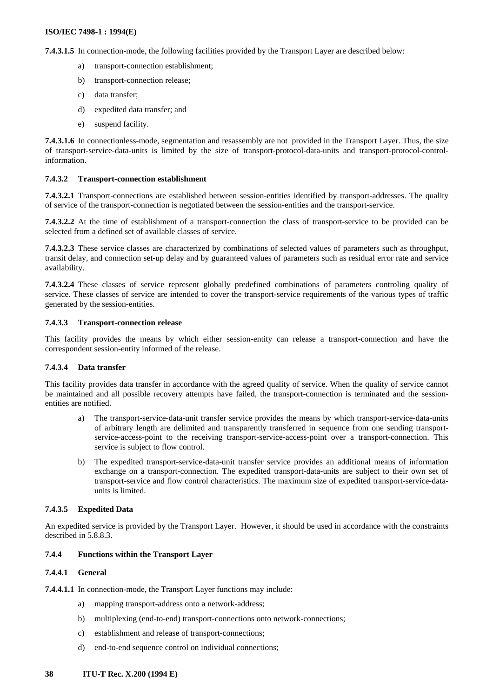**7.4.3.1.5** In connection-mode, the following facilities provided by the Transport Layer are described below:

- a) transport-connection establishment;
- b) transport-connection release;
- c) data transfer;
- d) expedited data transfer; and
- e) suspend facility.

**7.4.3.1.6** In connectionless-mode, segmentation and resassembly are not provided in the Transport Layer. Thus, the size of transport-service-data-units is limited by the size of transport-protocol-data-units and transport-protocol-controlinformation.

## **7.4.3.2 Transport-connection establishment**

**7.4.3.2.1** Transport-connections are established between session-entities identified by transport-addresses. The quality of service of the transport-connection is negotiated between the session-entities and the transport-service.

**7.4.3.2.2** At the time of establishment of a transport-connection the class of transport-service to be provided can be selected from a defined set of available classes of service.

**7.4.3.2.3** These service classes are characterized by combinations of selected values of parameters such as throughput, transit delay, and connection set-up delay and by guaranteed values of parameters such as residual error rate and service availability.

**7.4.3.2.4** These classes of service represent globally predefined combinations of parameters controling quality of service. These classes of service are intended to cover the transport-service requirements of the various types of traffic generated by the session-entities.

## **7.4.3.3 Transport-connection release**

This facility provides the means by which either session-entity can release a transport-connection and have the correspondent session-entity informed of the release.

## **7.4.3.4 Data transfer**

This facility provides data transfer in accordance with the agreed quality of service. When the quality of service cannot be maintained and all possible recovery attempts have failed, the transport-connection is terminated and the sessionentities are notified.

- a) The transport-service-data-unit transfer service provides the means by which transport-service-data-units of arbitrary length are delimited and transparently transferred in sequence from one sending transportservice-access-point to the receiving transport-service-access-point over a transport-connection. This service is subject to flow control.
- b) The expedited transport-service-data-unit transfer service provides an additional means of information exchange on a transport-connection. The expedited transport-data-units are subject to their own set of transport-service and flow control characteristics. The maximum size of expedited transport-service-dataunits is limited.

## **7.4.3.5 Expedited Data**

An expedited service is provided by the Transport Layer. However, it should be used in accordance with the constraints described in 5.8.8.3.

## **7.4.4 Functions within the Transport Layer**

## **7.4.4.1 General**

**7.4.4.1.1** In connection-mode, the Transport Layer functions may include:

- a) mapping transport-address onto a network-address;
- b) multiplexing (end-to-end) transport-connections onto network-connections;
- c) establishment and release of transport-connections;
- d) end-to-end sequence control on individual connections;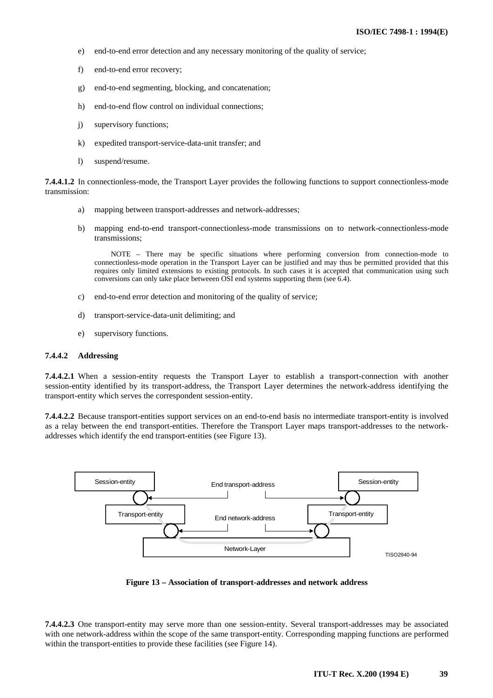- e) end-to-end error detection and any necessary monitoring of the quality of service;
- f) end-to-end error recovery;
- g) end-to-end segmenting, blocking, and concatenation;
- h) end-to-end flow control on individual connections;
- j) supervisory functions;
- k) expedited transport-service-data-unit transfer; and
- l) suspend/resume.

**7.4.4.1.2** In connectionless-mode, the Transport Layer provides the following functions to support connectionless-mode transmission:

- a) mapping between transport-addresses and network-addresses;
- b) mapping end-to-end transport-connectionless-mode transmissions on to network-connectionless-mode transmissions;

NOTE – There may be specific situations where performing conversion from connection-mode to connectionless-mode operation in the Transport Layer can be justified and may thus be permitted provided that this requires only limited extensions to existing protocols. In such cases it is accepted that communication using such conversions can only take place betweeen OSI end systems supporting them (see 6.4).

- c) end-to-end error detection and monitoring of the quality of service;
- d) transport-service-data-unit delimiting; and
- e) supervisory functions.

#### **7.4.4.2 Addressing**

**7.4.4.2.1** When a session-entity requests the Transport Layer to establish a transport-connection with another session-entity identified by its transport-address, the Transport Layer determines the network-address identifying the transport-entity which serves the correspondent session-entity.

**7.4.4.2.2** Because transport-entities support services on an end-to-end basis no intermediate transport-entity is involved as a relay between the end transport-entities. Therefore the Transport Layer maps transport-addresses to the networkaddresses which identify the end transport-entities (see Figure 13).



**Figure 13 – Association of transport-addresses and network address**

**7.4.4.2.3** One transport-entity may serve more than one session-entity. Several transport-addresses may be associated with one network-address within the scope of the same transport-entity. Corresponding mapping functions are performed within the transport-entities to provide these facilities (see Figure 14).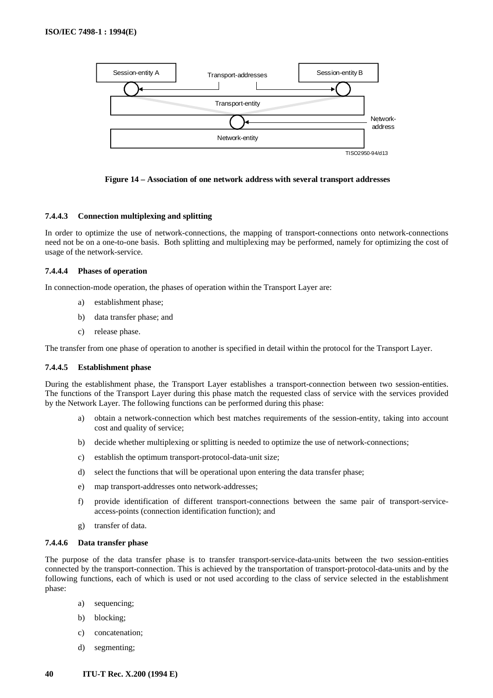![](_page_43_Figure_1.jpeg)

**Figure 14 – Association of one network address with several transport addresses**

## **7.4.4.3 Connection multiplexing and splitting**

In order to optimize the use of network-connections, the mapping of transport-connections onto network-connections need not be on a one-to-one basis. Both splitting and multiplexing may be performed, namely for optimizing the cost of usage of the network-service.

## **7.4.4.4 Phases of operation**

In connection-mode operation, the phases of operation within the Transport Layer are:

- a) establishment phase;
- b) data transfer phase; and
- c) release phase.

The transfer from one phase of operation to another is specified in detail within the protocol for the Transport Layer.

## **7.4.4.5 Establishment phase**

During the establishment phase, the Transport Layer establishes a transport-connection between two session-entities. The functions of the Transport Layer during this phase match the requested class of service with the services provided by the Network Layer. The following functions can be performed during this phase:

- a) obtain a network-connection which best matches requirements of the session-entity, taking into account cost and quality of service;
- b) decide whether multiplexing or splitting is needed to optimize the use of network-connections;
- c) establish the optimum transport-protocol-data-unit size;
- d) select the functions that will be operational upon entering the data transfer phase;
- e) map transport-addresses onto network-addresses;
- f) provide identification of different transport-connections between the same pair of transport-serviceaccess-points (connection identification function); and
- g) transfer of data.

# **7.4.4.6 Data transfer phase**

The purpose of the data transfer phase is to transfer transport-service-data-units between the two session-entities connected by the transport-connection. This is achieved by the transportation of transport-protocol-data-units and by the following functions, each of which is used or not used according to the class of service selected in the establishment phase:

- a) sequencing;
- b) blocking;
- c) concatenation;
- d) segmenting;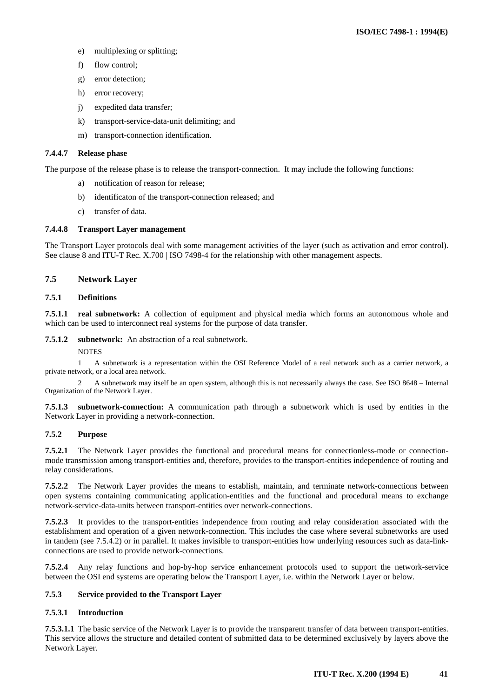- <span id="page-44-0"></span>e) multiplexing or splitting;
- f) flow control;
- g) error detection;
- h) error recovery;
- j) expedited data transfer;
- k) transport-service-data-unit delimiting; and
- m) transport-connection identification.

# **7.4.4.7 Release phase**

The purpose of the release phase is to release the transport-connection. It may include the following functions:

- a) notification of reason for release;
- b) identificaton of the transport-connection released; and
- c) transfer of data.

# **7.4.4.8 Transport Layer management**

The Transport Layer protocols deal with some management activities of the layer (such as activation and error control). See clause 8 and ITU-T Rec. X.700 | ISO 7498-4 for the relationship with other management aspects.

# **7.5 Network Layer**

## **7.5.1 Definitions**

**7.5.1.1 real subnetwork:** A collection of equipment and physical media which forms an autonomous whole and which can be used to interconnect real systems for the purpose of data transfer.

# **7.5.1.2 subnetwork:** An abstraction of a real subnetwork.

**NOTES** 

1 A subnetwork is a representation within the OSI Reference Model of a real network such as a carrier network, a private network, or a local area network.

2 A subnetwork may itself be an open system, although this is not necessarily always the case. See ISO 8648 – Internal Organization of the Network Layer.

**7.5.1.3 subnetwork-connection:** A communication path through a subnetwork which is used by entities in the Network Layer in providing a network-connection.

# **7.5.2 Purpose**

**7.5.2.1** The Network Layer provides the functional and procedural means for connectionless-mode or connectionmode transmission among transport-entities and, therefore, provides to the transport-entities independence of routing and relay considerations.

**7.5.2.2** The Network Layer provides the means to establish, maintain, and terminate network-connections between open systems containing communicating application-entities and the functional and procedural means to exchange network-service-data-units between transport-entities over network-connections.

**7.5.2.3** It provides to the transport-entities independence from routing and relay consideration associated with the establishment and operation of a given network-connection. This includes the case where several subnetworks are used in tandem (see 7.5.4.2) or in parallel. It makes invisible to transport-entities how underlying resources such as data-linkconnections are used to provide network-connections.

**7.5.2.4** Any relay functions and hop-by-hop service enhancement protocols used to support the network-service between the OSI end systems are operating below the Transport Layer, i.e. within the Network Layer or below.

# **7.5.3 Service provided to the Transport Layer**

# **7.5.3.1 Introduction**

**7.5.3.1.1** The basic service of the Network Layer is to provide the transparent transfer of data between transport-entities. This service allows the structure and detailed content of submitted data to be determined exclusively by layers above the Network Layer.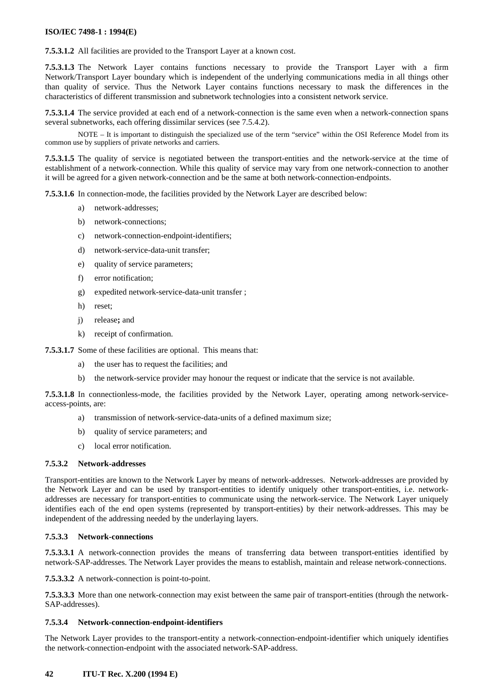**7.5.3.1.2** All facilities are provided to the Transport Layer at a known cost.

**7.5.3.1.3** The Network Layer contains functions necessary to provide the Transport Layer with a firm Network/Transport Layer boundary which is independent of the underlying communications media in all things other than quality of service. Thus the Network Layer contains functions necessary to mask the differences in the characteristics of different transmission and subnetwork technologies into a consistent network service.

**7.5.3.1.4** The service provided at each end of a network-connection is the same even when a network-connection spans several subnetworks, each offering dissimilar services (see 7.5.4.2).

NOTE – It is important to distinguish the specialized use of the term "service" within the OSI Reference Model from its common use by suppliers of private networks and carriers.

**7.5.3.1.5** The quality of service is negotiated between the transport-entities and the network-service at the time of establishment of a network-connection. While this quality of service may vary from one network-connection to another it will be agreed for a given network-connection and be the same at both network-connection-endpoints.

**7.5.3.1.6** In connection-mode, the facilities provided by the Network Layer are described below:

- a) network-addresses;
- b) network-connections;
- c) network-connection-endpoint-identifiers;
- d) network-service-data-unit transfer;
- e) quality of service parameters;
- f) error notification;
- g) expedited network-service-data-unit transfer ;
- h) reset;
- j) release**;** and
- k) receipt of confirmation.

**7.5.3.1.7** Some of these facilities are optional. This means that:

- a) the user has to request the facilities; and
- b) the network-service provider may honour the request or indicate that the service is not available.

**7.5.3.1.8** In connectionless-mode, the facilities provided by the Network Layer, operating among network-serviceaccess-points, are:

- a) transmission of network-service-data-units of a defined maximum size;
- b) quality of service parameters; and
- c) local error notification.

# **7.5.3.2 Network-addresses**

Transport-entities are known to the Network Layer by means of network-addresses. Network-addresses are provided by the Network Layer and can be used by transport-entities to identify uniquely other transport-entities, i.e. networkaddresses are necessary for transport-entities to communicate using the network-service. The Network Layer uniquely identifies each of the end open systems (represented by transport-entities) by their network-addresses. This may be independent of the addressing needed by the underlaying layers.

## **7.5.3.3 Network-connections**

**7.5.3.3.1** A network-connection provides the means of transferring data between transport-entities identified by network-SAP-addresses. The Network Layer provides the means to establish, maintain and release network-connections.

**7.5.3.3.2** A network-connection is point-to-point.

**7.5.3.3.3** More than one network-connection may exist between the same pair of transport-entities (through the network-SAP-addresses).

## **7.5.3.4 Network-connection-endpoint-identifiers**

The Network Layer provides to the transport-entity a network-connection-endpoint-identifier which uniquely identifies the network-connection-endpoint with the associated network-SAP-address.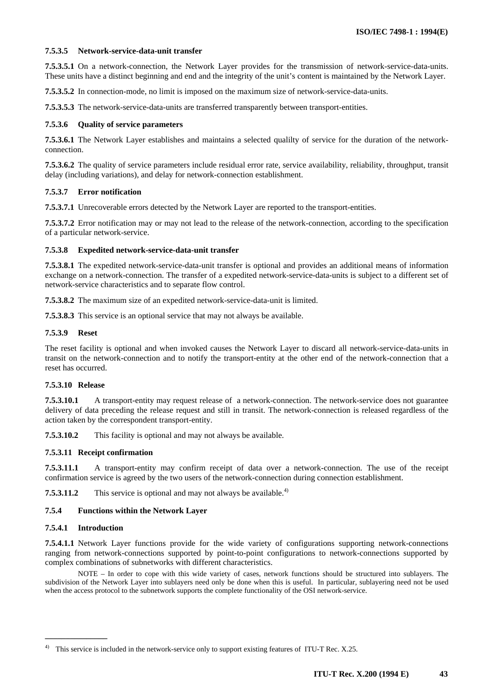## **7.5.3.5 Network-service-data-unit transfer**

**7.5.3.5.1** On a network-connection, the Network Layer provides for the transmission of network-service-data-units. These units have a distinct beginning and end and the integrity of the unit's content is maintained by the Network Layer.

**7.5.3.5.2** In connection-mode, no limit is imposed on the maximum size of network-service-data-units.

**7.5.3.5.3** The network-service-data-units are transferred transparently between transport-entities.

#### **7.5.3.6 Quality of service parameters**

**7.5.3.6.1** The Network Layer establishes and maintains a selected qualilty of service for the duration of the networkconnection.

**7.5.3.6.2** The quality of service parameters include residual error rate, service availability, reliability, throughput, transit delay (including variations), and delay for network-connection establishment.

#### **7.5.3.7 Error notification**

**7.5.3.7.1** Unrecoverable errors detected by the Network Layer are reported to the transport-entities.

**7.5.3.7.2** Error notification may or may not lead to the release of the network-connection, according to the specification of a particular network-service.

#### **7.5.3.8 Expedited network-service-data-unit transfer**

**7.5.3.8.1** The expedited network-service-data-unit transfer is optional and provides an additional means of information exchange on a network-connection. The transfer of a expedited network-service-data-units is subject to a different set of network-service characteristics and to separate flow control.

**7.5.3.8.2** The maximum size of an expedited network-service-data-unit is limited.

**7.5.3.8.3** This service is an optional service that may not always be available.

#### **7.5.3.9 Reset**

The reset facility is optional and when invoked causes the Network Layer to discard all network-service-data-units in transit on the network-connection and to notify the transport-entity at the other end of the network-connection that a reset has occurred.

## **7.5.3.10 Release**

**7.5.3.10.1** A transport-entity may request release of a network-connection. The network-service does not guarantee delivery of data preceding the release request and still in transit. The network-connection is released regardless of the action taken by the correspondent transport-entity.

**7.5.3.10.2** This facility is optional and may not always be available.

## **7.5.3.11 Receipt confirmation**

**7.5.3.11.1** A transport-entity may confirm receipt of data over a network-connection. The use of the receipt confirmation service is agreed by the two users of the network-connection during connection establishment.

**7.5.3.11.2** This service is optional and may not always be available.<sup>4)</sup>

## **7.5.4 Functions within the Network Layer**

#### **7.5.4.1 Introduction**

 $\mathcal{L}_\text{max}$ 

**7.5.4.1.1** Network Layer functions provide for the wide variety of configurations supporting network-connections ranging from network-connections supported by point-to-point configurations to network-connections supported by complex combinations of subnetworks with different characteristics.

NOTE – In order to cope with this wide variety of cases, network functions should be structured into sublayers. The subdivision of the Network Layer into sublayers need only be done when this is useful. In particular, sublayering need not be used when the access protocol to the subnetwork supports the complete functionality of the OSI network-service.

This service is included in the network-service only to support existing features of ITU-T Rec. X.25.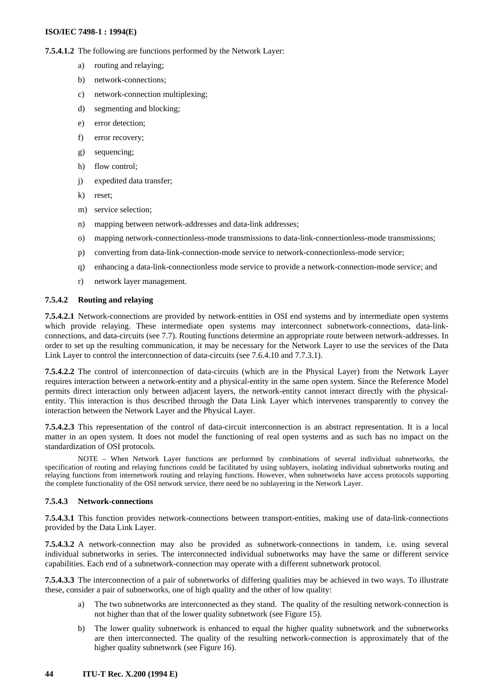**7.5.4.1.2** The following are functions performed by the Network Layer:

- a) routing and relaying;
- b) network-connections;
- c) network-connection multiplexing;
- d) segmenting and blocking;
- e) error detection;
- f) error recovery;
- g) sequencing;
- h) flow control;
- j) expedited data transfer;
- k) reset;
- m) service selection;
- n) mapping between network-addresses and data-link addresses;
- o) mapping network-connectionless-mode transmissions to data-link-connectionless-mode transmissions;
- p) converting from data-link-connection-mode service to network-connectionless-mode service;
- q) enhancing a data-link-connectionless mode service to provide a network-connection-mode service; and
- r) network layer management.

#### **7.5.4.2 Routing and relaying**

**7.5.4.2.1** Network-connections are provided by network-entities in OSI end systems and by intermediate open systems which provide relaying. These intermediate open systems may interconnect subnetwork-connections, data-linkconnections, and data-circuits (see 7.7). Routing functions determine an appropriate route between network-addresses. In order to set up the resulting communication, it may be necessary for the Network Layer to use the services of the Data Link Layer to control the interconnection of data-circuits (see 7.6.4.10 and 7.7.3.1).

**7.5.4.2.2** The control of interconnection of data-circuits (which are in the Physical Layer) from the Network Layer requires interaction between a network-entity and a physical-entity in the same open system. Since the Reference Model permits direct interaction only between adjacent layers, the network-entity cannot interact directly with the physicalentity. This interaction is thus described through the Data Link Layer which intervenes transparently to convey the interaction between the Network Layer and the Physical Layer.

**7.5.4.2.3** This representation of the control of data-circuit interconnection is an abstract representation. It is a local matter in an open system. It does not model the functioning of real open systems and as such has no impact on the standardization of OSI protocols.

NOTE – When Network Layer functions are performed by combinations of several individual subnetworks, the specification of routing and relaying functions could be facilitated by using sublayers, isolating individual subnetworks routing and relaying functions from internetwork routing and relaying functions. However, when subnetworks have access protocols supporting the complete functionality of the OSI network service, there need be no sublayering in the Network Layer.

#### **7.5.4.3 Network-connections**

**7.5.4.3.1** This function provides network-connections between transport-entities, making use of data-link-connections provided by the Data Link Layer.

**7.5.4.3.2** A network-connection may also be provided as subnetwork-connections in tandem, i.e. using several individual subnetworks in series. The interconnected individual subnetworks may have the same or different service capabilities. Each end of a subnetwork-connection may operate with a different subnetwork protocol.

**7.5.4.3.3** The interconnection of a pair of subnetworks of differing qualities may be achieved in two ways. To illustrate these, consider a pair of subnetworks, one of high quality and the other of low quality:

- a) The two subnetworks are interconnected as they stand. The quality of the resulting network-connection is not higher than that of the lower quality subnetwork (see Figure 15).
- b) The lower quality subnetwork is enhanced to equal the higher quality subnetwork and the subnetworks are then interconnected. The quality of the resulting network-connection is approximately that of the higher quality subnetwork (see Figure 16).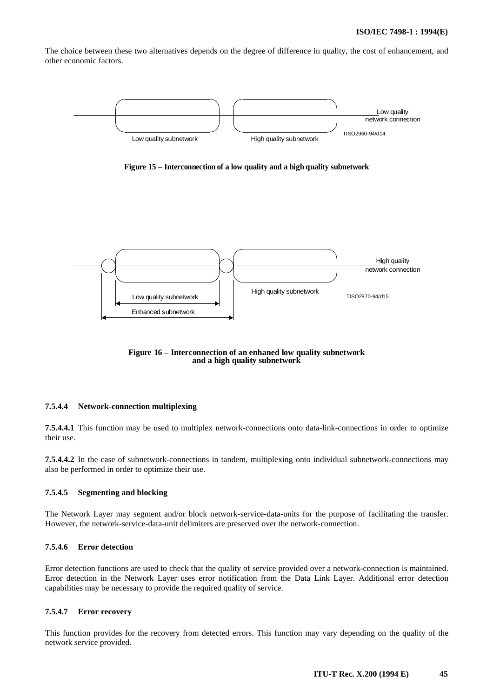The choice between these two alternatives depends on the degree of difference in quality, the cost of enhancement, and other economic factors.

![](_page_48_Figure_2.jpeg)

**Figure 15 – Interconnection of a low quality and a high quality subnetwork**

![](_page_48_Figure_4.jpeg)

**Figure 16 – Interconnection of an enhaned low quality subnetwork and a high quality subnetwork**

#### **7.5.4.4 Network-connection multiplexing**

**7.5.4.4.1** This function may be used to multiplex network-connections onto data-link-connections in order to optimize their use.

**7.5.4.4.2** In the case of subnetwork-connections in tandem, multiplexing onto individual subnetwork-connections may also be performed in order to optimize their use.

#### **7.5.4.5 Segmenting and blocking**

The Network Layer may segment and/or block network-service-data-units for the purpose of facilitating the transfer. However, the network-service-data-unit delimiters are preserved over the network-connection.

#### **7.5.4.6 Error detection**

Error detection functions are used to check that the quality of service provided over a network-connection is maintained. Error detection in the Network Layer uses error notification from the Data Link Layer. Additional error detection capabilities may be necessary to provide the required quality of service.

## **7.5.4.7 Error recovery**

This function provides for the recovery from detected errors. This function may vary depending on the quality of the network service provided.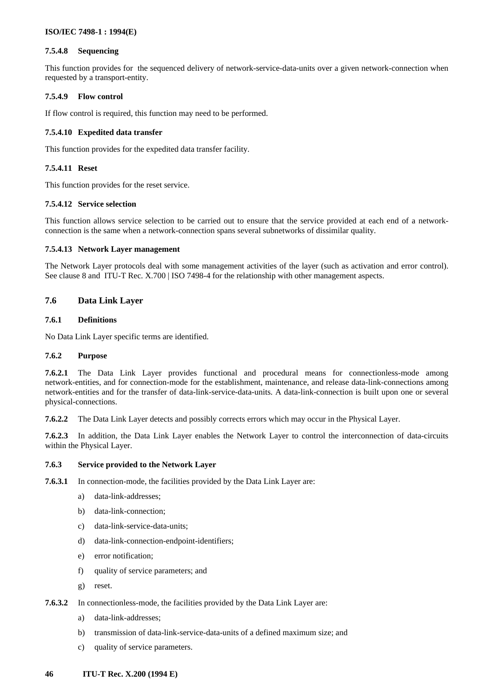# <span id="page-49-0"></span>**7.5.4.8 Sequencing**

This function provides for the sequenced delivery of network-service-data-units over a given network-connection when requested by a transport-entity.

# **7.5.4.9 Flow control**

If flow control is required, this function may need to be performed.

# **7.5.4.10 Expedited data transfer**

This function provides for the expedited data transfer facility.

# **7.5.4.11 Reset**

This function provides for the reset service.

# **7.5.4.12 Service selection**

This function allows service selection to be carried out to ensure that the service provided at each end of a networkconnection is the same when a network-connection spans several subnetworks of dissimilar quality.

## **7.5.4.13 Network Layer management**

The Network Layer protocols deal with some management activities of the layer (such as activation and error control). See clause 8 and ITU-T Rec. X.700 | ISO 7498-4 for the relationship with other management aspects.

# **7.6 Data Link Layer**

## **7.6.1 Definitions**

No Data Link Layer specific terms are identified.

## **7.6.2 Purpose**

**7.6.2.1** The Data Link Layer provides functional and procedural means for connectionless-mode among network-entities, and for connection-mode for the establishment, maintenance, and release data-link-connections among network-entities and for the transfer of data-link-service-data-units. A data-link-connection is built upon one or several physical-connections.

**7.6.2.2** The Data Link Layer detects and possibly corrects errors which may occur in the Physical Layer.

**7.6.2.3** In addition, the Data Link Layer enables the Network Layer to control the interconnection of data-circuits within the Physical Layer.

## **7.6.3 Service provided to the Network Layer**

- **7.6.3.1** In connection-mode, the facilities provided by the Data Link Layer are:
	- a) data-link-addresses;
	- b) data-link-connection;
	- c) data-link-service-data-units;
	- d) data-link-connection-endpoint-identifiers;
	- e) error notification;
	- f) quality of service parameters; and
	- g) reset.
- **7.6.3.2** In connectionless-mode, the facilities provided by the Data Link Layer are:
	- a) data-link-addresses;
	- b) transmission of data-link-service-data-units of a defined maximum size; and
	- c) quality of service parameters.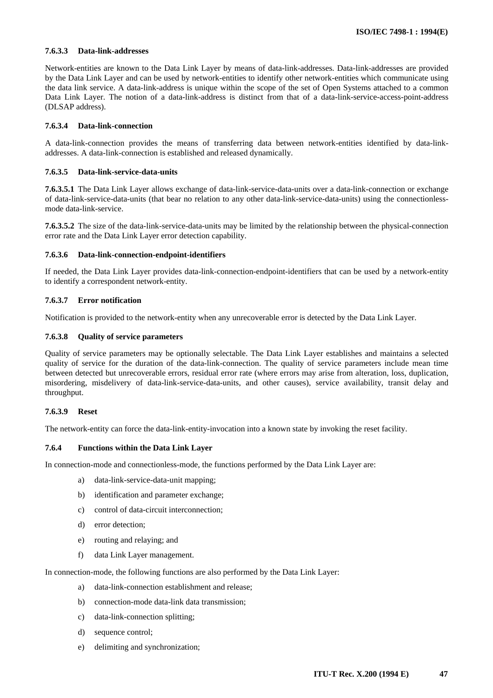## **7.6.3.3 Data-link-addresses**

Network-entities are known to the Data Link Layer by means of data-link-addresses. Data-link-addresses are provided by the Data Link Layer and can be used by network-entities to identify other network-entities which communicate using the data link service. A data-link-address is unique within the scope of the set of Open Systems attached to a common Data Link Layer. The notion of a data-link-address is distinct from that of a data-link-service-access-point-address (DLSAP address).

#### **7.6.3.4 Data-link-connection**

A data-link-connection provides the means of transferring data between network-entities identified by data-linkaddresses. A data-link-connection is established and released dynamically.

#### **7.6.3.5 Data-link-service-data-units**

**7.6.3.5.1** The Data Link Layer allows exchange of data-link-service-data-units over a data-link-connection or exchange of data-link-service-data-units (that bear no relation to any other data-link-service-data-units) using the connectionlessmode data-link-service.

**7.6.3.5.2** The size of the data-link-service-data-units may be limited by the relationship between the physical-connection error rate and the Data Link Layer error detection capability.

#### **7.6.3.6 Data-link-connection-endpoint-identifiers**

If needed, the Data Link Layer provides data-link-connection-endpoint-identifiers that can be used by a network-entity to identify a correspondent network-entity.

## **7.6.3.7 Error notification**

Notification is provided to the network-entity when any unrecoverable error is detected by the Data Link Layer.

#### **7.6.3.8 Quality of service parameters**

Quality of service parameters may be optionally selectable. The Data Link Layer establishes and maintains a selected quality of service for the duration of the data-link-connection. The quality of service parameters include mean time between detected but unrecoverable errors, residual error rate (where errors may arise from alteration, loss, duplication, misordering, misdelivery of data-link-service-data-units, and other causes), service availability, transit delay and throughput.

## **7.6.3.9 Reset**

The network-entity can force the data-link-entity-invocation into a known state by invoking the reset facility.

## **7.6.4 Functions within the Data Link Layer**

In connection-mode and connectionless-mode, the functions performed by the Data Link Layer are:

- a) data-link-service-data-unit mapping;
- b) identification and parameter exchange;
- c) control of data-circuit interconnection;
- d) error detection;
- e) routing and relaying; and
- f) data Link Layer management.

In connection-mode, the following functions are also performed by the Data Link Layer:

- a) data-link-connection establishment and release;
- b) connection-mode data-link data transmission;
- c) data-link-connection splitting;
- d) sequence control;
- e) delimiting and synchronization;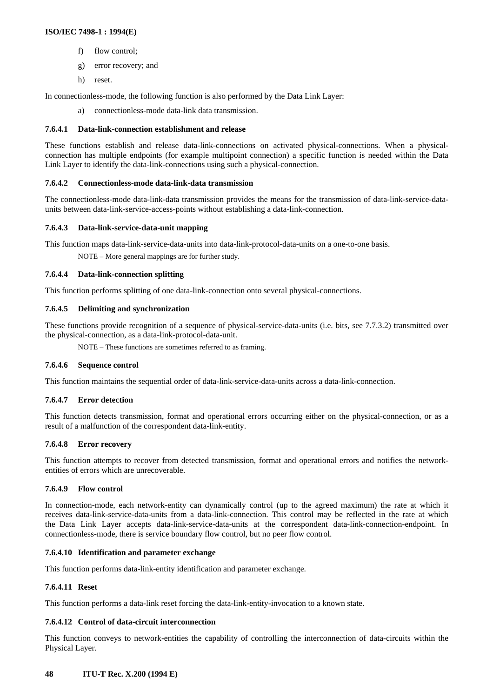- f) flow control;
- g) error recovery; and
- h) reset.

In connectionless-mode, the following function is also performed by the Data Link Layer:

a) connectionless-mode data-link data transmission.

#### **7.6.4.1 Data-link-connection establishment and release**

These functions establish and release data-link-connections on activated physical-connections. When a physicalconnection has multiple endpoints (for example multipoint connection) a specific function is needed within the Data Link Layer to identify the data-link-connections using such a physical-connection.

#### **7.6.4.2 Connectionless-mode data-link-data transmission**

The connectionless-mode data-link-data transmission provides the means for the transmission of data-link-service-dataunits between data-link-service-access-points without establishing a data-link-connection.

#### **7.6.4.3 Data-link-service-data-unit mapping**

This function maps data-link-service-data-units into data-link-protocol-data-units on a one-to-one basis.

NOTE – More general mappings are for further study.

#### **7.6.4.4 Data-link-connection splitting**

This function performs splitting of one data-link-connection onto several physical-connections.

#### **7.6.4.5 Delimiting and synchronization**

These functions provide recognition of a sequence of physical-service-data-units (i.e. bits, see 7.7.3.2) transmitted over the physical-connection, as a data-link-protocol-data-unit.

NOTE – These functions are sometimes referred to as framing.

#### **7.6.4.6 Sequence control**

This function maintains the sequential order of data-link-service-data-units across a data-link-connection.

## **7.6.4.7 Error detection**

This function detects transmission, format and operational errors occurring either on the physical-connection, or as a result of a malfunction of the correspondent data-link-entity.

## **7.6.4.8 Error recovery**

This function attempts to recover from detected transmission, format and operational errors and notifies the networkentities of errors which are unrecoverable.

#### **7.6.4.9 Flow control**

In connection-mode, each network-entity can dynamically control (up to the agreed maximum) the rate at which it receives data-link-service-data-units from a data-link-connection. This control may be reflected in the rate at which the Data Link Layer accepts data-link-service-data-units at the correspondent data-link-connection-endpoint. In connectionless-mode, there is service boundary flow control, but no peer flow control.

#### **7.6.4.10 Identification and parameter exchange**

This function performs data-link-entity identification and parameter exchange.

## **7.6.4.11 Reset**

This function performs a data-link reset forcing the data-link-entity-invocation to a known state.

## **7.6.4.12 Control of data-circuit interconnection**

This function conveys to network-entities the capability of controlling the interconnection of data-circuits within the Physical Layer.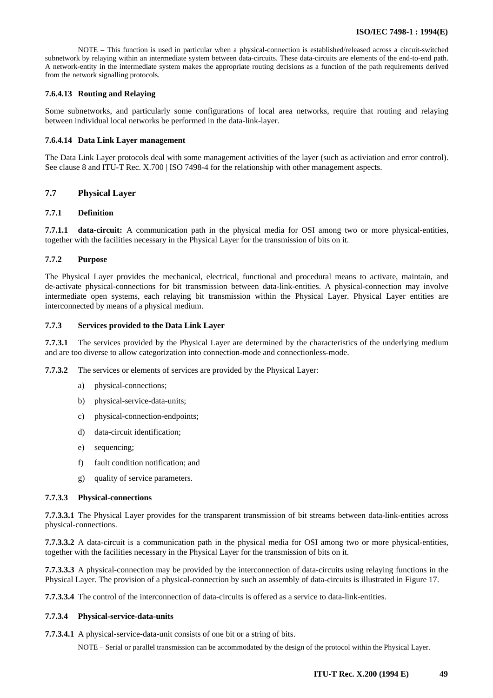<span id="page-52-0"></span>NOTE – This function is used in particular when a physical-connection is established/released across a circuit-switched subnetwork by relaying within an intermediate system between data-circuits. These data-circuits are elements of the end-to-end path. A network-entity in the intermediate system makes the appropriate routing decisions as a function of the path requirements derived from the network signalling protocols.

#### **7.6.4.13 Routing and Relaying**

Some subnetworks, and particularly some configurations of local area networks, require that routing and relaying between individual local networks be performed in the data-link-layer.

#### **7.6.4.14 Data Link Layer management**

The Data Link Layer protocols deal with some management activities of the layer (such as activiation and error control). See clause 8 and ITU-T Rec. X.700 | ISO 7498-4 for the relationship with other management aspects.

#### **7.7 Physical Layer**

# **7.7.1 Definition**

**7.7.1.1 data-circuit:** A communication path in the physical media for OSI among two or more physical-entities, together with the facilities necessary in the Physical Layer for the transmission of bits on it.

#### **7.7.2 Purpose**

The Physical Layer provides the mechanical, electrical, functional and procedural means to activate, maintain, and de-activate physical-connections for bit transmission between data-link-entities. A physical-connection may involve intermediate open systems, each relaying bit transmission within the Physical Layer. Physical Layer entities are interconnected by means of a physical medium.

#### **7.7.3 Services provided to the Data Link Layer**

**7.7.3.1** The services provided by the Physical Layer are determined by the characteristics of the underlying medium and are too diverse to allow categorization into connection-mode and connectionless-mode.

**7.7.3.2** The services or elements of services are provided by the Physical Layer:

- a) physical-connections;
- b) physical-service-data-units;
- c) physical-connection-endpoints;
- d) data-circuit identification;
- e) sequencing;
- f) fault condition notification; and
- g) quality of service parameters.

#### **7.7.3.3 Physical-connections**

**7.7.3.3.1** The Physical Layer provides for the transparent transmission of bit streams between data-link-entities across physical-connections.

**7.7.3.3.2** A data-circuit is a communication path in the physical media for OSI among two or more physical-entities, together with the facilities necessary in the Physical Layer for the transmission of bits on it.

**7.7.3.3.3** A physical-connection may be provided by the interconnection of data-circuits using relaying functions in the Physical Layer. The provision of a physical-connection by such an assembly of data-circuits is illustrated in Figure 17.

**7.7.3.3.4** The control of the interconnection of data-circuits is offered as a service to data-link-entities.

#### **7.7.3.4 Physical-service-data-units**

**7.7.3.4.1** A physical-service-data-unit consists of one bit or a string of bits.

NOTE – Serial or parallel transmission can be accommodated by the design of the protocol within the Physical Layer.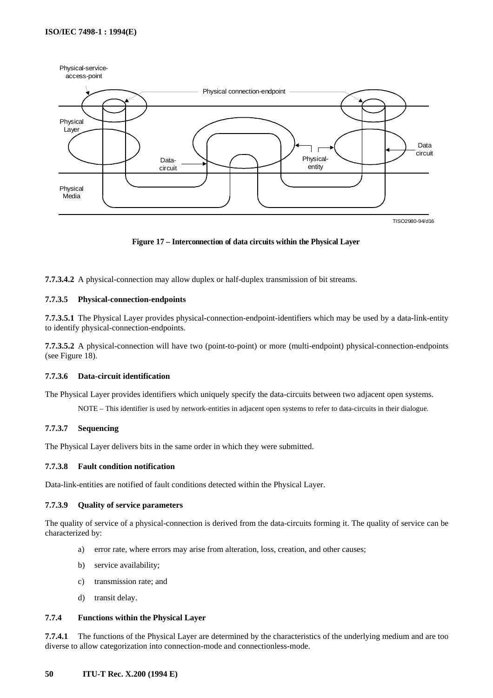![](_page_53_Figure_1.jpeg)

**Figure 17 – Interconnection of data circuits within the Physical Layer**

**7.7.3.4.2** A physical-connection may allow duplex or half-duplex transmission of bit streams.

#### **7.7.3.5 Physical-connection-endpoints**

**7.7.3.5.1** The Physical Layer provides physical-connection-endpoint-identifiers which may be used by a data-link-entity to identify physical-connection-endpoints.

**7.7.3.5.2** A physical-connection will have two (point-to-point) or more (multi-endpoint) physical-connection-endpoints (see Figure 18).

#### **7.7.3.6 Data-circuit identification**

The Physical Layer provides identifiers which uniquely specify the data-circuits between two adjacent open systems.

NOTE – This identifier is used by network-entities in adjacent open systems to refer to data-circuits in their dialogue.

## **7.7.3.7 Sequencing**

The Physical Layer delivers bits in the same order in which they were submitted.

#### **7.7.3.8 Fault condition notification**

Data-link-entities are notified of fault conditions detected within the Physical Layer.

#### **7.7.3.9 Quality of service parameters**

The quality of service of a physical-connection is derived from the data-circuits forming it. The quality of service can be characterized by:

- a) error rate, where errors may arise from alteration, loss, creation, and other causes;
- b) service availability;
- c) transmission rate; and
- d) transit delay.

#### **7.7.4 Functions within the Physical Layer**

**7.7.4.1** The functions of the Physical Layer are determined by the characteristics of the underlying medium and are too diverse to allow categorization into connection-mode and connectionless-mode.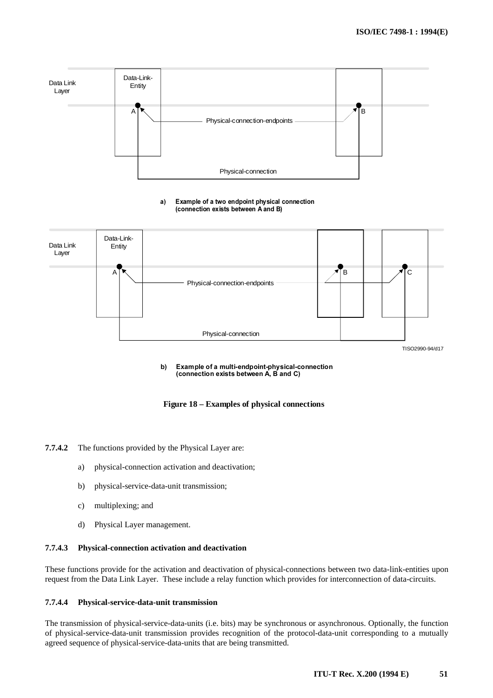![](_page_54_Figure_1.jpeg)

#### Example of a two endpoint physical connection (connection exists between A and B) a)

![](_page_54_Figure_3.jpeg)

#### Example of a multi-endpoint-physical-connection (connection exists between A, B and C) b)

# **Figure 18 – Examples of physical connections**

**7.7.4.2** The functions provided by the Physical Layer are:

- a) physical-connection activation and deactivation;
- b) physical-service-data-unit transmission;
- c) multiplexing; and
- d) Physical Layer management.

#### **7.7.4.3 Physical-connection activation and deactivation**

These functions provide for the activation and deactivation of physical-connections between two data-link-entities upon request from the Data Link Layer. These include a relay function which provides for interconnection of data-circuits.

#### **7.7.4.4 Physical-service-data-unit transmission**

The transmission of physical-service-data-units (i.e. bits) may be synchronous or asynchronous. Optionally, the function of physical-service-data-unit transmission provides recognition of the protocol-data-unit corresponding to a mutually agreed sequence of physical-service-data-units that are being transmitted.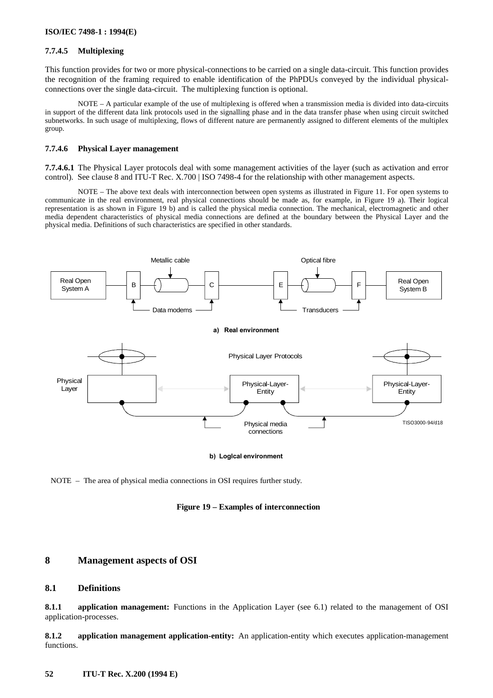# <span id="page-55-0"></span>**7.7.4.5 Multiplexing**

This function provides for two or more physical-connections to be carried on a single data-circuit. This function provides the recognition of the framing required to enable identification of the PhPDUs conveyed by the individual physicalconnections over the single data-circuit. The multiplexing function is optional.

NOTE – A particular example of the use of multiplexing is offered when a transmission media is divided into data-circuits in support of the different data link protocols used in the signalling phase and in the data transfer phase when using circuit switched subnetworks. In such usage of multiplexing, flows of different nature are permanently assigned to different elements of the multiplex group.

#### **7.7.4.6 Physical Layer management**

**7.7.4.6.1** The Physical Layer protocols deal with some management activities of the layer (such as activation and error control). See clause 8 and ITU-T Rec. X.700 | ISO 7498-4 for the relationship with other management aspects.

NOTE – The above text deals with interconnection between open systems as illustrated in Figure 11. For open systems to communicate in the real environment, real physical connections should be made as, for example, in Figure 19 a). Their logical representation is as shown in Figure 19 b) and is called the physical media connection. The mechanical, electromagnetic and other media dependent characteristics of physical media connections are defined at the boundary between the Physical Layer and the physical media. Definitions of such characteristics are specified in other standards.

![](_page_55_Figure_7.jpeg)

b) Logical environment

NOTE – The area of physical media connections in OSI requires further study.

![](_page_55_Figure_10.jpeg)

# **8 Management aspects of OSI**

#### **8.1 Definitions**

**8.1.1 application management:** Functions in the Application Layer (see 6.1) related to the management of OSI application-processes.

**8.1.2 application management application-entity:** An application-entity which executes application-management functions.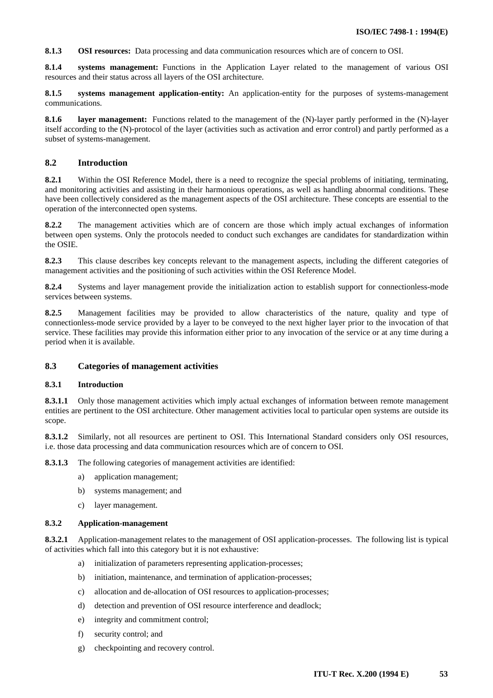<span id="page-56-0"></span>**8.1.3 OSI resources:** Data processing and data communication resources which are of concern to OSI.

**8.1.4 systems management:** Functions in the Application Layer related to the management of various OSI resources and their status across all layers of the OSI architecture.

**8.1.5 systems management application-entity:** An application-entity for the purposes of systems-management communications.

**8.1.6 layer management:** Functions related to the management of the (N)-layer partly performed in the (N)-layer itself according to the (N)-protocol of the layer (activities such as activation and error control) and partly performed as a subset of systems-management.

## **8.2 Introduction**

**8.2.1** Within the OSI Reference Model, there is a need to recognize the special problems of initiating, terminating, and monitoring activities and assisting in their harmonious operations, as well as handling abnormal conditions. These have been collectively considered as the management aspects of the OSI architecture. These concepts are essential to the operation of the interconnected open systems.

**8.2.2** The management activities which are of concern are those which imply actual exchanges of information between open systems. Only the protocols needed to conduct such exchanges are candidates for standardization within the OSIE.

**8.2.3** This clause describes key concepts relevant to the management aspects, including the different categories of management activities and the positioning of such activities within the OSI Reference Model.

**8.2.4** Systems and layer management provide the initialization action to establish support for connectionless-mode services between systems.

**8.2.5** Management facilities may be provided to allow characteristics of the nature, quality and type of connectionless-mode service provided by a layer to be conveyed to the next higher layer prior to the invocation of that service. These facilities may provide this information either prior to any invocation of the service or at any time during a period when it is available.

## **8.3 Categories of management activities**

#### **8.3.1 Introduction**

**8.3.1.1** Only those management activities which imply actual exchanges of information between remote management entities are pertinent to the OSI architecture. Other management activities local to particular open systems are outside its scope.

**8.3.1.2** Similarly, not all resources are pertinent to OSI. This International Standard considers only OSI resources, i.e. those data processing and data communication resources which are of concern to OSI.

**8.3.1.3** The following categories of management activities are identified:

- a) application management;
- b) systems management; and
- c) layer management.

#### **8.3.2 Application-management**

**8.3.2.1** Application-management relates to the management of OSI application-processes. The following list is typical of activities which fall into this category but it is not exhaustive:

- a) initialization of parameters representing application-processes;
- b) initiation, maintenance, and termination of application-processes;
- c) allocation and de-allocation of OSI resources to application-processes;
- d) detection and prevention of OSI resource interference and deadlock;
- e) integrity and commitment control;
- f) security control; and
- g) checkpointing and recovery control.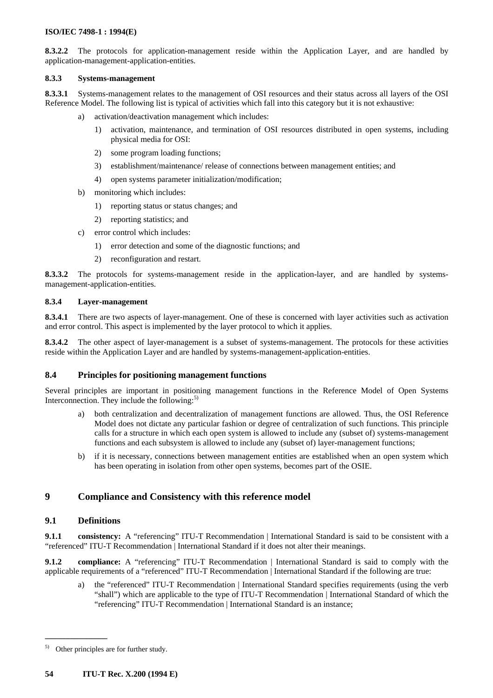<span id="page-57-0"></span>**8.3.2.2** The protocols for application-management reside within the Application Layer, and are handled by application-management-application-entities.

# **8.3.3 Systems-management**

**8.3.3.1** Systems-management relates to the management of OSI resources and their status across all layers of the OSI Reference Model. The following list is typical of activities which fall into this category but it is not exhaustive:

- a) activation/deactivation management which includes:
	- 1) activation, maintenance, and termination of OSI resources distributed in open systems, including physical media for OSI:
	- 2) some program loading functions;
	- 3) establishment/maintenance/ release of connections between management entities; and
	- 4) open systems parameter initialization/modification;
- b) monitoring which includes:
	- 1) reporting status or status changes; and
	- 2) reporting statistics; and
- c) error control which includes:
	- 1) error detection and some of the diagnostic functions; and
	- 2) reconfiguration and restart.

**8.3.3.2** The protocols for systems-management reside in the application-layer, and are handled by systemsmanagement-application-entities.

#### **8.3.4 Layer-management**

**8.3.4.1** There are two aspects of layer-management. One of these is concerned with layer activities such as activation and error control. This aspect is implemented by the layer protocol to which it applies.

**8.3.4.2** The other aspect of layer-management is a subset of systems-management. The protocols for these activities reside within the Application Layer and are handled by systems-management-application-entities.

## **8.4 Principles for positioning management functions**

Several principles are important in positioning management functions in the Reference Model of Open Systems Interconnection. They include the following: $5$ )

- a) both centralization and decentralization of management functions are allowed. Thus, the OSI Reference Model does not dictate any particular fashion or degree of centralization of such functions. This principle calls for a structure in which each open system is allowed to include any (subset of) systems-management functions and each subsystem is allowed to include any (subset of) layer-management functions;
- b) if it is necessary, connections between management entities are established when an open system which has been operating in isolation from other open systems, becomes part of the OSIE.

# **9 Compliance and Consistency with this reference model**

## **9.1 Definitions**

 $\mathcal{L}_\text{max}$ 

**9.1.1** consistency: A "referencing" ITU-T Recommendation | International Standard is said to be consistent with a "referenced" ITU-T Recommendation | International Standard if it does not alter their meanings.

**9.1.2** compliance: A "referencing" ITU-T Recommendation | International Standard is said to comply with the applicable requirements of a "referenced" ITU-T Recommendation | International Standard if the following are true:

a) the "referenced" ITU-T Recommendation | International Standard specifies requirements (using the verb "shall") which are applicable to the type of ITU-T Recommendation | International Standard of which the "referencing" ITU-T Recommendation | International Standard is an instance;

Other principles are for further study.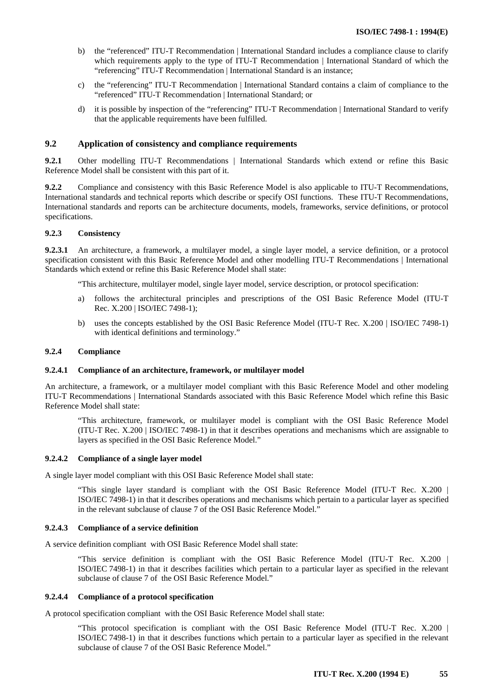- <span id="page-58-0"></span>b) the "referenced" ITU-T Recommendation | International Standard includes a compliance clause to clarify which requirements apply to the type of ITU-T Recommendation | International Standard of which the "referencing" ITU-T Recommendation | International Standard is an instance;
- c) the "referencing" ITU-T Recommendation | International Standard contains a claim of compliance to the "referenced" ITU-T Recommendation | International Standard; or
- d) it is possible by inspection of the "referencing" ITU-T Recommendation | International Standard to verify that the applicable requirements have been fulfilled.

# **9.2 Application of consistency and compliance requirements**

**9.2.1** Other modelling ITU-T Recommendations | International Standards which extend or refine this Basic Reference Model shall be consistent with this part of it.

**9.2.2** Compliance and consistency with this Basic Reference Model is also applicable to ITU-T Recommendations, International standards and technical reports which describe or specify OSI functions. These ITU-T Recommendations, International standards and reports can be architecture documents, models, frameworks, service definitions, or protocol specifications.

#### **9.2.3 Consistency**

**9.2.3.1** An architecture, a framework, a multilayer model, a single layer model, a service definition, or a protocol specification consistent with this Basic Reference Model and other modelling ITU-T Recommendations | International Standards which extend or refine this Basic Reference Model shall state:

"This architecture, multilayer model, single layer model, service description, or protocol specification:

- a) follows the architectural principles and prescriptions of the OSI Basic Reference Model (ITU-T Rec. X.200 | ISO/IEC 7498-1);
- b) uses the concepts established by the OSI Basic Reference Model (ITU-T Rec. X.200 | ISO/IEC 7498-1) with identical definitions and terminology."

#### **9.2.4 Compliance**

#### **9.2.4.1 Compliance of an architecture, framework, or multilayer model**

An architecture, a framework, or a multilayer model compliant with this Basic Reference Model and other modeling ITU-T Recommendations | International Standards associated with this Basic Reference Model which refine this Basic Reference Model shall state:

"This architecture, framework, or multilayer model is compliant with the OSI Basic Reference Model (ITU-T Rec. X.200 | ISO/IEC 7498-1) in that it describes operations and mechanisms which are assignable to layers as specified in the OSI Basic Reference Model."

## **9.2.4.2 Compliance of a single layer model**

A single layer model compliant with this OSI Basic Reference Model shall state:

"This single layer standard is compliant with the OSI Basic Reference Model (ITU-T Rec. X.200 | ISO/IEC 7498-1) in that it describes operations and mechanisms which pertain to a particular layer as specified in the relevant subclause of clause 7 of the OSI Basic Reference Model."

#### **9.2.4.3 Compliance of a service definition**

A service definition compliant with OSI Basic Reference Model shall state:

"This service definition is compliant with the OSI Basic Reference Model (ITU-T Rec. X.200 | ISO/IEC 7498-1) in that it describes facilities which pertain to a particular layer as specified in the relevant subclause of clause 7 of the OSI Basic Reference Model."

#### **9.2.4.4 Compliance of a protocol specification**

A protocol specification compliant with the OSI Basic Reference Model shall state:

"This protocol specification is compliant with the OSI Basic Reference Model (ITU-T Rec. X.200 | ISO/IEC 7498-1) in that it describes functions which pertain to a particular layer as specified in the relevant subclause of clause 7 of the OSI Basic Reference Model."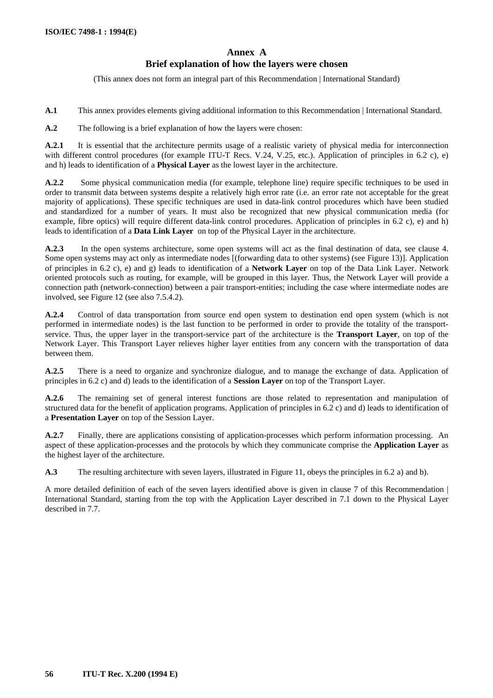# **Annex A Brief explanation of how the layers were chosen**

(This annex does not form an integral part of this Recommendation | International Standard)

<span id="page-59-0"></span>**A.1** This annex provides elements giving additional information to this Recommendation | International Standard.

**A.2** The following is a brief explanation of how the layers were chosen:

**A.2.1** It is essential that the architecture permits usage of a realistic variety of physical media for interconnection with different control procedures (for example ITU-T Recs. V.24, V.25, etc.). Application of principles in 6.2 c), e) and h) leads to identification of a **Physical Layer** as the lowest layer in the architecture.

**A.2.2** Some physical communication media (for example, telephone line) require specific techniques to be used in order to transmit data between systems despite a relatively high error rate (i.e. an error rate not acceptable for the great majority of applications). These specific techniques are used in data-link control procedures which have been studied and standardized for a number of years. It must also be recognized that new physical communication media (for example, fibre optics) will require different data-link control procedures. Application of principles in 6.2 c), e) and h) leads to identification of a **Data Link Layer** on top of the Physical Layer in the architecture.

**A.2.3** In the open systems architecture, some open systems will act as the final destination of data, see clause 4. Some open systems may act only as intermediate nodes [(forwarding data to other systems) (see Figure 13)]. Application of principles in 6.2 c), e) and g) leads to identification of a **Network Layer** on top of the Data Link Layer. Network oriented protocols such as routing, for example, will be grouped in this layer. Thus, the Network Layer will provide a connection path (network-connection) between a pair transport-entities; including the case where intermediate nodes are involved, see Figure 12 (see also 7.5.4.2).

**A.2.4** Control of data transportation from source end open system to destination end open system (which is not performed in intermediate nodes) is the last function to be performed in order to provide the totality of the transportservice. Thus, the upper layer in the transport-service part of the architecture is the **Transport Layer**, on top of the Network Layer. This Transport Layer relieves higher layer entities from any concern with the transportation of data between them.

**A.2.5** There is a need to organize and synchronize dialogue, and to manage the exchange of data. Application of principles in 6.2 c) and d) leads to the identification of a **Session Layer** on top of the Transport Layer.

**A.2.6** The remaining set of general interest functions are those related to representation and manipulation of structured data for the benefit of application programs. Application of principles in 6.2 c) and d) leads to identification of a **Presentation Layer** on top of the Session Layer.

**A.2.7** Finally, there are applications consisting of application-processes which perform information processing. An aspect of these application-processes and the protocols by which they communicate comprise the **Application Layer** as the highest layer of the architecture.

**A.3** The resulting architecture with seven layers, illustrated in Figure 11, obeys the principles in 6.2 a) and b).

A more detailed definition of each of the seven layers identified above is given in clause 7 of this Recommendation | International Standard, starting from the top with the Application Layer described in 7.1 down to the Physical Layer described in 7.7.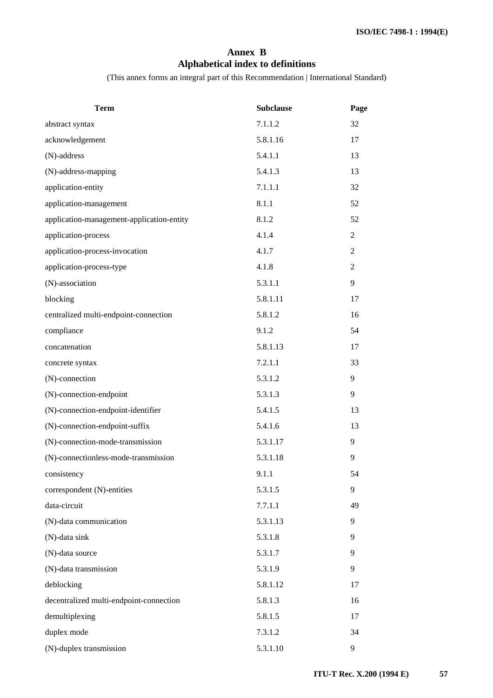# **Annex B Alphabetical index to definitions**

(This annex forms an integral part of this Recommendation | International Standard)

<span id="page-60-0"></span>

| <b>Term</b>                               | <b>Subclause</b> | Page           |
|-------------------------------------------|------------------|----------------|
| abstract syntax                           | 7.1.1.2          | 32             |
| acknowledgement                           | 5.8.1.16         | 17             |
| (N)-address                               | 5.4.1.1          | 13             |
| (N)-address-mapping                       | 5.4.1.3          | 13             |
| application-entity                        | 7.1.1.1          | 32             |
| application-management                    | 8.1.1            | 52             |
| application-management-application-entity | 8.1.2            | 52             |
| application-process                       | 4.1.4            | $\overline{2}$ |
| application-process-invocation            | 4.1.7            | $\mathbf{2}$   |
| application-process-type                  | 4.1.8            | $\mathbf{2}$   |
| (N)-association                           | 5.3.1.1          | 9              |
| blocking                                  | 5.8.1.11         | 17             |
| centralized multi-endpoint-connection     | 5.8.1.2          | 16             |
| compliance                                | 9.1.2            | 54             |
| concatenation                             | 5.8.1.13         | 17             |
| concrete syntax                           | 7.2.1.1          | 33             |
| (N)-connection                            | 5.3.1.2          | 9              |
| (N)-connection-endpoint                   | 5.3.1.3          | 9              |
| (N)-connection-endpoint-identifier        | 5.4.1.5          | 13             |
| (N)-connection-endpoint-suffix            | 5.4.1.6          | 13             |
| (N)-connection-mode-transmission          | 5.3.1.17         | 9              |
| (N)-connectionless-mode-transmission      | 5.3.1.18         | 9              |
| consistency                               | 9.1.1            | 54             |
| correspondent (N)-entities                | 5.3.1.5          | 9              |
| data-circuit                              | 7.7.1.1          | 49             |
| (N)-data communication                    | 5.3.1.13         | 9              |
| (N)-data sink                             | 5.3.1.8          | 9              |
| (N)-data source                           | 5.3.1.7          | 9              |
| (N)-data transmission                     | 5.3.1.9          | 9              |
| deblocking                                | 5.8.1.12         | 17             |
| decentralized multi-endpoint-connection   | 5.8.1.3          | 16             |
| demultiplexing                            | 5.8.1.5          | 17             |
| duplex mode                               | 7.3.1.2          | 34             |
| (N)-duplex transmission                   | 5.3.1.10         | 9              |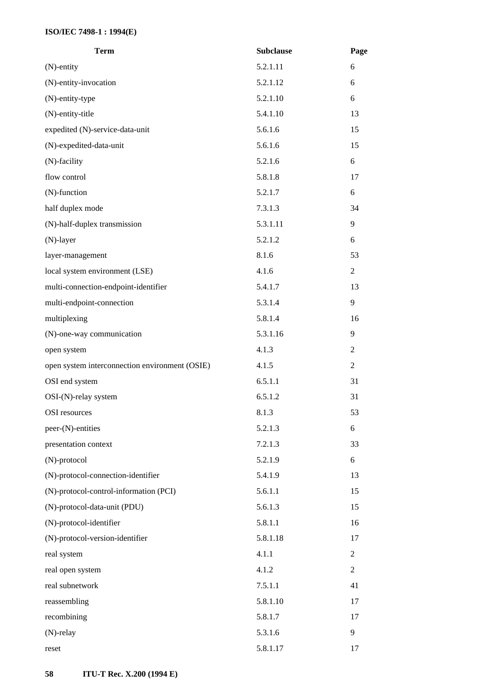| <b>Term</b>                                    | <b>Subclause</b> | Page           |
|------------------------------------------------|------------------|----------------|
| $(N)$ -entity                                  | 5.2.1.11         | 6              |
| (N)-entity-invocation                          | 5.2.1.12         | 6              |
| (N)-entity-type                                | 5.2.1.10         | 6              |
| (N)-entity-title                               | 5.4.1.10         | 13             |
| expedited (N)-service-data-unit                | 5.6.1.6          | 15             |
| (N)-expedited-data-unit                        | 5.6.1.6          | 15             |
| (N)-facility                                   | 5.2.1.6          | 6              |
| flow control                                   | 5.8.1.8          | 17             |
| $(N)$ -function                                | 5.2.1.7          | 6              |
| half duplex mode                               | 7.3.1.3          | 34             |
| (N)-half-duplex transmission                   | 5.3.1.11         | 9              |
| $(N)$ -layer                                   | 5.2.1.2          | 6              |
| layer-management                               | 8.1.6            | 53             |
| local system environment (LSE)                 | 4.1.6            | $\overline{2}$ |
| multi-connection-endpoint-identifier           | 5.4.1.7          | 13             |
| multi-endpoint-connection                      | 5.3.1.4          | 9              |
| multiplexing                                   | 5.8.1.4          | 16             |
| (N)-one-way communication                      | 5.3.1.16         | 9              |
| open system                                    | 4.1.3            | $\overline{2}$ |
| open system interconnection environment (OSIE) | 4.1.5            | 2              |
| OSI end system                                 | 6.5.1.1          | 31             |
| $OSI-(N)$ -relay system                        | 6.5.1.2          | 31             |
| <b>OSI</b> resources                           | 8.1.3            | 53             |
| peer-(N)-entities                              | 5.2.1.3          | 6              |
| presentation context                           | 7.2.1.3          | 33             |
| (N)-protocol                                   | 5.2.1.9          | 6              |
| (N)-protocol-connection-identifier             | 5.4.1.9          | 13             |
| (N)-protocol-control-information (PCI)         | 5.6.1.1          | 15             |
| (N)-protocol-data-unit (PDU)                   | 5.6.1.3          | 15             |
| (N)-protocol-identifier                        | 5.8.1.1          | 16             |
| (N)-protocol-version-identifier                | 5.8.1.18         | 17             |
| real system                                    | 4.1.1            | $\overline{c}$ |
| real open system                               | 4.1.2            | $\overline{2}$ |
| real subnetwork                                | 7.5.1.1          | 41             |
| reassembling                                   | 5.8.1.10         | 17             |
| recombining                                    | 5.8.1.7          | 17             |
| $(N)$ -relay                                   | 5.3.1.6          | 9              |
| reset                                          | 5.8.1.17         | 17             |